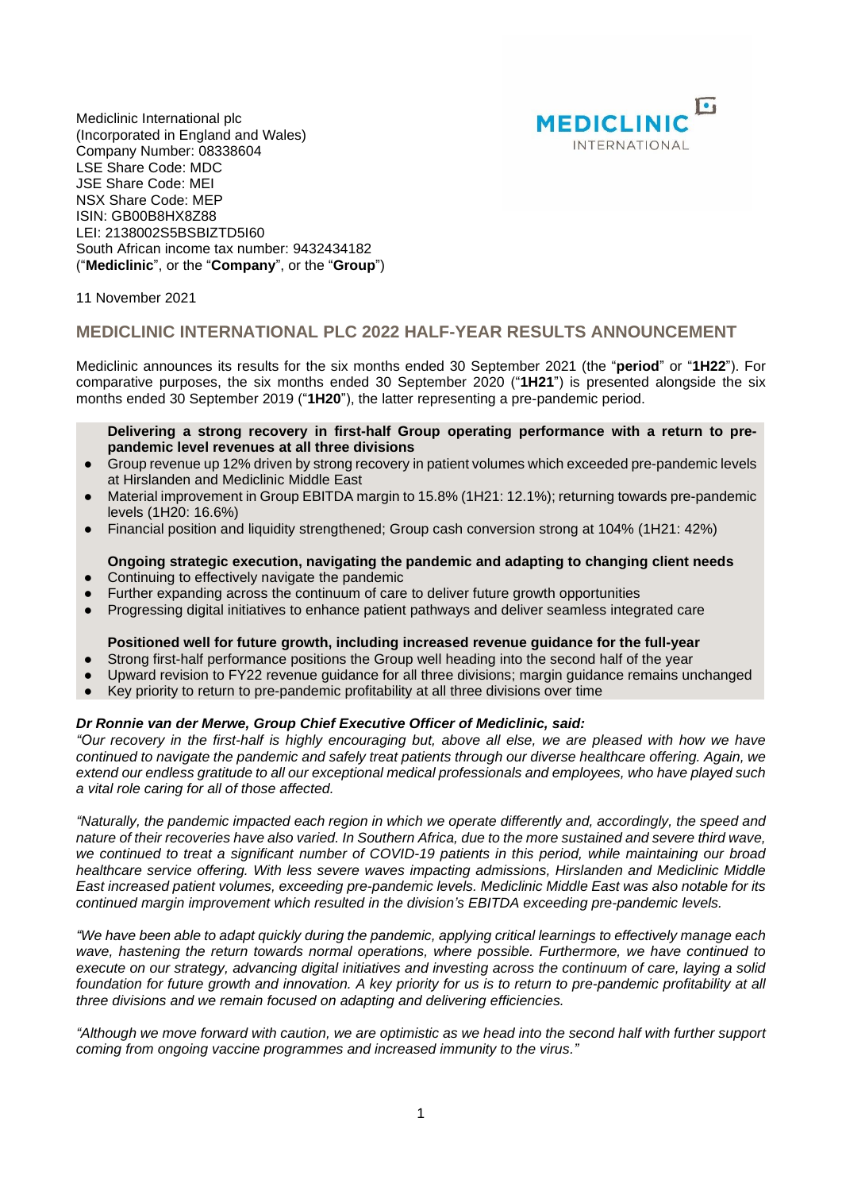

Mediclinic International plc (Incorporated in England and Wales) Company Number: 08338604 LSE Share Code: MDC JSE Share Code: MEI NSX Share Code: MEP ISIN: GB00B8HX8Z88 LEI: 2138002S5BSBIZTD5I60 South African income tax number: 9432434182 ("**Mediclinic**", or the "**Company**", or the "**Group**")

11 November 2021

## **MEDICLINIC INTERNATIONAL PLC 2022 HALF-YEAR RESULTS ANNOUNCEMENT**

Mediclinic announces its results for the six months ended 30 September 2021 (the "**period**" or "**1H22**"). For comparative purposes, the six months ended 30 September 2020 ("**1H21**") is presented alongside the six months ended 30 September 2019 ("**1H20**"), the latter representing a pre-pandemic period.

#### **Delivering a strong recovery in first-half Group operating performance with a return to prepandemic level revenues at all three divisions**

- Group revenue up 12% driven by strong recovery in patient volumes which exceeded pre-pandemic levels at Hirslanden and Mediclinic Middle East
- Material improvement in Group EBITDA margin to 15.8% (1H21: 12.1%); returning towards pre-pandemic levels (1H20: 16.6%)
- Financial position and liquidity strengthened; Group cash conversion strong at 104% (1H21: 42%)

#### **Ongoing strategic execution, navigating the pandemic and adapting to changing client needs**

- Continuing to effectively navigate the pandemic
- Further expanding across the continuum of care to deliver future growth opportunities
- Progressing digital initiatives to enhance patient pathways and deliver seamless integrated care

## **Positioned well for future growth, including increased revenue guidance for the full-year**

- Strong first-half performance positions the Group well heading into the second half of the year
- Upward revision to FY22 revenue guidance for all three divisions; margin guidance remains unchanged
- Key priority to return to pre-pandemic profitability at all three divisions over time

#### *Dr Ronnie van der Merwe, Group Chief Executive Officer of Mediclinic, said:*

"Our recovery in the first-half is highly encouraging but, above all else, we are pleased with how we have *continued to navigate the pandemic and safely treat patients through our diverse healthcare offering. Again, we extend our endless gratitude to all our exceptional medical professionals and employees, who have played such a vital role caring for all of those affected.*

*"Naturally, the pandemic impacted each region in which we operate differently and, accordingly, the speed and* nature of their recoveries have also varied. In Southern Africa, due to the more sustained and severe third wave. we continued to treat a significant number of COVID-19 patients in this period, while maintaining our broad *healthcare service offering. With less severe waves impacting admissions, Hirslanden and Mediclinic Middle East increased patient volumes, exceeding pre-pandemic levels. Mediclinic Middle East was also notable for its continued margin improvement which resulted in the division's EBITDA exceeding pre-pandemic levels.*

"We have been able to adapt quickly during the pandemic, applying critical learnings to effectively manage each *wave, hastening the return towards normal operations, where possible. Furthermore, we have continued to* execute on our strategy, advancing digital initiatives and investing across the continuum of care, laying a solid foundation for future growth and innovation. A key priority for us is to return to pre-pandemic profitability at all *three divisions and we remain focused on adapting and delivering efficiencies.*

"Although we move forward with caution, we are optimistic as we head into the second half with further support *coming from ongoing vaccine programmes and increased immunity to the virus."*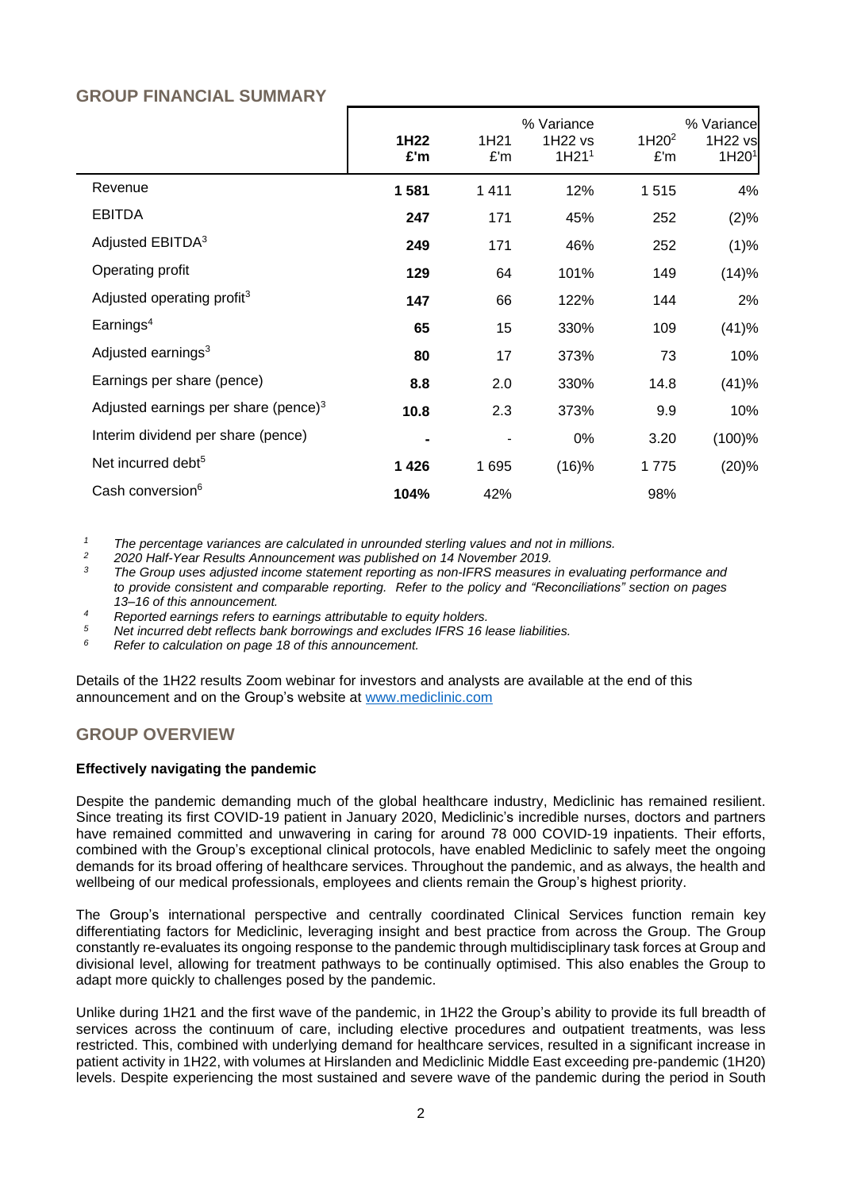# **GROUP FINANCIAL SUMMARY**

|                                         | 1H22<br>£'m | 1H <sub>21</sub><br>£'m | % Variance<br>1H22 vs<br>1H21 <sup>1</sup> | 1H20 <sup>2</sup><br>£'m | % Variance<br>1H22 vs<br>1H20 <sup>1</sup> |
|-----------------------------------------|-------------|-------------------------|--------------------------------------------|--------------------------|--------------------------------------------|
| Revenue                                 | 1581        | 1411                    | 12%                                        | 1515                     | 4%                                         |
| <b>EBITDA</b>                           | 247         | 171                     | 45%                                        | 252                      | (2)%                                       |
| Adjusted EBITDA <sup>3</sup>            | 249         | 171                     | 46%                                        | 252                      | (1)%                                       |
| Operating profit                        | 129         | 64                      | 101%                                       | 149                      | (14)%                                      |
| Adjusted operating profit <sup>3</sup>  | 147         | 66                      | 122%                                       | 144                      | 2%                                         |
| Earnings <sup>4</sup>                   | 65          | 15                      | 330%                                       | 109                      | (41)%                                      |
| Adjusted earnings <sup>3</sup>          | 80          | 17                      | 373%                                       | 73                       | 10%                                        |
| Earnings per share (pence)              | 8.8         | 2.0                     | 330%                                       | 14.8                     | (41)%                                      |
| Adjusted earnings per share (pence) $3$ | 10.8        | 2.3                     | 373%                                       | 9.9                      | 10%                                        |
| Interim dividend per share (pence)      |             |                         | 0%                                         | 3.20                     | (100)%                                     |
| Net incurred debt <sup>5</sup>          | 1426        | 1695                    | (16)%                                      | 1775                     | (20)%                                      |
| Cash conversion <sup>6</sup>            | 104%        | 42%                     |                                            | 98%                      |                                            |

*<sup>1</sup> The percentage variances are calculated in unrounded sterling values and not in millions.*

*2 2020 Half-Year Results Announcement was published on 14 November 2019.*

*3 The Group uses adjusted income statement reporting as non-IFRS measures in evaluating performance and to provide consistent and comparable reporting. Refer to the policy and "Reconciliations" section on pages 13–16 of this announcement.*

*<sup>4</sup> Reported earnings refers to earnings attributable to equity holders.*

*<sup>5</sup> Net incurred debt reflects bank borrowings and excludes IFRS 16 lease liabilities.* 

*<sup>6</sup> Refer to calculation on page 18 of this announcement.*

Details of the 1H22 results Zoom webinar for investors and analysts are available at the end of this announcement and on the Group's website at [www.mediclinic.com](http://www.mediclinic.com/) 

# **GROUP OVERVIEW**

## **Effectively navigating the pandemic**

Despite the pandemic demanding much of the global healthcare industry, Mediclinic has remained resilient. Since treating its first COVID-19 patient in January 2020, Mediclinic's incredible nurses, doctors and partners have remained committed and unwavering in caring for around 78 000 COVID-19 inpatients. Their efforts, combined with the Group's exceptional clinical protocols, have enabled Mediclinic to safely meet the ongoing demands for its broad offering of healthcare services. Throughout the pandemic, and as always, the health and wellbeing of our medical professionals, employees and clients remain the Group's highest priority.

The Group's international perspective and centrally coordinated Clinical Services function remain key differentiating factors for Mediclinic, leveraging insight and best practice from across the Group. The Group constantly re-evaluates its ongoing response to the pandemic through multidisciplinary task forces at Group and divisional level, allowing for treatment pathways to be continually optimised. This also enables the Group to adapt more quickly to challenges posed by the pandemic.

Unlike during 1H21 and the first wave of the pandemic, in 1H22 the Group's ability to provide its full breadth of services across the continuum of care, including elective procedures and outpatient treatments, was less restricted. This, combined with underlying demand for healthcare services, resulted in a significant increase in patient activity in 1H22, with volumes at Hirslanden and Mediclinic Middle East exceeding pre-pandemic (1H20) levels. Despite experiencing the most sustained and severe wave of the pandemic during the period in South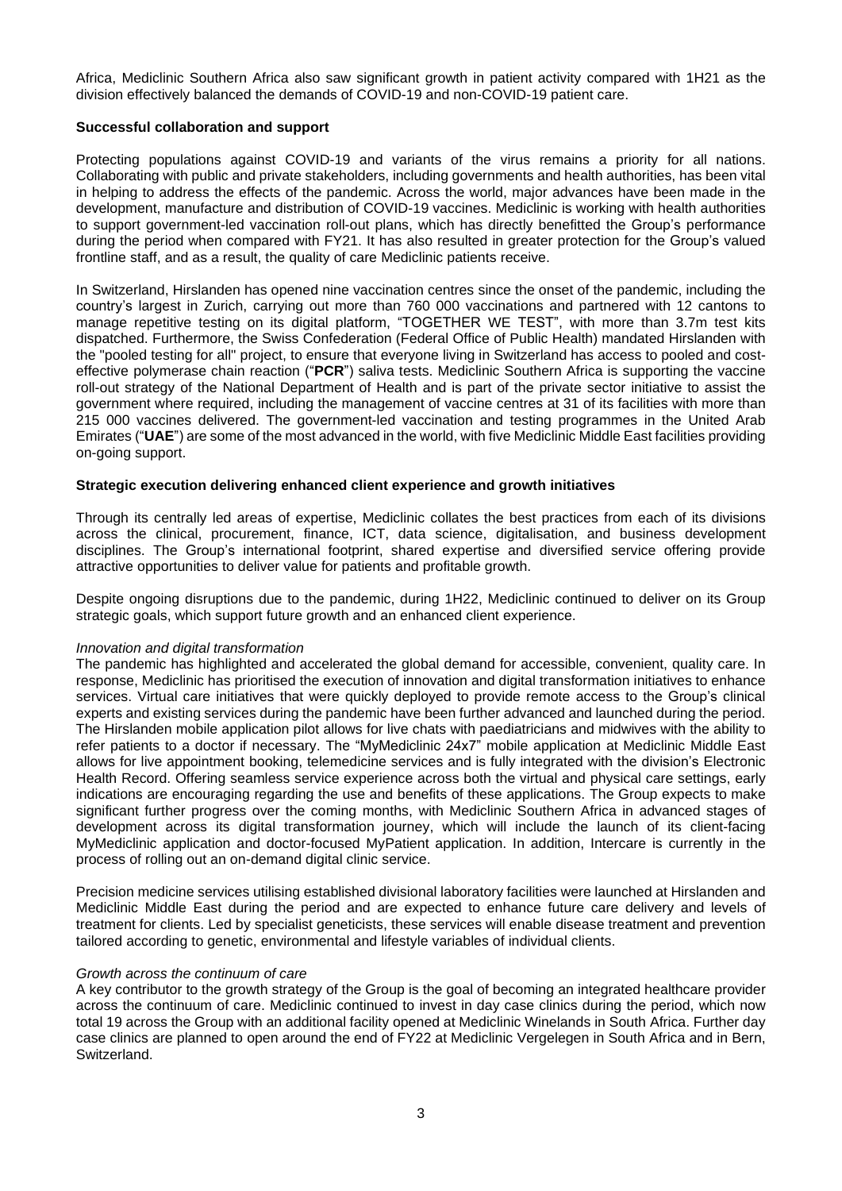Africa, Mediclinic Southern Africa also saw significant growth in patient activity compared with 1H21 as the division effectively balanced the demands of COVID-19 and non-COVID-19 patient care.

#### **Successful collaboration and support**

Protecting populations against COVID-19 and variants of the virus remains a priority for all nations. Collaborating with public and private stakeholders, including governments and health authorities, has been vital in helping to address the effects of the pandemic. Across the world, major advances have been made in the development, manufacture and distribution of COVID-19 vaccines. Mediclinic is working with health authorities to support government-led vaccination roll-out plans, which has directly benefitted the Group's performance during the period when compared with FY21. It has also resulted in greater protection for the Group's valued frontline staff, and as a result, the quality of care Mediclinic patients receive.

In Switzerland, Hirslanden has opened nine vaccination centres since the onset of the pandemic, including the country's largest in Zurich, carrying out more than 760 000 vaccinations and partnered with 12 cantons to manage repetitive testing on its digital platform, "TOGETHER WE TEST", with more than 3.7m test kits dispatched. Furthermore, the Swiss Confederation (Federal Office of Public Health) mandated Hirslanden with the "pooled testing for all" project, to ensure that everyone living in Switzerland has access to pooled and costeffective polymerase chain reaction ("**PCR**") saliva tests. Mediclinic Southern Africa is supporting the vaccine roll-out strategy of the National Department of Health and is part of the private sector initiative to assist the government where required, including the management of vaccine centres at 31 of its facilities with more than 215 000 vaccines delivered. The government-led vaccination and testing programmes in the United Arab Emirates ("**UAE**") are some of the most advanced in the world, with five Mediclinic Middle East facilities providing on-going support.

#### **Strategic execution delivering enhanced client experience and growth initiatives**

Through its centrally led areas of expertise, Mediclinic collates the best practices from each of its divisions across the clinical, procurement, finance, ICT, data science, digitalisation, and business development disciplines. The Group's international footprint, shared expertise and diversified service offering provide attractive opportunities to deliver value for patients and profitable growth.

Despite ongoing disruptions due to the pandemic, during 1H22, Mediclinic continued to deliver on its Group strategic goals, which support future growth and an enhanced client experience.

#### *Innovation and digital transformation*

The pandemic has highlighted and accelerated the global demand for accessible, convenient, quality care. In response, Mediclinic has prioritised the execution of innovation and digital transformation initiatives to enhance services. Virtual care initiatives that were quickly deployed to provide remote access to the Group's clinical experts and existing services during the pandemic have been further advanced and launched during the period. The Hirslanden mobile application pilot allows for live chats with paediatricians and midwives with the ability to refer patients to a doctor if necessary. The "MyMediclinic 24x7" mobile application at Mediclinic Middle East allows for live appointment booking, telemedicine services and is fully integrated with the division's Electronic Health Record. Offering seamless service experience across both the virtual and physical care settings, early indications are encouraging regarding the use and benefits of these applications. The Group expects to make significant further progress over the coming months, with Mediclinic Southern Africa in advanced stages of development across its digital transformation journey, which will include the launch of its client-facing MyMediclinic application and doctor-focused MyPatient application. In addition, Intercare is currently in the process of rolling out an on-demand digital clinic service.

Precision medicine services utilising established divisional laboratory facilities were launched at Hirslanden and Mediclinic Middle East during the period and are expected to enhance future care delivery and levels of treatment for clients. Led by specialist geneticists, these services will enable disease treatment and prevention tailored according to genetic, environmental and lifestyle variables of individual clients.

#### *Growth across the continuum of care*

A key contributor to the growth strategy of the Group is the goal of becoming an integrated healthcare provider across the continuum of care. Mediclinic continued to invest in day case clinics during the period, which now total 19 across the Group with an additional facility opened at Mediclinic Winelands in South Africa. Further day case clinics are planned to open around the end of FY22 at Mediclinic Vergelegen in South Africa and in Bern, Switzerland.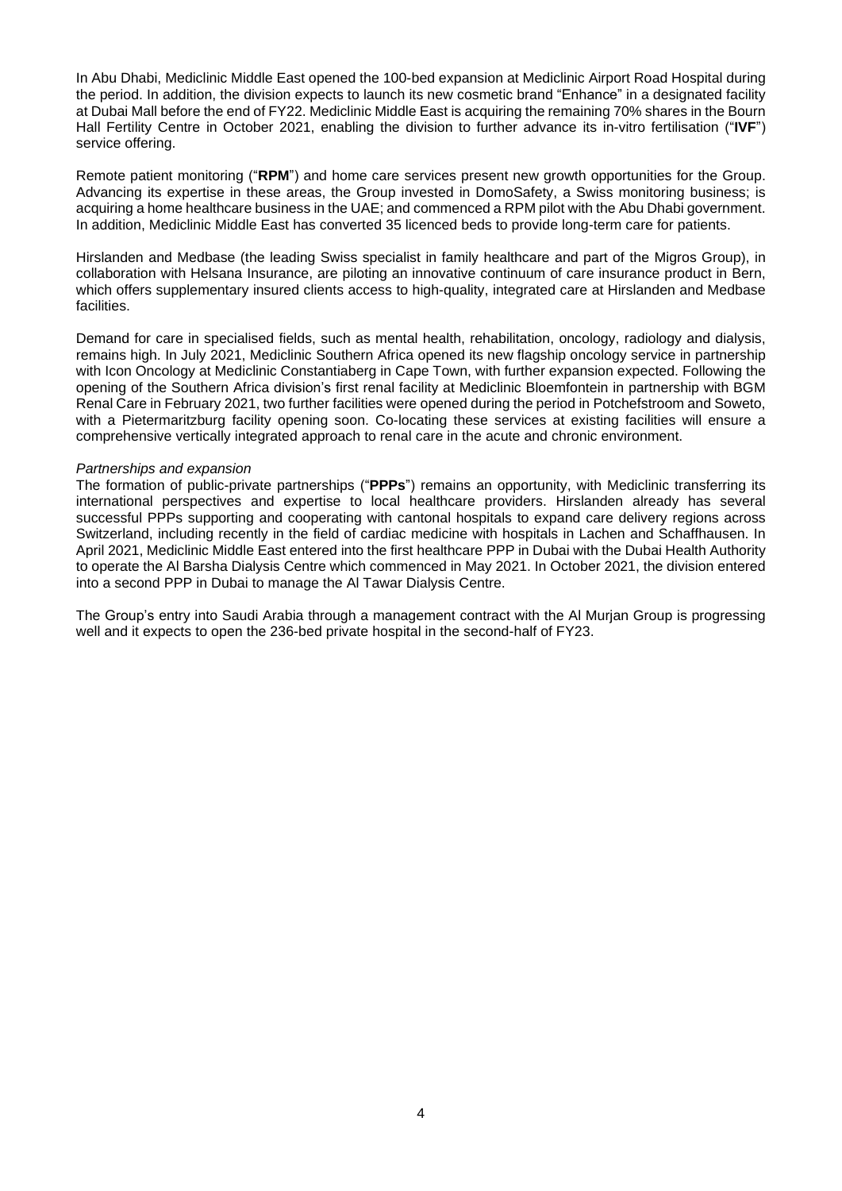In Abu Dhabi, Mediclinic Middle East opened the 100-bed expansion at Mediclinic Airport Road Hospital during the period. In addition, the division expects to launch its new cosmetic brand "Enhance" in a designated facility at Dubai Mall before the end of FY22. Mediclinic Middle East is acquiring the remaining 70% shares in the Bourn Hall Fertility Centre in October 2021, enabling the division to further advance its in-vitro fertilisation ("**IVF**") service offering.

Remote patient monitoring ("**RPM**") and home care services present new growth opportunities for the Group. Advancing its expertise in these areas, the Group invested in DomoSafety, a Swiss monitoring business; is acquiring a home healthcare business in the UAE; and commenced a RPM pilot with the Abu Dhabi government. In addition, Mediclinic Middle East has converted 35 licenced beds to provide long-term care for patients.

Hirslanden and Medbase (the leading Swiss specialist in family healthcare and part of the Migros Group), in collaboration with Helsana Insurance, are piloting an innovative continuum of care insurance product in Bern, which offers supplementary insured clients access to high-quality, integrated care at Hirslanden and Medbase facilities.

Demand for care in specialised fields, such as mental health, rehabilitation, oncology, radiology and dialysis, remains high. In July 2021, Mediclinic Southern Africa opened its new flagship oncology service in partnership with Icon Oncology at Mediclinic Constantiaberg in Cape Town, with further expansion expected. Following the opening of the Southern Africa division's first renal facility at Mediclinic Bloemfontein in partnership with BGM Renal Care in February 2021, two further facilities were opened during the period in Potchefstroom and Soweto, with a Pietermaritzburg facility opening soon. Co-locating these services at existing facilities will ensure a comprehensive vertically integrated approach to renal care in the acute and chronic environment.

#### *Partnerships and expansion*

The formation of public-private partnerships ("**PPPs**") remains an opportunity, with Mediclinic transferring its international perspectives and expertise to local healthcare providers. Hirslanden already has several successful PPPs supporting and cooperating with cantonal hospitals to expand care delivery regions across Switzerland, including recently in the field of cardiac medicine with hospitals in Lachen and Schaffhausen. In April 2021, Mediclinic Middle East entered into the first healthcare PPP in Dubai with the Dubai Health Authority to operate the Al Barsha Dialysis Centre which commenced in May 2021. In October 2021, the division entered into a second PPP in Dubai to manage the Al Tawar Dialysis Centre.

The Group's entry into Saudi Arabia through a management contract with the Al Murjan Group is progressing well and it expects to open the 236-bed private hospital in the second-half of FY23.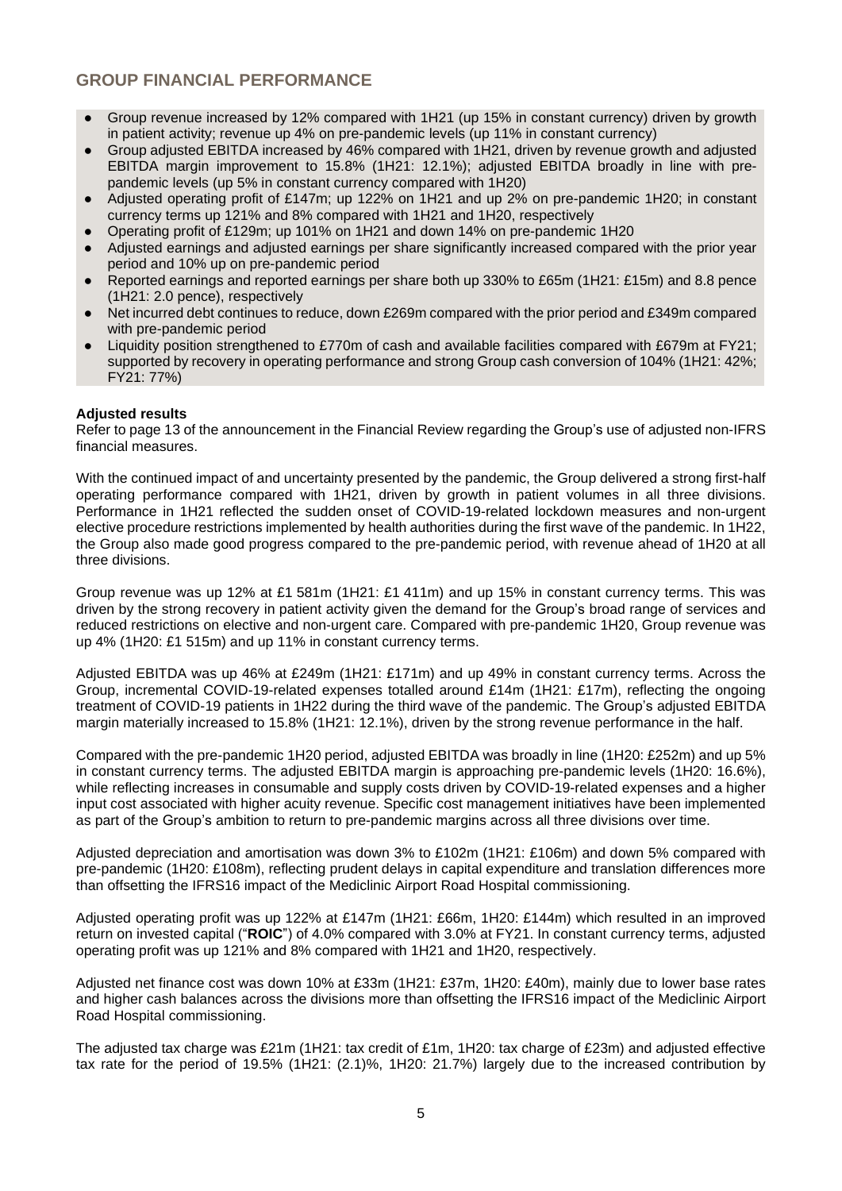# **GROUP FINANCIAL PERFORMANCE**

- Group revenue increased by 12% compared with 1H21 (up 15% in constant currency) driven by growth in patient activity; revenue up 4% on pre-pandemic levels (up 11% in constant currency)
- Group adjusted EBITDA increased by 46% compared with 1H21, driven by revenue growth and adjusted EBITDA margin improvement to 15.8% (1H21: 12.1%); adjusted EBITDA broadly in line with prepandemic levels (up 5% in constant currency compared with 1H20)
- Adjusted operating profit of £147m; up 122% on 1H21 and up 2% on pre-pandemic 1H20; in constant currency terms up 121% and 8% compared with 1H21 and 1H20, respectively
- Operating profit of £129m; up 101% on 1H21 and down 14% on pre-pandemic 1H20
- Adjusted earnings and adjusted earnings per share significantly increased compared with the prior year period and 10% up on pre-pandemic period
- Reported earnings and reported earnings per share both up 330% to £65m (1H21: £15m) and 8.8 pence (1H21: 2.0 pence), respectively
- Net incurred debt continues to reduce, down £269m compared with the prior period and £349m compared with pre-pandemic period
- Liquidity position strengthened to £770m of cash and available facilities compared with £679m at FY21; supported by recovery in operating performance and strong Group cash conversion of 104% (1H21: 42%; FY21: 77%)

## **Adjusted results**

Refer to page 13 of the announcement in the Financial Review regarding the Group's use of adjusted non-IFRS financial measures.

With the continued impact of and uncertainty presented by the pandemic, the Group delivered a strong first-half operating performance compared with 1H21, driven by growth in patient volumes in all three divisions. Performance in 1H21 reflected the sudden onset of COVID-19-related lockdown measures and non-urgent elective procedure restrictions implemented by health authorities during the first wave of the pandemic. In 1H22, the Group also made good progress compared to the pre-pandemic period, with revenue ahead of 1H20 at all three divisions.

Group revenue was up 12% at £1 581m (1H21: £1 411m) and up 15% in constant currency terms. This was driven by the strong recovery in patient activity given the demand for the Group's broad range of services and reduced restrictions on elective and non-urgent care. Compared with pre-pandemic 1H20, Group revenue was up 4% (1H20: £1 515m) and up 11% in constant currency terms.

Adjusted EBITDA was up 46% at £249m (1H21: £171m) and up 49% in constant currency terms. Across the Group, incremental COVID-19-related expenses totalled around £14m (1H21: £17m), reflecting the ongoing treatment of COVID-19 patients in 1H22 during the third wave of the pandemic. The Group's adjusted EBITDA margin materially increased to 15.8% (1H21: 12.1%), driven by the strong revenue performance in the half.

Compared with the pre-pandemic 1H20 period, adjusted EBITDA was broadly in line (1H20: £252m) and up 5% in constant currency terms. The adjusted EBITDA margin is approaching pre-pandemic levels (1H20: 16.6%), while reflecting increases in consumable and supply costs driven by COVID-19-related expenses and a higher input cost associated with higher acuity revenue. Specific cost management initiatives have been implemented as part of the Group's ambition to return to pre-pandemic margins across all three divisions over time.

Adjusted depreciation and amortisation was down 3% to £102m (1H21: £106m) and down 5% compared with pre-pandemic (1H20: £108m), reflecting prudent delays in capital expenditure and translation differences more than offsetting the IFRS16 impact of the Mediclinic Airport Road Hospital commissioning.

Adjusted operating profit was up 122% at £147m (1H21: £66m, 1H20: £144m) which resulted in an improved return on invested capital ("**ROIC**") of 4.0% compared with 3.0% at FY21. In constant currency terms, adjusted operating profit was up 121% and 8% compared with 1H21 and 1H20, respectively.

Adjusted net finance cost was down 10% at £33m (1H21: £37m, 1H20: £40m), mainly due to lower base rates and higher cash balances across the divisions more than offsetting the IFRS16 impact of the Mediclinic Airport Road Hospital commissioning.

The adjusted tax charge was £21m (1H21: tax credit of £1m, 1H20: tax charge of £23m) and adjusted effective tax rate for the period of 19.5% (1H21: (2.1)%, 1H20: 21.7%) largely due to the increased contribution by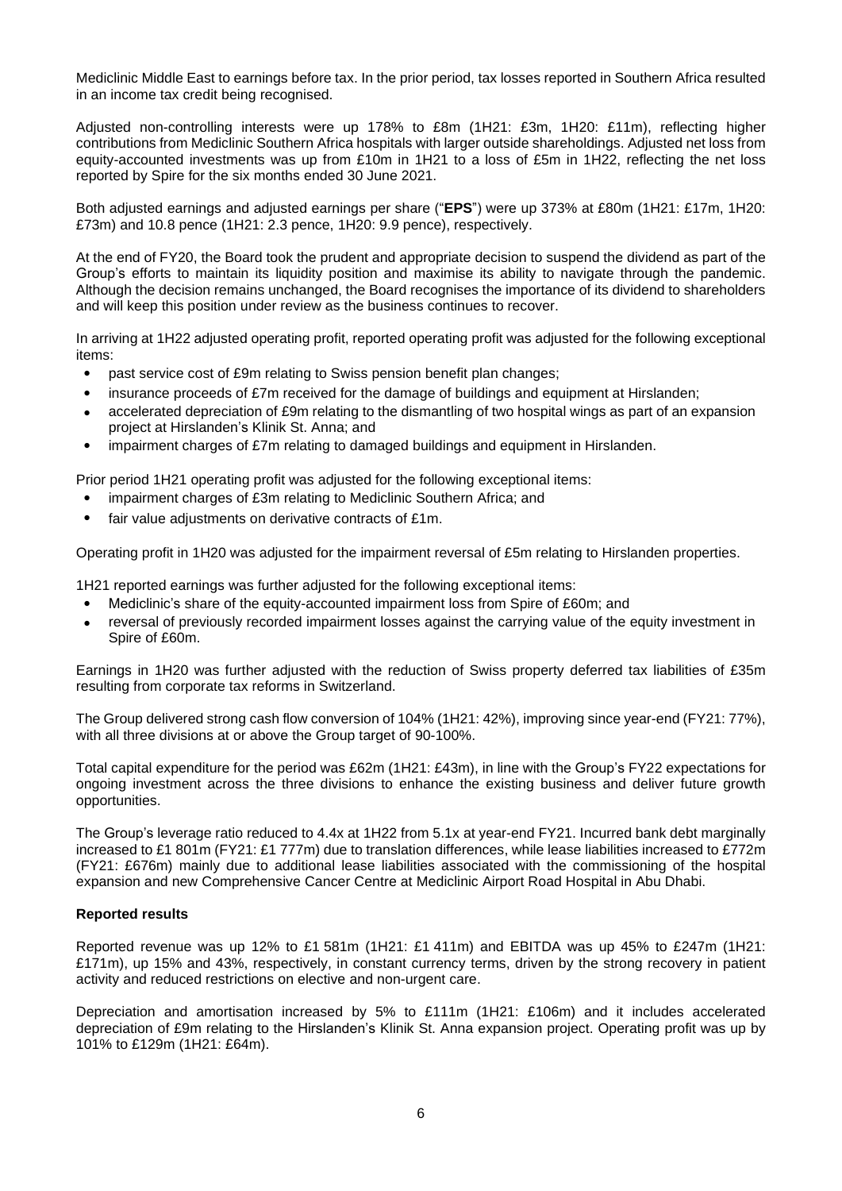Mediclinic Middle East to earnings before tax. In the prior period, tax losses reported in Southern Africa resulted in an income tax credit being recognised.

Adjusted non-controlling interests were up 178% to £8m (1H21: £3m, 1H20: £11m), reflecting higher contributions from Mediclinic Southern Africa hospitals with larger outside shareholdings. Adjusted net loss from equity-accounted investments was up from £10m in 1H21 to a loss of £5m in 1H22, reflecting the net loss reported by Spire for the six months ended 30 June 2021.

Both adjusted earnings and adjusted earnings per share ("**EPS**") were up 373% at £80m (1H21: £17m, 1H20: £73m) and 10.8 pence (1H21: 2.3 pence, 1H20: 9.9 pence), respectively.

At the end of FY20, the Board took the prudent and appropriate decision to suspend the dividend as part of the Group's efforts to maintain its liquidity position and maximise its ability to navigate through the pandemic. Although the decision remains unchanged, the Board recognises the importance of its dividend to shareholders and will keep this position under review as the business continues to recover.

In arriving at 1H22 adjusted operating profit, reported operating profit was adjusted for the following exceptional items:

- past service cost of £9m relating to Swiss pension benefit plan changes;
- insurance proceeds of £7m received for the damage of buildings and equipment at Hirslanden;
- accelerated depreciation of £9m relating to the dismantling of two hospital wings as part of an expansion project at Hirslanden's Klinik St. Anna; and
- impairment charges of £7m relating to damaged buildings and equipment in Hirslanden.

Prior period 1H21 operating profit was adjusted for the following exceptional items:

- impairment charges of £3m relating to Mediclinic Southern Africa; and
- fair value adjustments on derivative contracts of £1m.

Operating profit in 1H20 was adjusted for the impairment reversal of £5m relating to Hirslanden properties.

1H21 reported earnings was further adjusted for the following exceptional items:

- Mediclinic's share of the equity-accounted impairment loss from Spire of £60m; and
- reversal of previously recorded impairment losses against the carrying value of the equity investment in Spire of £60m.

Earnings in 1H20 was further adjusted with the reduction of Swiss property deferred tax liabilities of £35m resulting from corporate tax reforms in Switzerland.

The Group delivered strong cash flow conversion of 104% (1H21: 42%), improving since year-end (FY21: 77%), with all three divisions at or above the Group target of 90-100%.

Total capital expenditure for the period was £62m (1H21: £43m), in line with the Group's FY22 expectations for ongoing investment across the three divisions to enhance the existing business and deliver future growth opportunities.

The Group's leverage ratio reduced to 4.4x at 1H22 from 5.1x at year-end FY21. Incurred bank debt marginally increased to £1 801m (FY21: £1 777m) due to translation differences, while lease liabilities increased to £772m (FY21: £676m) mainly due to additional lease liabilities associated with the commissioning of the hospital expansion and new Comprehensive Cancer Centre at Mediclinic Airport Road Hospital in Abu Dhabi.

#### **Reported results**

Reported revenue was up 12% to £1 581m (1H21: £1 411m) and EBITDA was up 45% to £247m (1H21: £171m), up 15% and 43%, respectively, in constant currency terms, driven by the strong recovery in patient activity and reduced restrictions on elective and non-urgent care.

Depreciation and amortisation increased by 5% to £111m (1H21: £106m) and it includes accelerated depreciation of £9m relating to the Hirslanden's Klinik St. Anna expansion project. Operating profit was up by 101% to £129m (1H21: £64m).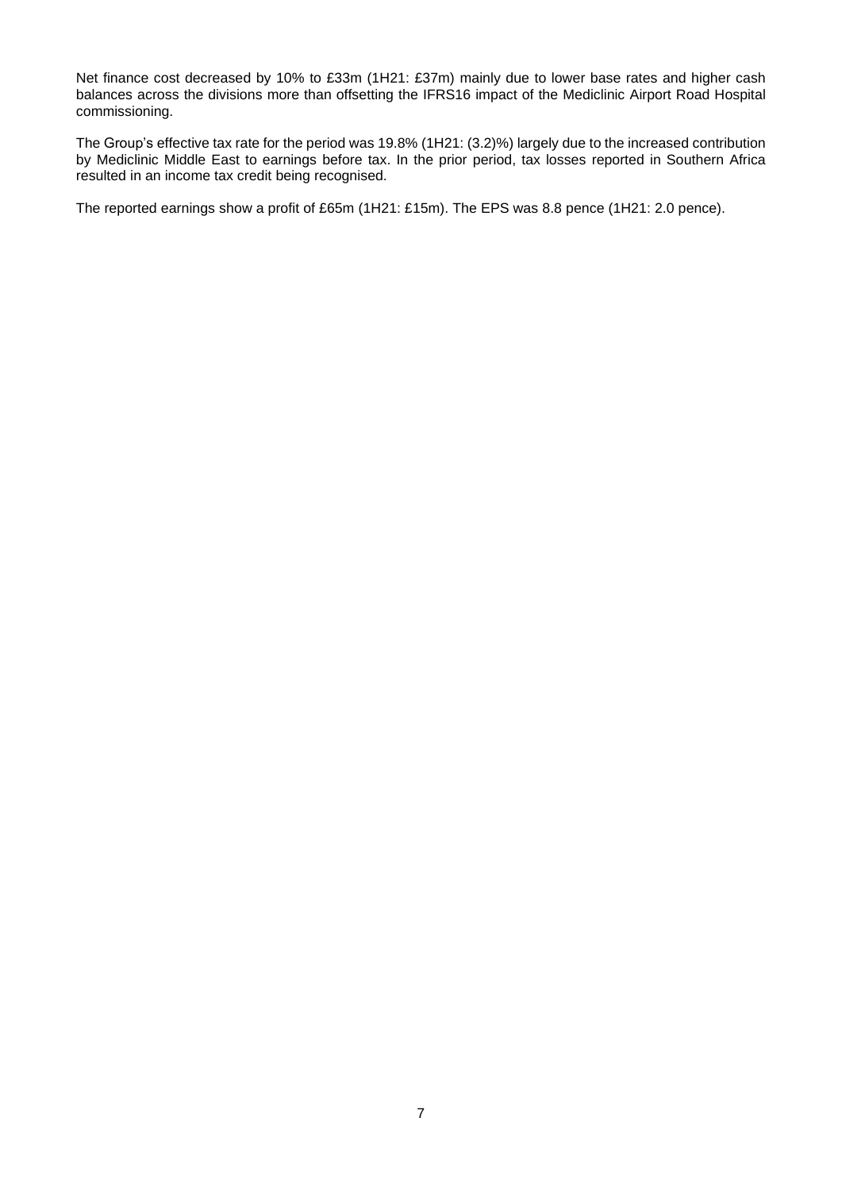Net finance cost decreased by 10% to £33m (1H21: £37m) mainly due to lower base rates and higher cash balances across the divisions more than offsetting the IFRS16 impact of the Mediclinic Airport Road Hospital commissioning.

The Group's effective tax rate for the period was 19.8% (1H21: (3.2)%) largely due to the increased contribution by Mediclinic Middle East to earnings before tax. In the prior period, tax losses reported in Southern Africa resulted in an income tax credit being recognised.

The reported earnings show a profit of £65m (1H21: £15m). The EPS was 8.8 pence (1H21: 2.0 pence).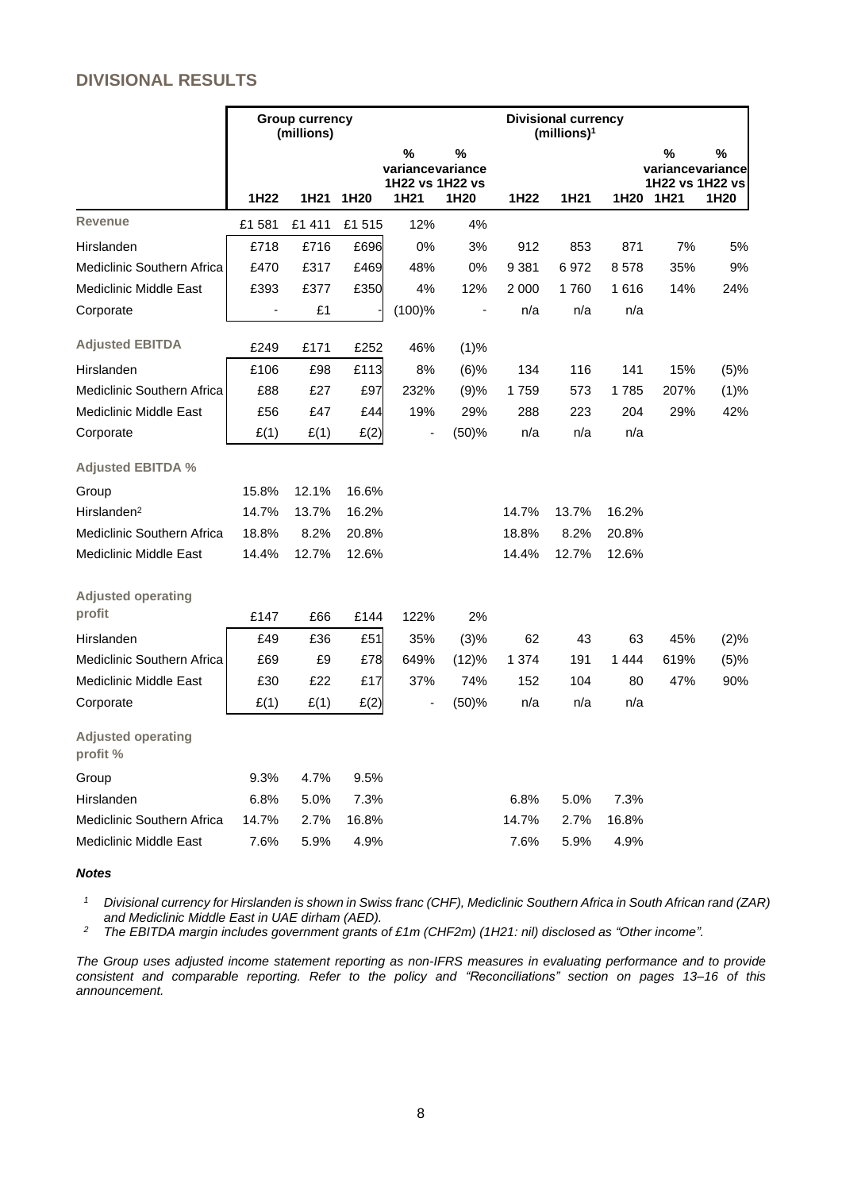# **DIVISIONAL RESULTS**

|                                       | <b>Group currency</b><br>(millions) |        |                  |                                                  | <b>Divisional currency</b><br>(millions) <sup>1</sup> |         |       |       |                                                              |                                   |
|---------------------------------------|-------------------------------------|--------|------------------|--------------------------------------------------|-------------------------------------------------------|---------|-------|-------|--------------------------------------------------------------|-----------------------------------|
|                                       | 1H22                                | 1H21   | 1H <sub>20</sub> | %<br>variancevariance<br>1H22 vs 1H22 vs<br>1H21 | $\%$<br>1H <sub>20</sub>                              | 1H22    | 1H21  | 1H20  | %<br>variancevariance<br>1H22 vs 1H22 vs<br>1H <sub>21</sub> | $\frac{0}{0}$<br>1H <sub>20</sub> |
| <b>Revenue</b>                        | £1 581                              | £1 411 | £1 515           | 12%                                              | 4%                                                    |         |       |       |                                                              |                                   |
| Hirslanden                            | £718                                | £716   | £696             | 0%                                               | 3%                                                    | 912     | 853   | 871   | 7%                                                           | 5%                                |
| Mediclinic Southern Africa            | £470                                | £317   | £469             | 48%                                              | 0%                                                    | 9 3 8 1 | 6972  | 8578  | 35%                                                          | 9%                                |
| <b>Mediclinic Middle East</b>         | £393                                | £377   | £350             | 4%                                               | 12%                                                   | 2 0 0 0 | 1760  | 1616  | 14%                                                          | 24%                               |
| Corporate                             | $\overline{a}$                      | £1     |                  | $(100)$ %                                        | $\blacksquare$                                        | n/a     | n/a   | n/a   |                                                              |                                   |
| <b>Adjusted EBITDA</b>                | £249                                | £171   | £252             | 46%                                              | (1)%                                                  |         |       |       |                                                              |                                   |
| Hirslanden                            | £106                                | £98    | £113             | 8%                                               | $(6)$ %                                               | 134     | 116   | 141   | 15%                                                          | (5)%                              |
| Mediclinic Southern Africa            | £88                                 | £27    | £97              | 232%                                             | (9)%                                                  | 1759    | 573   | 1785  | 207%                                                         | (1)%                              |
| <b>Mediclinic Middle East</b>         | £56                                 | £47    | £44              | 19%                                              | 29%                                                   | 288     | 223   | 204   | 29%                                                          | 42%                               |
| Corporate                             | E(1)                                | E(1)   | E(2)             |                                                  | (50)%                                                 | n/a     | n/a   | n/a   |                                                              |                                   |
| <b>Adjusted EBITDA %</b>              |                                     |        |                  |                                                  |                                                       |         |       |       |                                                              |                                   |
| Group                                 | 15.8%                               | 12.1%  | 16.6%            |                                                  |                                                       |         |       |       |                                                              |                                   |
| Hirslanden <sup>2</sup>               | 14.7%                               | 13.7%  | 16.2%            |                                                  |                                                       | 14.7%   | 13.7% | 16.2% |                                                              |                                   |
| <b>Mediclinic Southern Africa</b>     | 18.8%                               | 8.2%   | 20.8%            |                                                  |                                                       | 18.8%   | 8.2%  | 20.8% |                                                              |                                   |
| <b>Mediclinic Middle East</b>         | 14.4%                               | 12.7%  | 12.6%            |                                                  |                                                       | 14.4%   | 12.7% | 12.6% |                                                              |                                   |
| <b>Adjusted operating</b><br>profit   | £147                                | £66    | £144             | 122%                                             | 2%                                                    |         |       |       |                                                              |                                   |
| Hirslanden                            | £49                                 | £36    | £51              | 35%                                              | (3)%                                                  | 62      | 43    | 63    | 45%                                                          | (2)%                              |
| Mediclinic Southern Africa            | £69                                 | £9     | £78              | 649%                                             | (12)%                                                 | 1 3 7 4 | 191   | 1444  | 619%                                                         | (5)%                              |
| <b>Mediclinic Middle East</b>         | £30                                 | £22    | £17              | 37%                                              | 74%                                                   | 152     | 104   | 80    | 47%                                                          | 90%                               |
| Corporate                             | E(1)                                | E(1)   | E(2)             |                                                  | (50)%                                                 | n/a     | n/a   | n/a   |                                                              |                                   |
| <b>Adjusted operating</b><br>profit % |                                     |        |                  |                                                  |                                                       |         |       |       |                                                              |                                   |
| Group                                 | 9.3%                                | 4.7%   | 9.5%             |                                                  |                                                       |         |       |       |                                                              |                                   |
| Hirslanden                            | 6.8%                                | 5.0%   | 7.3%             |                                                  |                                                       | 6.8%    | 5.0%  | 7.3%  |                                                              |                                   |
| Mediclinic Southern Africa            | 14.7%                               | 2.7%   | 16.8%            |                                                  |                                                       | 14.7%   | 2.7%  | 16.8% |                                                              |                                   |
| <b>Mediclinic Middle East</b>         | 7.6%                                | 5.9%   | 4.9%             |                                                  |                                                       | 7.6%    | 5.9%  | 4.9%  |                                                              |                                   |

*Notes*

<sup>1</sup> Divisional currency for Hirslanden is shown in Swiss franc (CHF), Mediclinic Southern Africa in South African rand (ZAR) *and Mediclinic Middle East in UAE dirham (AED).*

*<sup>2</sup> The EBITDA margin includes government grants of £1m (CHF2m) (1H21: nil) disclosed as "Other income".*

*The Group uses adjusted income statement reporting as non-IFRS measures in evaluating performance and to provide consistent and comparable reporting. Refer to the policy and "Reconciliations" section on pages 13–16 of this announcement.*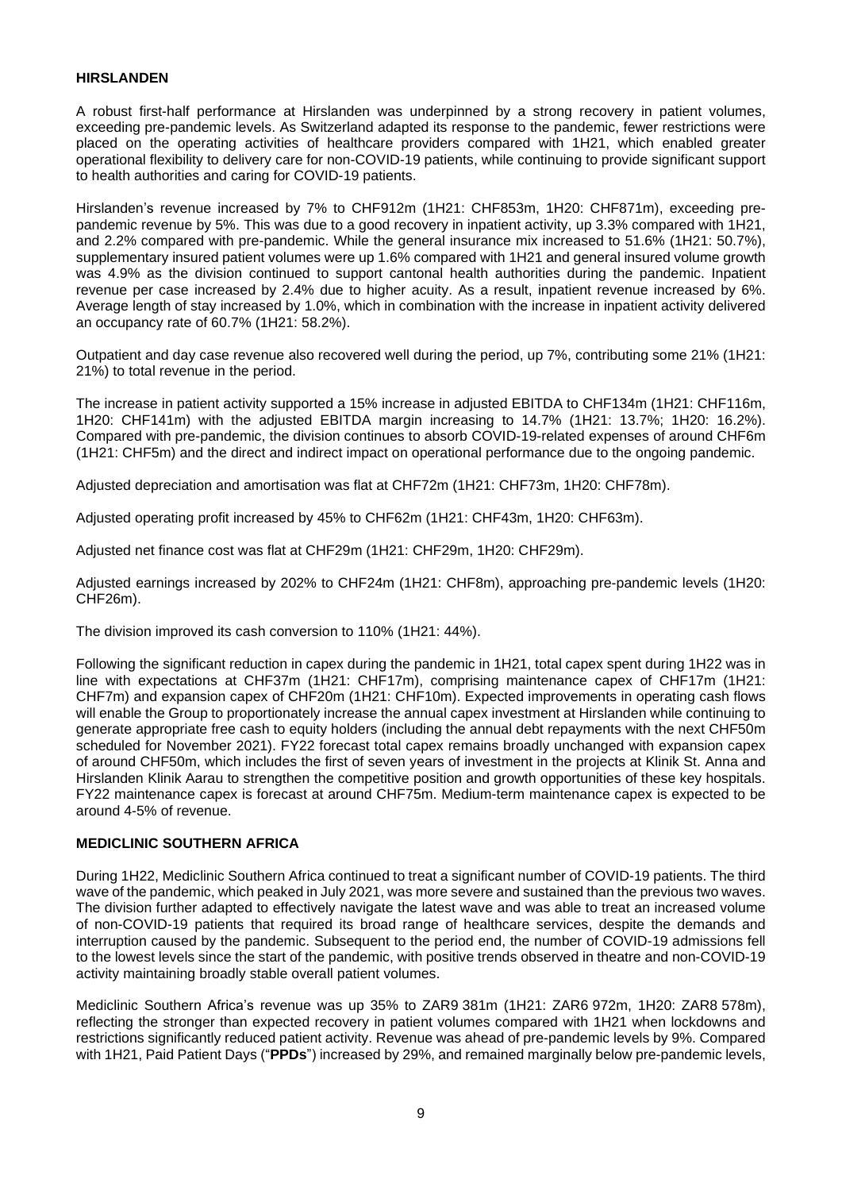#### **HIRSLANDEN**

A robust first-half performance at Hirslanden was underpinned by a strong recovery in patient volumes, exceeding pre-pandemic levels. As Switzerland adapted its response to the pandemic, fewer restrictions were placed on the operating activities of healthcare providers compared with 1H21, which enabled greater operational flexibility to delivery care for non-COVID-19 patients, while continuing to provide significant support to health authorities and caring for COVID-19 patients.

Hirslanden's revenue increased by 7% to CHF912m (1H21: CHF853m, 1H20: CHF871m), exceeding prepandemic revenue by 5%. This was due to a good recovery in inpatient activity, up 3.3% compared with 1H21, and 2.2% compared with pre-pandemic. While the general insurance mix increased to 51.6% (1H21: 50.7%), supplementary insured patient volumes were up 1.6% compared with 1H21 and general insured volume growth was 4.9% as the division continued to support cantonal health authorities during the pandemic. Inpatient revenue per case increased by 2.4% due to higher acuity. As a result, inpatient revenue increased by 6%. Average length of stay increased by 1.0%, which in combination with the increase in inpatient activity delivered an occupancy rate of 60.7% (1H21: 58.2%).

Outpatient and day case revenue also recovered well during the period, up 7%, contributing some 21% (1H21: 21%) to total revenue in the period.

The increase in patient activity supported a 15% increase in adjusted EBITDA to CHF134m (1H21: CHF116m, 1H20: CHF141m) with the adjusted EBITDA margin increasing to 14.7% (1H21: 13.7%; 1H20: 16.2%). Compared with pre-pandemic, the division continues to absorb COVID-19-related expenses of around CHF6m (1H21: CHF5m) and the direct and indirect impact on operational performance due to the ongoing pandemic.

Adjusted depreciation and amortisation was flat at CHF72m (1H21: CHF73m, 1H20: CHF78m).

Adjusted operating profit increased by 45% to CHF62m (1H21: CHF43m, 1H20: CHF63m).

Adjusted net finance cost was flat at CHF29m (1H21: CHF29m, 1H20: CHF29m).

Adjusted earnings increased by 202% to CHF24m (1H21: CHF8m), approaching pre-pandemic levels (1H20: CHF26m).

The division improved its cash conversion to 110% (1H21: 44%).

Following the significant reduction in capex during the pandemic in 1H21, total capex spent during 1H22 was in line with expectations at CHF37m (1H21: CHF17m), comprising maintenance capex of CHF17m (1H21: CHF7m) and expansion capex of CHF20m (1H21: CHF10m). Expected improvements in operating cash flows will enable the Group to proportionately increase the annual capex investment at Hirslanden while continuing to generate appropriate free cash to equity holders (including the annual debt repayments with the next CHF50m scheduled for November 2021). FY22 forecast total capex remains broadly unchanged with expansion capex of around CHF50m, which includes the first of seven years of investment in the projects at Klinik St. Anna and Hirslanden Klinik Aarau to strengthen the competitive position and growth opportunities of these key hospitals. FY22 maintenance capex is forecast at around CHF75m. Medium-term maintenance capex is expected to be around 4-5% of revenue.

### **MEDICLINIC SOUTHERN AFRICA**

During 1H22, Mediclinic Southern Africa continued to treat a significant number of COVID-19 patients. The third wave of the pandemic, which peaked in July 2021, was more severe and sustained than the previous two waves. The division further adapted to effectively navigate the latest wave and was able to treat an increased volume of non-COVID-19 patients that required its broad range of healthcare services, despite the demands and interruption caused by the pandemic. Subsequent to the period end, the number of COVID-19 admissions fell to the lowest levels since the start of the pandemic, with positive trends observed in theatre and non-COVID-19 activity maintaining broadly stable overall patient volumes.

Mediclinic Southern Africa's revenue was up 35% to ZAR9 381m (1H21: ZAR6 972m, 1H20: ZAR8 578m), reflecting the stronger than expected recovery in patient volumes compared with 1H21 when lockdowns and restrictions significantly reduced patient activity. Revenue was ahead of pre-pandemic levels by 9%. Compared with 1H21, Paid Patient Days ("**PPDs**") increased by 29%, and remained marginally below pre-pandemic levels,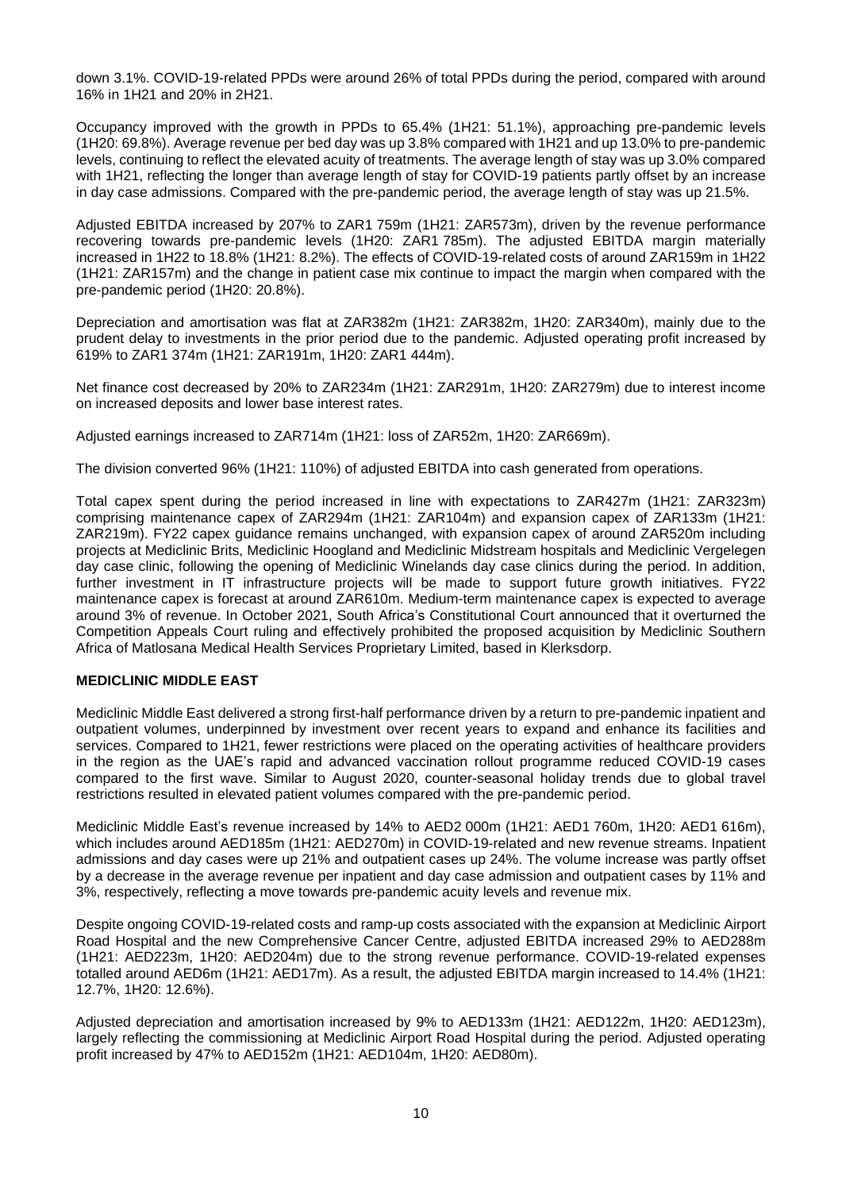down 3.1%. COVID-19-related PPDs were around 26% of total PPDs during the period, compared with around 16% in 1H21 and 20% in 2H21.

Occupancy improved with the growth in PPDs to 65.4% (1H21: 51.1%), approaching pre-pandemic levels (1H20: 69.8%). Average revenue per bed day was up 3.8% compared with 1H21 and up 13.0% to pre-pandemic levels, continuing to reflect the elevated acuity of treatments. The average length of stay was up 3.0% compared with 1H21, reflecting the longer than average length of stay for COVID-19 patients partly offset by an increase in day case admissions. Compared with the pre-pandemic period, the average length of stay was up 21.5%.

Adjusted EBITDA increased by 207% to ZAR1 759m (1H21: ZAR573m), driven by the revenue performance recovering towards pre-pandemic levels (1H20: ZAR1 785m). The adjusted EBITDA margin materially increased in 1H22 to 18.8% (1H21: 8.2%). The effects of COVID-19-related costs of around ZAR159m in 1H22 (1H21: ZAR157m) and the change in patient case mix continue to impact the margin when compared with the pre-pandemic period (1H20: 20.8%).

Depreciation and amortisation was flat at ZAR382m (1H21: ZAR382m, 1H20: ZAR340m), mainly due to the prudent delay to investments in the prior period due to the pandemic. Adjusted operating profit increased by 619% to ZAR1 374m (1H21: ZAR191m, 1H20: ZAR1 444m).

Net finance cost decreased by 20% to ZAR234m (1H21: ZAR291m, 1H20: ZAR279m) due to interest income on increased deposits and lower base interest rates.

Adjusted earnings increased to ZAR714m (1H21: loss of ZAR52m, 1H20: ZAR669m).

The division converted 96% (1H21: 110%) of adjusted EBITDA into cash generated from operations.

Total capex spent during the period increased in line with expectations to ZAR427m (1H21: ZAR323m) comprising maintenance capex of ZAR294m (1H21: ZAR104m) and expansion capex of ZAR133m (1H21: ZAR219m). FY22 capex guidance remains unchanged, with expansion capex of around ZAR520m including projects at Mediclinic Brits, Mediclinic Hoogland and Mediclinic Midstream hospitals and Mediclinic Vergelegen day case clinic, following the opening of Mediclinic Winelands day case clinics during the period. In addition, further investment in IT infrastructure projects will be made to support future growth initiatives. FY22 maintenance capex is forecast at around ZAR610m. Medium-term maintenance capex is expected to average around 3% of revenue. In October 2021, South Africa's Constitutional Court announced that it overturned the Competition Appeals Court ruling and effectively prohibited the proposed acquisition by Mediclinic Southern Africa of Matlosana Medical Health Services Proprietary Limited, based in Klerksdorp.

### **MEDICLINIC MIDDLE EAST**

Mediclinic Middle East delivered a strong first-half performance driven by a return to pre-pandemic inpatient and outpatient volumes, underpinned by investment over recent years to expand and enhance its facilities and services. Compared to 1H21, fewer restrictions were placed on the operating activities of healthcare providers in the region as the UAE's rapid and advanced vaccination rollout programme reduced COVID-19 cases compared to the first wave. Similar to August 2020, counter-seasonal holiday trends due to global travel restrictions resulted in elevated patient volumes compared with the pre-pandemic period.

Mediclinic Middle East's revenue increased by 14% to AED2 000m (1H21: AED1 760m, 1H20: AED1 616m), which includes around AED185m (1H21: AED270m) in COVID-19-related and new revenue streams. Inpatient admissions and day cases were up 21% and outpatient cases up 24%. The volume increase was partly offset by a decrease in the average revenue per inpatient and day case admission and outpatient cases by 11% and 3%, respectively, reflecting a move towards pre-pandemic acuity levels and revenue mix.

Despite ongoing COVID-19-related costs and ramp-up costs associated with the expansion at Mediclinic Airport Road Hospital and the new Comprehensive Cancer Centre, adjusted EBITDA increased 29% to AED288m (1H21: AED223m, 1H20: AED204m) due to the strong revenue performance. COVID-19-related expenses totalled around AED6m (1H21: AED17m). As a result, the adjusted EBITDA margin increased to 14.4% (1H21: 12.7%, 1H20: 12.6%).

Adjusted depreciation and amortisation increased by 9% to AED133m (1H21: AED122m, 1H20: AED123m), largely reflecting the commissioning at Mediclinic Airport Road Hospital during the period. Adjusted operating profit increased by 47% to AED152m (1H21: AED104m, 1H20: AED80m).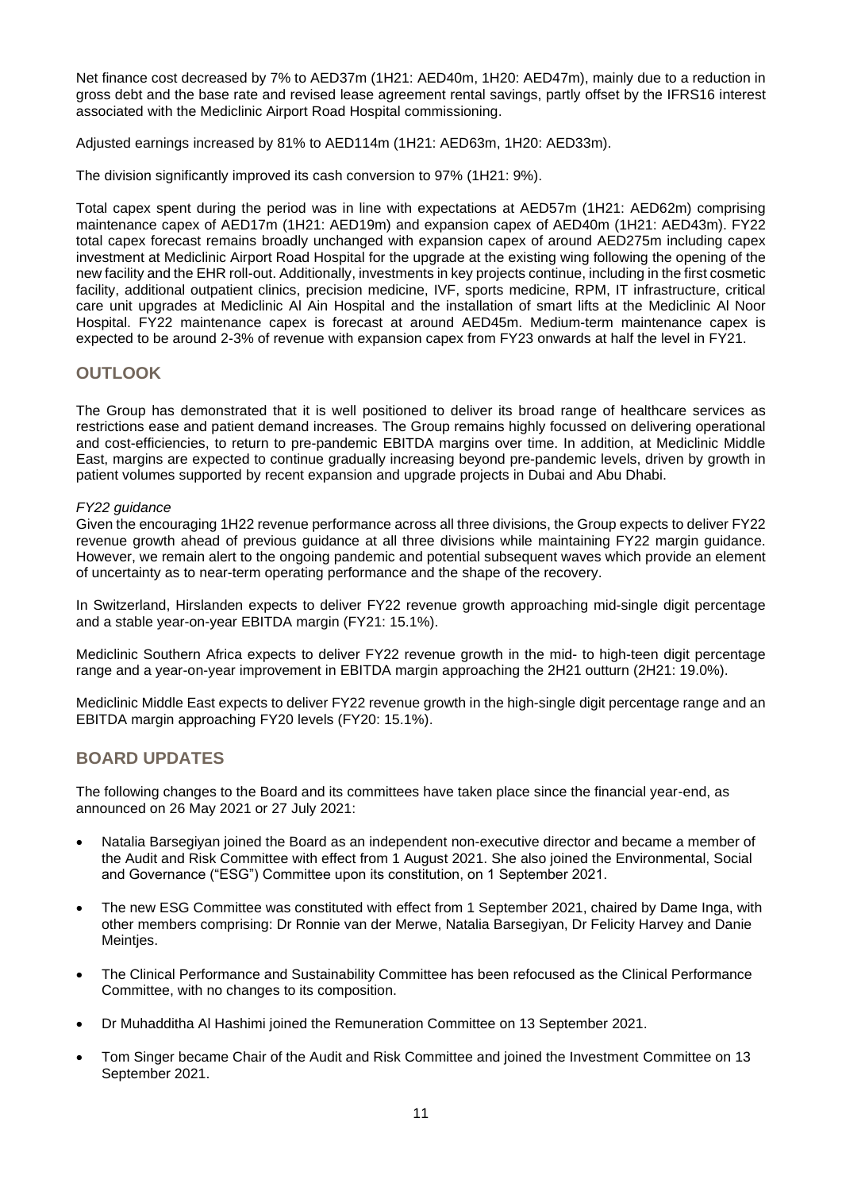Net finance cost decreased by 7% to AED37m (1H21: AED40m, 1H20: AED47m), mainly due to a reduction in gross debt and the base rate and revised lease agreement rental savings, partly offset by the IFRS16 interest associated with the Mediclinic Airport Road Hospital commissioning.

Adjusted earnings increased by 81% to AED114m (1H21: AED63m, 1H20: AED33m).

The division significantly improved its cash conversion to 97% (1H21: 9%).

Total capex spent during the period was in line with expectations at AED57m (1H21: AED62m) comprising maintenance capex of AED17m (1H21: AED19m) and expansion capex of AED40m (1H21: AED43m). FY22 total capex forecast remains broadly unchanged with expansion capex of around AED275m including capex investment at Mediclinic Airport Road Hospital for the upgrade at the existing wing following the opening of the new facility and the EHR roll-out. Additionally, investments in key projects continue, including in the first cosmetic facility, additional outpatient clinics, precision medicine, IVF, sports medicine, RPM, IT infrastructure, critical care unit upgrades at Mediclinic Al Ain Hospital and the installation of smart lifts at the Mediclinic Al Noor Hospital. FY22 maintenance capex is forecast at around AED45m. Medium-term maintenance capex is expected to be around 2-3% of revenue with expansion capex from FY23 onwards at half the level in FY21.

# **OUTLOOK**

The Group has demonstrated that it is well positioned to deliver its broad range of healthcare services as restrictions ease and patient demand increases. The Group remains highly focussed on delivering operational and cost-efficiencies, to return to pre-pandemic EBITDA margins over time. In addition, at Mediclinic Middle East, margins are expected to continue gradually increasing beyond pre-pandemic levels, driven by growth in patient volumes supported by recent expansion and upgrade projects in Dubai and Abu Dhabi.

#### *FY22 guidance*

Given the encouraging 1H22 revenue performance across all three divisions, the Group expects to deliver FY22 revenue growth ahead of previous guidance at all three divisions while maintaining FY22 margin guidance. However, we remain alert to the ongoing pandemic and potential subsequent waves which provide an element of uncertainty as to near-term operating performance and the shape of the recovery.

In Switzerland, Hirslanden expects to deliver FY22 revenue growth approaching mid-single digit percentage and a stable year-on-year EBITDA margin (FY21: 15.1%).

Mediclinic Southern Africa expects to deliver FY22 revenue growth in the mid- to high-teen digit percentage range and a year-on-year improvement in EBITDA margin approaching the 2H21 outturn (2H21: 19.0%).

Mediclinic Middle East expects to deliver FY22 revenue growth in the high-single digit percentage range and an EBITDA margin approaching FY20 levels (FY20: 15.1%).

# **BOARD UPDATES**

The following changes to the Board and its committees have taken place since the financial year-end, as announced on 26 May 2021 or 27 July 2021:

- Natalia Barsegiyan joined the Board as an independent non-executive director and became a member of the Audit and Risk Committee with effect from 1 August 2021. She also joined the Environmental, Social and Governance ("ESG") Committee upon its constitution, on 1 September 2021.
- The new ESG Committee was constituted with effect from 1 September 2021, chaired by Dame Inga, with other members comprising: Dr Ronnie van der Merwe, Natalia Barsegiyan, Dr Felicity Harvey and Danie Meinties.
- The Clinical Performance and Sustainability Committee has been refocused as the Clinical Performance Committee, with no changes to its composition.
- Dr Muhadditha Al Hashimi joined the Remuneration Committee on 13 September 2021.
- Tom Singer became Chair of the Audit and Risk Committee and joined the Investment Committee on 13 September 2021.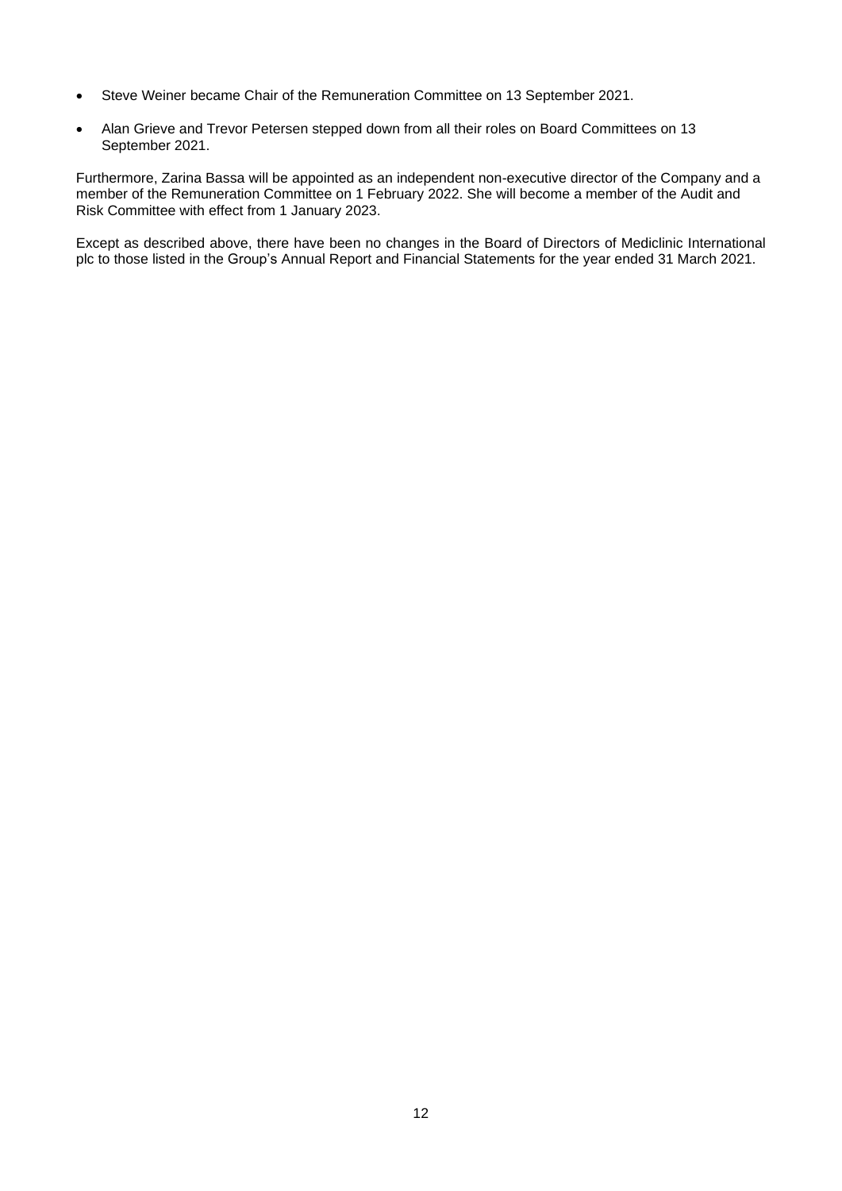- Steve Weiner became Chair of the Remuneration Committee on 13 September 2021.
- Alan Grieve and Trevor Petersen stepped down from all their roles on Board Committees on 13 September 2021.

Furthermore, Zarina Bassa will be appointed as an independent non-executive director of the Company and a member of the Remuneration Committee on 1 February 2022. She will become a member of the Audit and Risk Committee with effect from 1 January 2023.

Except as described above, there have been no changes in the Board of Directors of Mediclinic International plc to those listed in the Group's Annual Report and Financial Statements for the year ended 31 March 2021.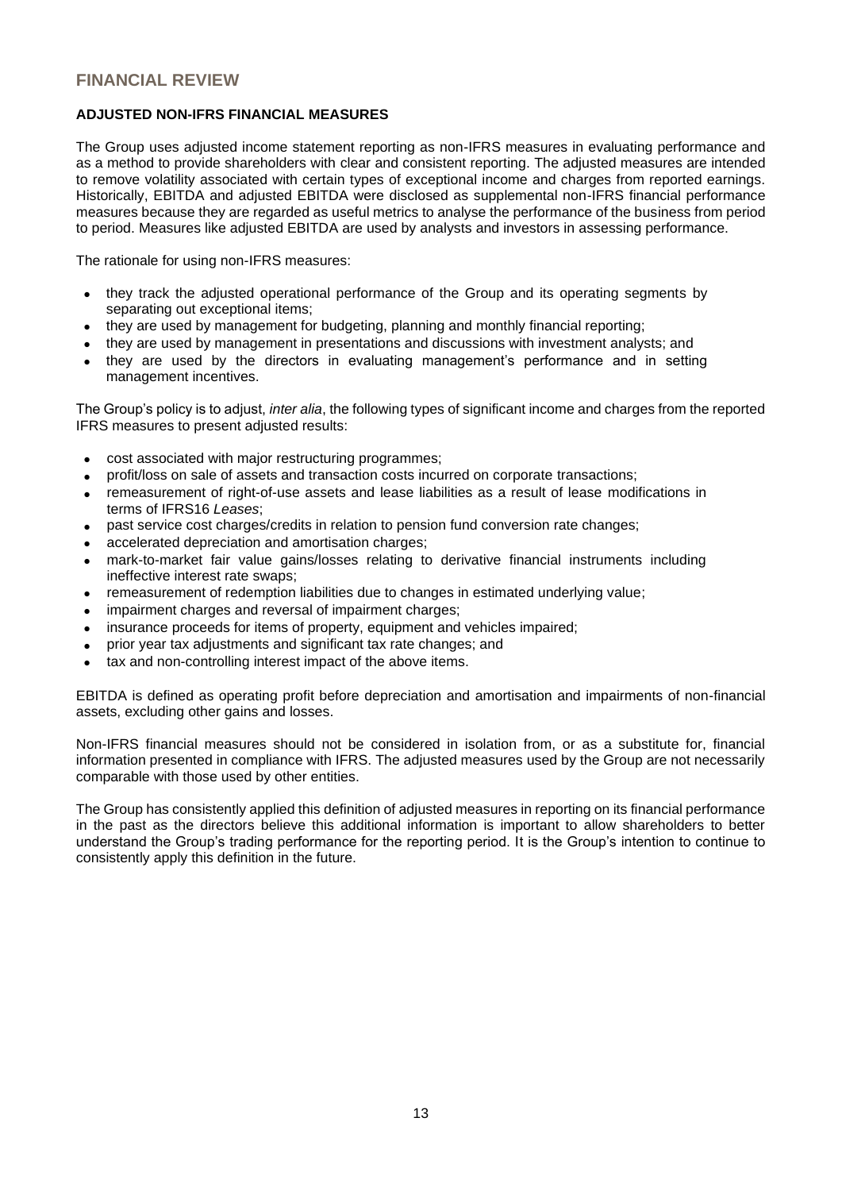# **FINANCIAL REVIEW**

## **ADJUSTED NON-IFRS FINANCIAL MEASURES**

The Group uses adjusted income statement reporting as non-IFRS measures in evaluating performance and as a method to provide shareholders with clear and consistent reporting. The adjusted measures are intended to remove volatility associated with certain types of exceptional income and charges from reported earnings. Historically, EBITDA and adjusted EBITDA were disclosed as supplemental non-IFRS financial performance measures because they are regarded as useful metrics to analyse the performance of the business from period to period. Measures like adjusted EBITDA are used by analysts and investors in assessing performance.

The rationale for using non-IFRS measures:

- they track the adjusted operational performance of the Group and its operating segments by separating out exceptional items;
- they are used by management for budgeting, planning and monthly financial reporting;
- they are used by management in presentations and discussions with investment analysts; and
- they are used by the directors in evaluating management's performance and in setting management incentives.

The Group's policy is to adjust, *inter alia*, the following types of significant income and charges from the reported IFRS measures to present adjusted results:

- cost associated with major restructuring programmes;
- profit/loss on sale of assets and transaction costs incurred on corporate transactions;
- remeasurement of right-of-use assets and lease liabilities as a result of lease modifications in terms of IFRS16 *Leases*;
- past service cost charges/credits in relation to pension fund conversion rate changes;
- accelerated depreciation and amortisation charges:
- mark-to-market fair value gains/losses relating to derivative financial instruments including ineffective interest rate swaps;
- remeasurement of redemption liabilities due to changes in estimated underlying value;
- impairment charges and reversal of impairment charges;
- insurance proceeds for items of property, equipment and vehicles impaired;
- prior year tax adjustments and significant tax rate changes; and
- tax and non-controlling interest impact of the above items.

EBITDA is defined as operating profit before depreciation and amortisation and impairments of non-financial assets, excluding other gains and losses.

Non-IFRS financial measures should not be considered in isolation from, or as a substitute for, financial information presented in compliance with IFRS. The adjusted measures used by the Group are not necessarily comparable with those used by other entities.

The Group has consistently applied this definition of adjusted measures in reporting on its financial performance in the past as the directors believe this additional information is important to allow shareholders to better understand the Group's trading performance for the reporting period. It is the Group's intention to continue to consistently apply this definition in the future.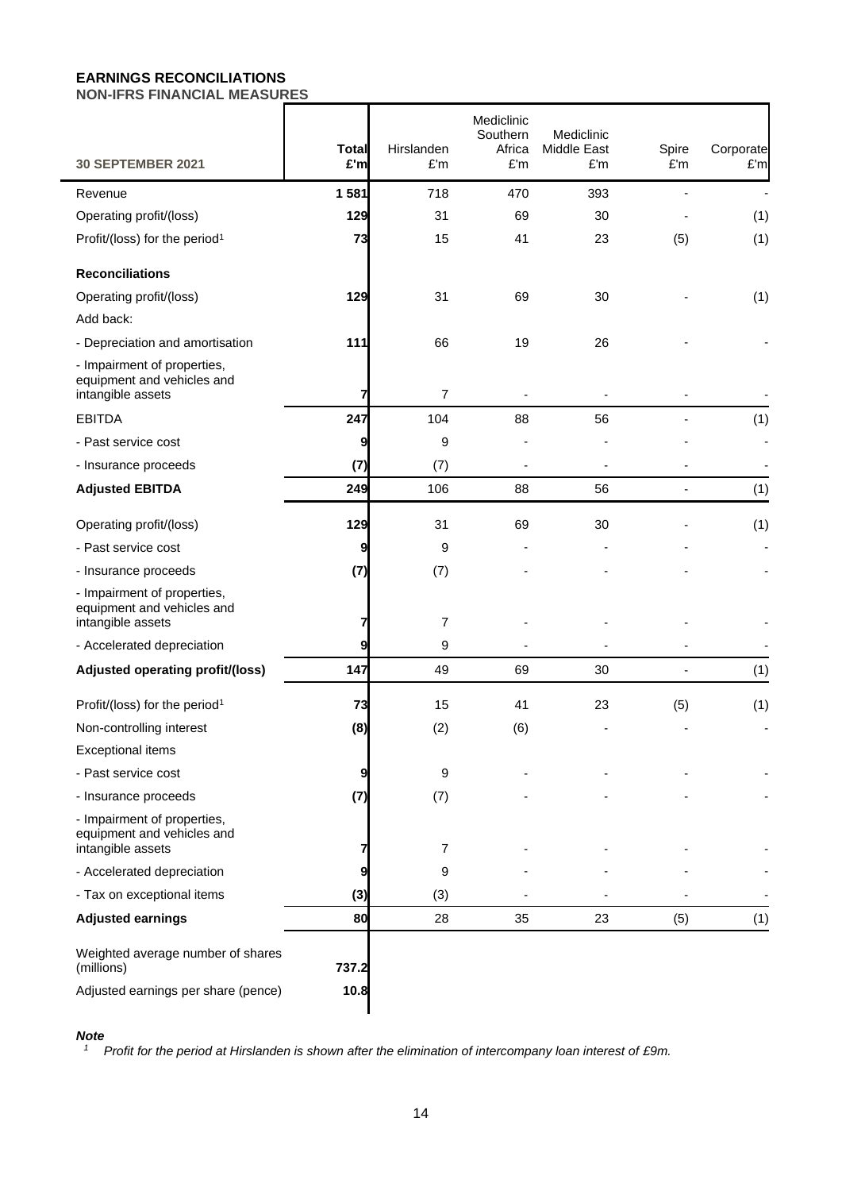# **EARNINGS RECONCILIATIONS NON-IFRS FINANCIAL MEASURES**

| <b>30 SEPTEMBER 2021</b>                                                               | <b>Total</b><br>£'m | Hirslanden<br>£'m | Mediclinic<br>Southern<br>Africa<br>£'m | Mediclinic<br>Middle East<br>£'m | Spire<br>£'m | Corporate<br>£'m |
|----------------------------------------------------------------------------------------|---------------------|-------------------|-----------------------------------------|----------------------------------|--------------|------------------|
| Revenue                                                                                | 1 581               | 718               | 470                                     | 393                              |              |                  |
| Operating profit/(loss)                                                                | 129                 | 31                | 69                                      | 30                               |              | (1)              |
| Profit/(loss) for the period <sup>1</sup>                                              | 73                  | 15                | 41                                      | 23                               | (5)          | (1)              |
| <b>Reconciliations</b>                                                                 |                     |                   |                                         |                                  |              |                  |
| Operating profit/(loss)                                                                | 129                 | 31                | 69                                      | 30                               |              | (1)              |
| Add back:                                                                              |                     |                   |                                         |                                  |              |                  |
| - Depreciation and amortisation                                                        | 111                 | 66                | 19                                      | 26                               |              |                  |
| - Impairment of properties,<br>equipment and vehicles and<br>intangible assets         | 7                   | $\overline{7}$    |                                         |                                  |              |                  |
| <b>EBITDA</b>                                                                          | 247                 | 104               | 88                                      | 56                               |              | (1)              |
| - Past service cost                                                                    | 9                   | 9                 |                                         |                                  |              |                  |
| - Insurance proceeds                                                                   | (7)                 | (7)               |                                         |                                  |              |                  |
| <b>Adjusted EBITDA</b>                                                                 | 249                 | 106               | 88                                      | 56                               |              | (1)              |
| Operating profit/(loss)                                                                | 129                 | 31                | 69                                      | 30                               |              | (1)              |
| - Past service cost                                                                    | 9                   | 9                 |                                         |                                  |              |                  |
| - Insurance proceeds                                                                   | (7)                 | (7)               |                                         |                                  |              |                  |
| - Impairment of properties,<br>equipment and vehicles and<br>intangible assets         | 7                   | $\overline{7}$    |                                         |                                  |              |                  |
| - Accelerated depreciation                                                             | 9                   | 9                 |                                         |                                  |              |                  |
| <b>Adjusted operating profit/(loss)</b>                                                | 147                 | 49                | 69                                      | 30                               |              | (1)              |
| Profit/(loss) for the period <sup>1</sup>                                              | 73                  | 15                | 41                                      | 23                               | (5)          | (1)              |
| Non-controlling interest                                                               | (8)                 | (2)               | (6)                                     |                                  |              |                  |
| <b>Exceptional items</b>                                                               |                     |                   |                                         |                                  |              |                  |
| - Past service cost                                                                    | 9                   | 9                 |                                         |                                  |              |                  |
| - Insurance proceeds                                                                   | (7)                 | (7)               |                                         |                                  |              |                  |
| - Impairment of properties,<br>equipment and vehicles and<br>intangible assets         |                     | 7                 |                                         |                                  |              |                  |
| - Accelerated depreciation                                                             | 9                   | 9                 |                                         |                                  |              |                  |
| - Tax on exceptional items                                                             | (3)                 | (3)               |                                         |                                  |              |                  |
| <b>Adjusted earnings</b>                                                               | 80                  | 28                | 35                                      | 23                               | (5)          | (1)              |
| Weighted average number of shares<br>(millions)<br>Adjusted earnings per share (pence) | 737.2<br>10.8       |                   |                                         |                                  |              |                  |

#### *Note*

*<sup>1</sup> Profit for the period at Hirslanden is shown after the elimination of intercompany loan interest of £9m.*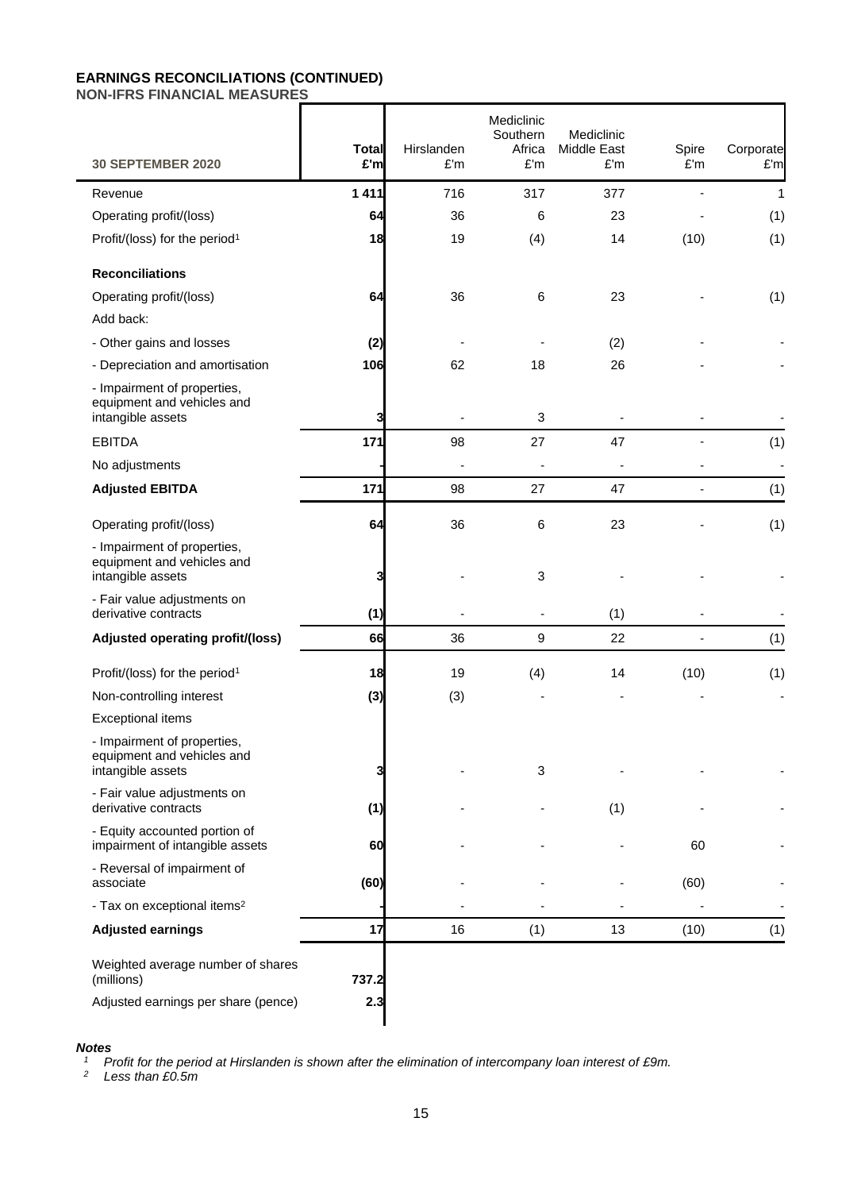# **EARNINGS RECONCILIATIONS (CONTINUED)**

**NON-IFRS FINANCIAL MEASURES**

| <b>30 SEPTEMBER 2020</b>                                                       | <b>Total</b><br>£'m | Hirslanden<br>£'m | Mediclinic<br>Southern<br>Africa<br>£'m | Mediclinic<br>Middle East<br>£'m | Spire<br>£'m             | Corporate<br>£'m |
|--------------------------------------------------------------------------------|---------------------|-------------------|-----------------------------------------|----------------------------------|--------------------------|------------------|
| Revenue                                                                        | 1 4 1 1             | 716               | 317                                     | 377                              |                          | 1                |
| Operating profit/(loss)                                                        | 64                  | 36                | 6                                       | 23                               |                          | (1)              |
| Profit/(loss) for the period <sup>1</sup>                                      | 18                  | 19                | (4)                                     | 14                               | (10)                     | (1)              |
| <b>Reconciliations</b>                                                         |                     |                   |                                         |                                  |                          |                  |
| Operating profit/(loss)                                                        | 64                  | 36                | 6                                       | 23                               |                          | (1)              |
| Add back:                                                                      |                     |                   |                                         |                                  |                          |                  |
| - Other gains and losses                                                       | (2)                 |                   |                                         | (2)                              |                          |                  |
| - Depreciation and amortisation                                                | 106                 | 62                | 18                                      | 26                               |                          |                  |
| - Impairment of properties,<br>equipment and vehicles and<br>intangible assets | 3                   |                   | 3                                       |                                  |                          |                  |
| <b>EBITDA</b>                                                                  | 171                 | 98                | 27                                      | 47                               |                          | (1)              |
| No adjustments                                                                 |                     |                   |                                         |                                  |                          | ÷,               |
| <b>Adjusted EBITDA</b>                                                         | 171                 | 98                | 27                                      | 47                               |                          | (1)              |
| Operating profit/(loss)                                                        | 64                  | 36                | 6                                       | 23                               |                          | (1)              |
| - Impairment of properties,<br>equipment and vehicles and<br>intangible assets | 3                   |                   | 3                                       |                                  |                          |                  |
| - Fair value adjustments on<br>derivative contracts                            | (1)                 |                   |                                         | (1)                              |                          |                  |
| Adjusted operating profit/(loss)                                               | 66                  | 36                | 9                                       | 22                               | $\overline{\phantom{a}}$ | (1)              |
| Profit/(loss) for the period <sup>1</sup>                                      | 18                  | 19                | (4)                                     | 14                               | (10)                     | (1)              |
| Non-controlling interest                                                       | (3)                 | (3)               |                                         |                                  |                          |                  |
| <b>Exceptional items</b>                                                       |                     |                   |                                         |                                  |                          |                  |
| - Impairment of properties,<br>equipment and vehicles and<br>intangible assets | 3                   |                   | 3                                       |                                  |                          |                  |
| - Fair value adjustments on<br>derivative contracts                            | (1)                 |                   |                                         | (1)                              |                          |                  |
| - Equity accounted portion of<br>impairment of intangible assets               | 60                  |                   |                                         |                                  | 60                       |                  |
| - Reversal of impairment of<br>associate                                       | (60)                |                   |                                         |                                  | (60)                     |                  |
| - Tax on exceptional items <sup>2</sup>                                        |                     |                   |                                         |                                  |                          |                  |
| <b>Adjusted earnings</b>                                                       | 17                  | 16                | (1)                                     | 13                               | (10)                     | (1)              |
| Weighted average number of shares<br>(millions)                                | 737.2               |                   |                                         |                                  |                          |                  |
| Adjusted earnings per share (pence)                                            | 2.3                 |                   |                                         |                                  |                          |                  |

#### *Notes*

*<sup>1</sup> Profit for the period at Hirslanden is shown after the elimination of intercompany loan interest of £9m.*

*<sup>2</sup> Less than £0.5m*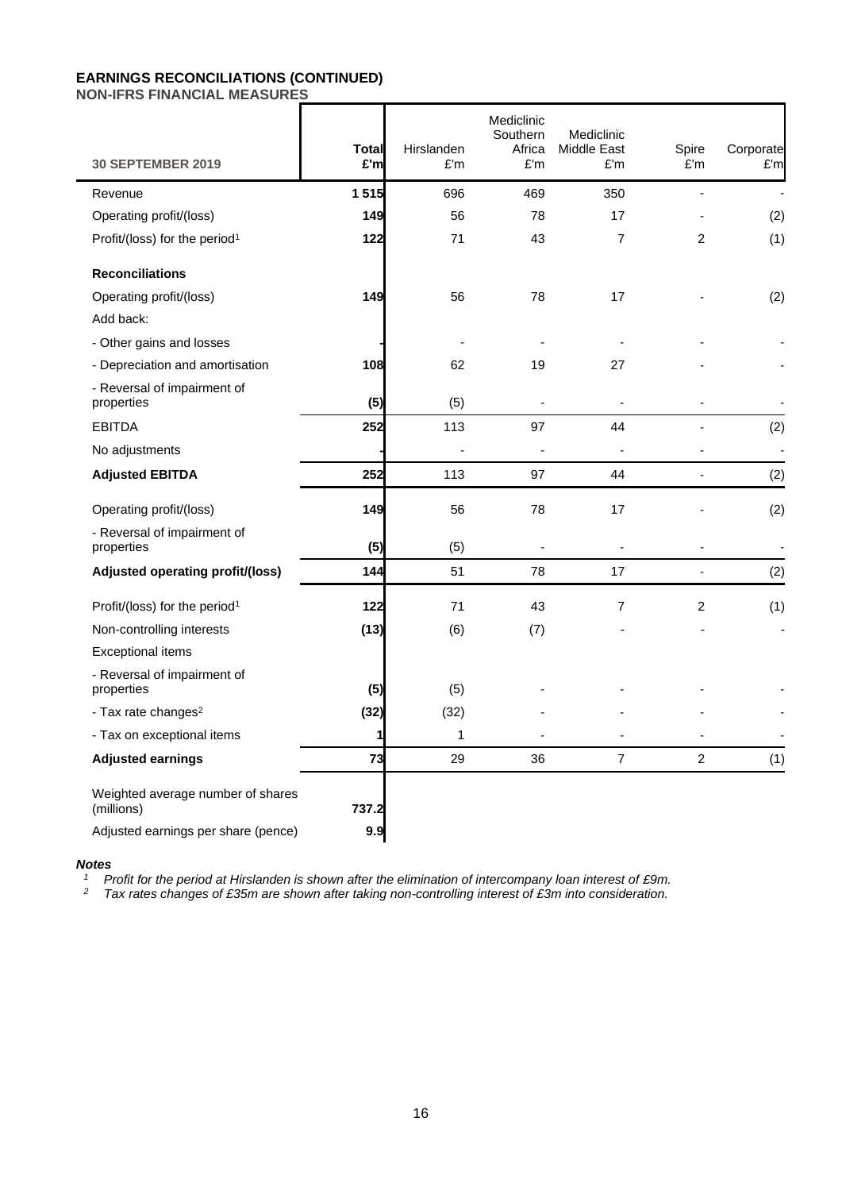# **EARNINGS RECONCILIATIONS (CONTINUED)**

**NON-IFRS FINANCIAL MEASURES**

| <b>30 SEPTEMBER 2019</b>                        | Total<br>£'m | Hirslanden<br>£'m | Mediclinic<br>Southern<br>Africa<br>£'m | Mediclinic<br><b>Middle East</b><br>£'m | Spire<br>E'm   | Corporate<br>E'm |
|-------------------------------------------------|--------------|-------------------|-----------------------------------------|-----------------------------------------|----------------|------------------|
| Revenue                                         | 1515         | 696               | 469                                     | 350                                     |                |                  |
| Operating profit/(loss)                         | 149          | 56                | 78                                      | 17                                      |                | (2)              |
| Profit/(loss) for the period <sup>1</sup>       | $122$        | 71                | 43                                      | $\overline{7}$                          | $\overline{2}$ | (1)              |
| <b>Reconciliations</b>                          |              |                   |                                         |                                         |                |                  |
| Operating profit/(loss)                         | 149          | 56                | 78                                      | 17                                      |                | (2)              |
| Add back:                                       |              |                   |                                         |                                         |                |                  |
| - Other gains and losses                        |              |                   |                                         |                                         |                |                  |
| - Depreciation and amortisation                 | 108          | 62                | 19                                      | 27                                      |                |                  |
| - Reversal of impairment of<br>properties       | (5)          | (5)               |                                         |                                         |                |                  |
| <b>EBITDA</b>                                   | 252          | 113               | 97                                      | 44                                      |                | (2)              |
| No adjustments                                  |              |                   |                                         |                                         |                | $\overline{a}$   |
| <b>Adjusted EBITDA</b>                          | 252          | 113               | 97                                      | 44                                      | $\overline{a}$ | (2)              |
| Operating profit/(loss)                         | 149          | 56                | 78                                      | 17                                      |                | (2)              |
| - Reversal of impairment of<br>properties       | (5)          | (5)               |                                         |                                         |                | $\overline{a}$   |
| Adjusted operating profit/(loss)                | 144          | 51                | 78                                      | 17                                      |                | (2)              |
| Profit/(loss) for the period <sup>1</sup>       | 122          | 71                | 43                                      | $\overline{7}$                          | 2              | (1)              |
| Non-controlling interests                       | (13)         | (6)               | (7)                                     |                                         |                | $\blacksquare$   |
| Exceptional items                               |              |                   |                                         |                                         |                |                  |
| - Reversal of impairment of<br>properties       | (5)          | (5)               |                                         |                                         |                |                  |
| - Tax rate changes <sup>2</sup>                 | (32)         | (32)              |                                         |                                         |                |                  |
| - Tax on exceptional items                      | 1            | 1                 |                                         |                                         |                |                  |
| <b>Adjusted earnings</b>                        | 73           | 29                | 36                                      | $\overline{7}$                          | $\overline{2}$ | (1)              |
| Weighted average number of shares<br>(millions) | 737.2        |                   |                                         |                                         |                |                  |
| Adjusted earnings per share (pence)             | 9.9          |                   |                                         |                                         |                |                  |

#### *Notes*

*<sup>1</sup> Profit for the period at Hirslanden is shown after the elimination of intercompany loan interest of £9m.*

*<sup>2</sup> Tax rates changes of £35m are shown after taking non-controlling interest of £3m into consideration.*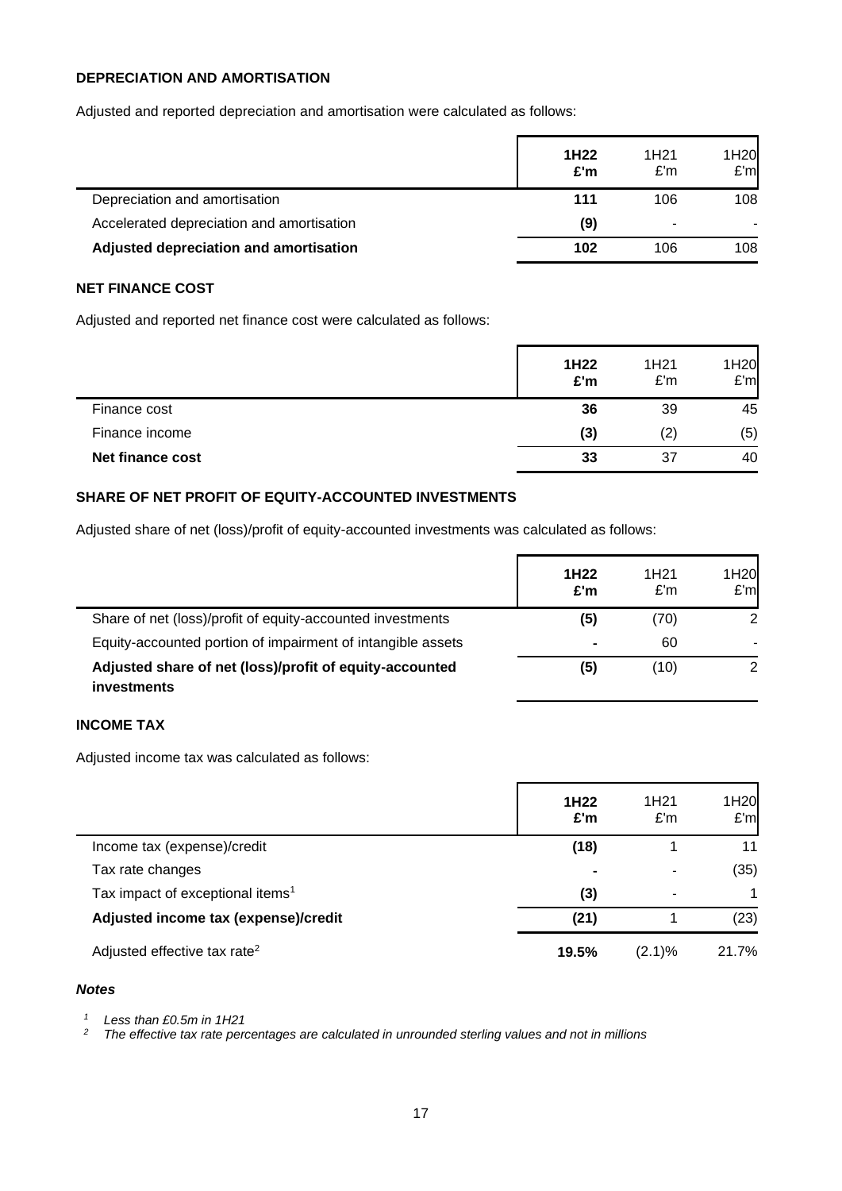# **DEPRECIATION AND AMORTISATION**

Adjusted and reported depreciation and amortisation were calculated as follows:

|                                           | 1H <sub>22</sub><br>E'm | 1H <sub>21</sub><br>E'm  | 1H <sub>20</sub><br>E'm |
|-------------------------------------------|-------------------------|--------------------------|-------------------------|
| Depreciation and amortisation             | 111                     | 106                      | 108                     |
| Accelerated depreciation and amortisation | (9)                     | $\overline{\phantom{a}}$ |                         |
| Adjusted depreciation and amortisation    | 102                     | 106                      | 108                     |

# **NET FINANCE COST**

Adjusted and reported net finance cost were calculated as follows:

|                         | 1H22<br>£'m | 1H <sub>21</sub><br>E'm | 1H20<br>E'm |
|-------------------------|-------------|-------------------------|-------------|
| Finance cost            | 36          | 39                      | 45          |
| Finance income          | (3)         | $\left( 2\right)$       | (5)         |
| <b>Net finance cost</b> | 33          | 37                      | 40          |

### **SHARE OF NET PROFIT OF EQUITY-ACCOUNTED INVESTMENTS**

Adjusted share of net (loss)/profit of equity-accounted investments was calculated as follows:

|                                                                        | 1H <sub>22</sub><br>£'m | 1H <sub>21</sub><br>E'm | 1H <sub>20</sub><br>E'm |
|------------------------------------------------------------------------|-------------------------|-------------------------|-------------------------|
| Share of net (loss)/profit of equity-accounted investments             | (5)                     | (70)                    | 2                       |
| Equity-accounted portion of impairment of intangible assets            | ۰                       | 60                      |                         |
| Adjusted share of net (loss)/profit of equity-accounted<br>investments | (5)                     | (10)                    | 2                       |

# **INCOME TAX**

Adjusted income tax was calculated as follows:

|                                              | 1H <sub>22</sub><br>£'m | 1H <sub>21</sub><br>E'm | 1H20<br>E'm |
|----------------------------------------------|-------------------------|-------------------------|-------------|
| Income tax (expense)/credit                  | (18)                    |                         | 11          |
| Tax rate changes                             | $\blacksquare$          |                         | (35)        |
| Tax impact of exceptional items <sup>1</sup> | (3)                     |                         |             |
| Adjusted income tax (expense)/credit         | (21)                    |                         | (23)        |
| Adjusted effective tax rate <sup>2</sup>     | 19.5%                   | (2.1)%                  | 21.7%       |

### *Notes*

l,

*<sup>1</sup> Less than £0.5m in 1H21*

*<sup>2</sup> The effective tax rate percentages are calculated in unrounded sterling values and not in millions*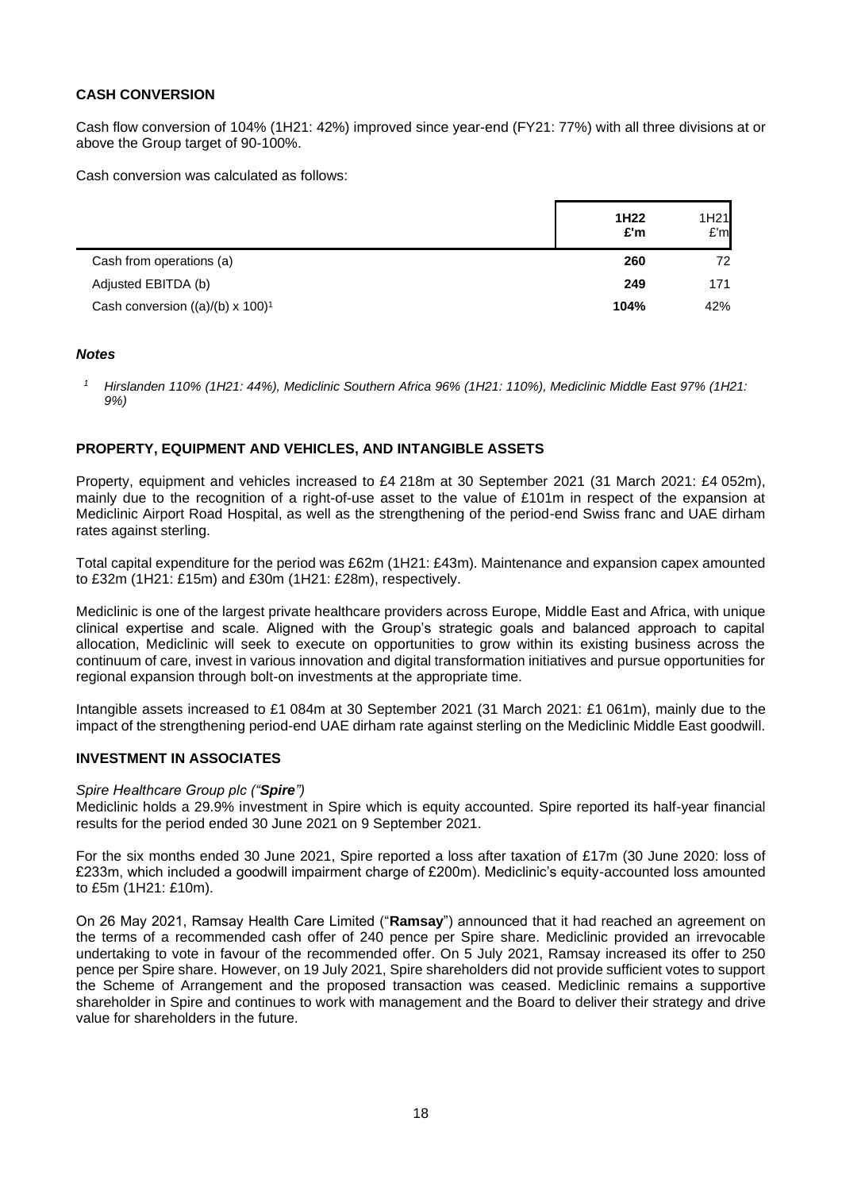## **CASH CONVERSION**

Cash flow conversion of 104% (1H21: 42%) improved since year-end (FY21: 77%) with all three divisions at or above the Group target of 90-100%.

Cash conversion was calculated as follows:

|                                                 | 1H <sub>22</sub><br>£'m | 1H <sub>21</sub><br>E'm |
|-------------------------------------------------|-------------------------|-------------------------|
| Cash from operations (a)                        | 260                     | 72                      |
| Adjusted EBITDA (b)                             | 249                     | 171                     |
| Cash conversion ((a)/(b) x $100$ ) <sup>1</sup> | 104%                    | 42%                     |

#### *Notes*

*<sup>1</sup> Hirslanden 110% (1H21: 44%), Mediclinic Southern Africa 96% (1H21: 110%), Mediclinic Middle East 97% (1H21: 9%)*

#### **PROPERTY, EQUIPMENT AND VEHICLES, AND INTANGIBLE ASSETS**

Property, equipment and vehicles increased to £4 218m at 30 September 2021 (31 March 2021: £4 052m), mainly due to the recognition of a right-of-use asset to the value of £101m in respect of the expansion at Mediclinic Airport Road Hospital, as well as the strengthening of the period-end Swiss franc and UAE dirham rates against sterling.

Total capital expenditure for the period was £62m (1H21: £43m). Maintenance and expansion capex amounted to £32m (1H21: £15m) and £30m (1H21: £28m), respectively.

Mediclinic is one of the largest private healthcare providers across Europe, Middle East and Africa, with unique clinical expertise and scale. Aligned with the Group's strategic goals and balanced approach to capital allocation, Mediclinic will seek to execute on opportunities to grow within its existing business across the continuum of care, invest in various innovation and digital transformation initiatives and pursue opportunities for regional expansion through bolt-on investments at the appropriate time.

Intangible assets increased to £1 084m at 30 September 2021 (31 March 2021: £1 061m), mainly due to the impact of the strengthening period-end UAE dirham rate against sterling on the Mediclinic Middle East goodwill.

#### **INVESTMENT IN ASSOCIATES**

#### *Spire Healthcare Group plc ("Spire")*

Mediclinic holds a 29.9% investment in Spire which is equity accounted. Spire reported its half-year financial results for the period ended 30 June 2021 on 9 September 2021.

For the six months ended 30 June 2021, Spire reported a loss after taxation of £17m (30 June 2020: loss of £233m, which included a goodwill impairment charge of £200m). Mediclinic's equity-accounted loss amounted to £5m (1H21: £10m).

On 26 May 2021, Ramsay Health Care Limited ("**Ramsay**") announced that it had reached an agreement on the terms of a recommended cash offer of 240 pence per Spire share. Mediclinic provided an irrevocable undertaking to vote in favour of the recommended offer. On 5 July 2021, Ramsay increased its offer to 250 pence per Spire share. However, on 19 July 2021, Spire shareholders did not provide sufficient votes to support the Scheme of Arrangement and the proposed transaction was ceased. Mediclinic remains a supportive shareholder in Spire and continues to work with management and the Board to deliver their strategy and drive value for shareholders in the future.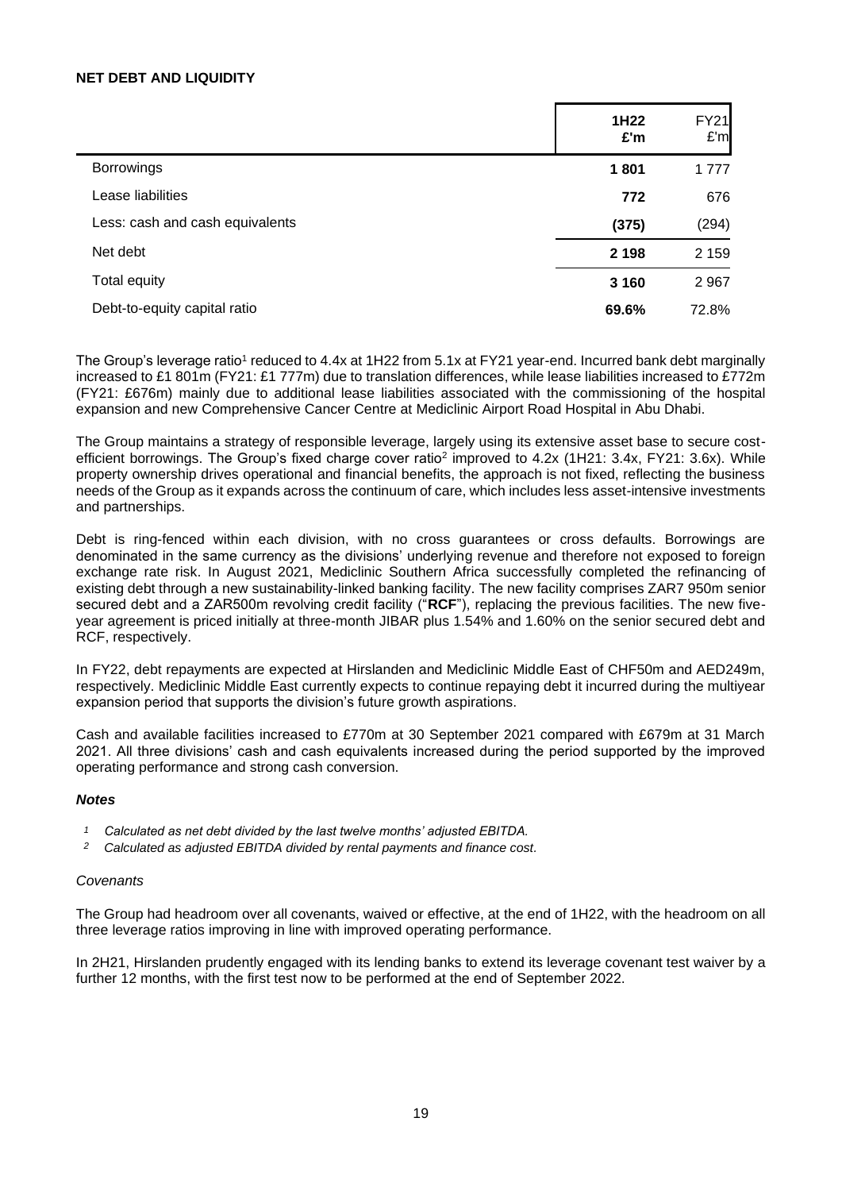#### **NET DEBT AND LIQUIDITY**

|                                 | 1H <sub>22</sub><br>£'m | <b>FY21</b><br>E'm |
|---------------------------------|-------------------------|--------------------|
| <b>Borrowings</b>               | 1801                    | 1777               |
| Lease liabilities               | 772                     | 676                |
| Less: cash and cash equivalents | (375)                   | (294)              |
| Net debt                        | 2 1 9 8                 | 2 1 5 9            |
| Total equity                    | 3 1 6 0                 | 2 9 6 7            |
| Debt-to-equity capital ratio    | 69.6%                   | 72.8%              |

The Group's leverage ratio<sup>1</sup> reduced to 4.4x at 1H22 from 5.1x at FY21 year-end. Incurred bank debt marginally increased to £1 801m (FY21: £1 777m) due to translation differences, while lease liabilities increased to £772m (FY21: £676m) mainly due to additional lease liabilities associated with the commissioning of the hospital expansion and new Comprehensive Cancer Centre at Mediclinic Airport Road Hospital in Abu Dhabi.

The Group maintains a strategy of responsible leverage, largely using its extensive asset base to secure costefficient borrowings. The Group's fixed charge cover ratio<sup>2</sup> improved to 4.2x (1H21: 3.4x, FY21: 3.6x). While property ownership drives operational and financial benefits, the approach is not fixed, reflecting the business needs of the Group as it expands across the continuum of care, which includes less asset-intensive investments and partnerships.

Debt is ring-fenced within each division, with no cross guarantees or cross defaults. Borrowings are denominated in the same currency as the divisions' underlying revenue and therefore not exposed to foreign exchange rate risk. In August 2021, Mediclinic Southern Africa successfully completed the refinancing of existing debt through a new sustainability-linked banking facility. The new facility comprises ZAR7 950m senior secured debt and a ZAR500m revolving credit facility ("**RCF**"), replacing the previous facilities. The new fiveyear agreement is priced initially at three-month JIBAR plus 1.54% and 1.60% on the senior secured debt and RCF, respectively.

In FY22, debt repayments are expected at Hirslanden and Mediclinic Middle East of CHF50m and AED249m, respectively. Mediclinic Middle East currently expects to continue repaying debt it incurred during the multiyear expansion period that supports the division's future growth aspirations.

Cash and available facilities increased to £770m at 30 September 2021 compared with £679m at 31 March 2021. All three divisions' cash and cash equivalents increased during the period supported by the improved operating performance and strong cash conversion.

#### *Notes*

- *1 Calculated as net debt divided by the last twelve months' adjusted EBITDA.*
- *2 Calculated as adjusted EBITDA divided by rental payments and finance cost.*

#### *Covenants*

The Group had headroom over all covenants, waived or effective, at the end of 1H22, with the headroom on all three leverage ratios improving in line with improved operating performance.

In 2H21, Hirslanden prudently engaged with its lending banks to extend its leverage covenant test waiver by a further 12 months, with the first test now to be performed at the end of September 2022.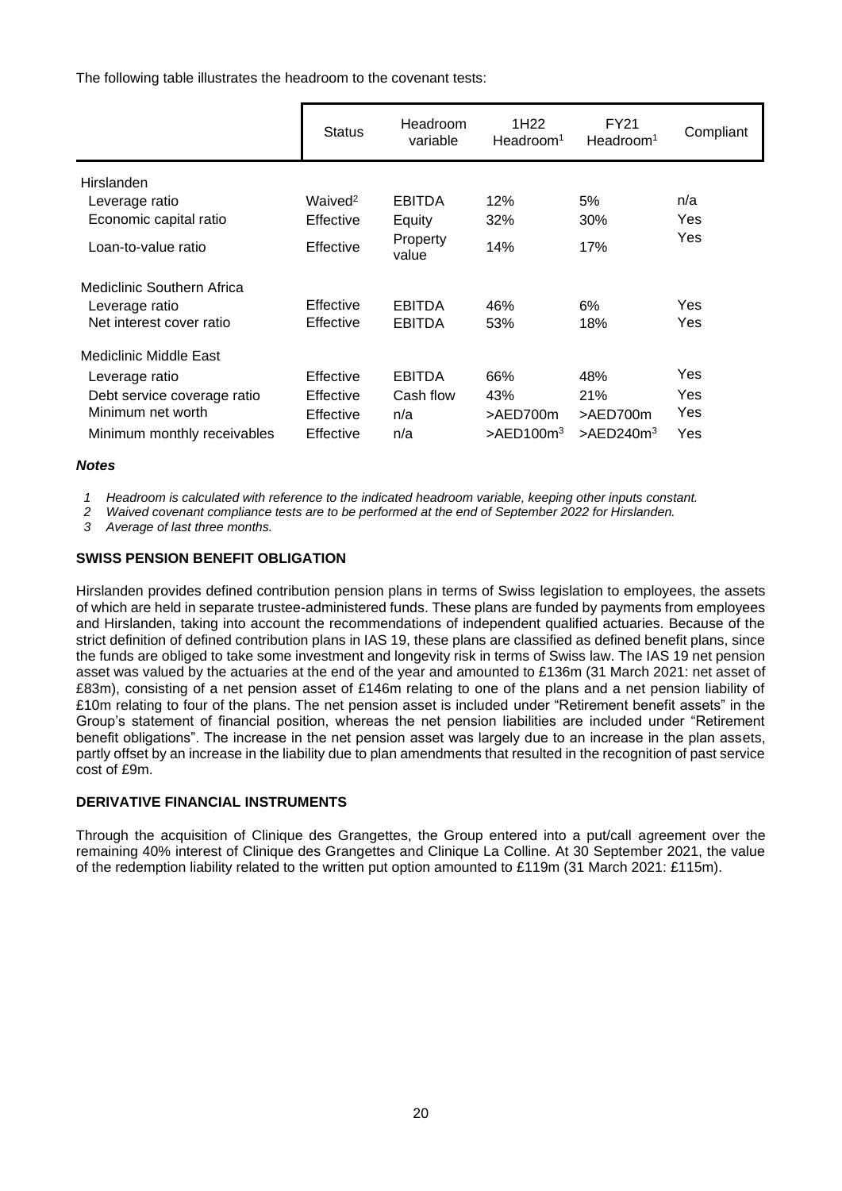The following table illustrates the headroom to the covenant tests:

|                             | <b>Status</b>       | Headroom<br>variable | 1H <sub>22</sub><br>Headroom <sup>1</sup> | FY21<br>Headroom <sup>1</sup> | Compliant |
|-----------------------------|---------------------|----------------------|-------------------------------------------|-------------------------------|-----------|
| Hirslanden                  |                     |                      |                                           |                               |           |
| Leverage ratio              | Waived <sup>2</sup> | <b>EBITDA</b>        | 12%                                       | 5%                            | n/a       |
| Economic capital ratio      | Effective           | Equity               | 32%                                       | 30%                           | Yes       |
| Loan-to-value ratio         | Effective           | Property<br>value    | 14%                                       | 17%                           | Yes       |
| Mediclinic Southern Africa  |                     |                      |                                           |                               |           |
| Leverage ratio              | Effective           | <b>EBITDA</b>        | 46%                                       | 6%                            | Yes       |
| Net interest cover ratio    | Effective           | <b>EBITDA</b>        | 53%                                       | 18%                           | Yes       |
| Mediclinic Middle East      |                     |                      |                                           |                               |           |
| Leverage ratio              | Effective           | <b>EBITDA</b>        | 66%                                       | 48%                           | Yes       |
| Debt service coverage ratio | Effective           | Cash flow            | 43%                                       | 21%                           | Yes       |
| Minimum net worth           | Effective           | n/a                  | >AED700m                                  | >AED700m                      | Yes       |
| Minimum monthly receivables | Effective           | n/a                  | $>$ AED100 $m3$                           | $>$ AED240m <sup>3</sup>      | Yes       |

#### *Notes*

*1 Headroom is calculated with reference to the indicated headroom variable, keeping other inputs constant.*

*2 Waived covenant compliance tests are to be performed at the end of September 2022 for Hirslanden.*

*3 Average of last three months.*

#### **SWISS PENSION BENEFIT OBLIGATION**

Hirslanden provides defined contribution pension plans in terms of Swiss legislation to employees, the assets of which are held in separate trustee-administered funds. These plans are funded by payments from employees and Hirslanden, taking into account the recommendations of independent qualified actuaries. Because of the strict definition of defined contribution plans in IAS 19, these plans are classified as defined benefit plans, since the funds are obliged to take some investment and longevity risk in terms of Swiss law. The IAS 19 net pension asset was valued by the actuaries at the end of the year and amounted to £136m (31 March 2021: net asset of £83m), consisting of a net pension asset of £146m relating to one of the plans and a net pension liability of £10m relating to four of the plans. The net pension asset is included under "Retirement benefit assets" in the Group's statement of financial position, whereas the net pension liabilities are included under "Retirement benefit obligations". The increase in the net pension asset was largely due to an increase in the plan assets, partly offset by an increase in the liability due to plan amendments that resulted in the recognition of past service cost of £9m.

#### **DERIVATIVE FINANCIAL INSTRUMENTS**

Through the acquisition of Clinique des Grangettes, the Group entered into a put/call agreement over the remaining 40% interest of Clinique des Grangettes and Clinique La Colline. At 30 September 2021, the value of the redemption liability related to the written put option amounted to £119m (31 March 2021: £115m).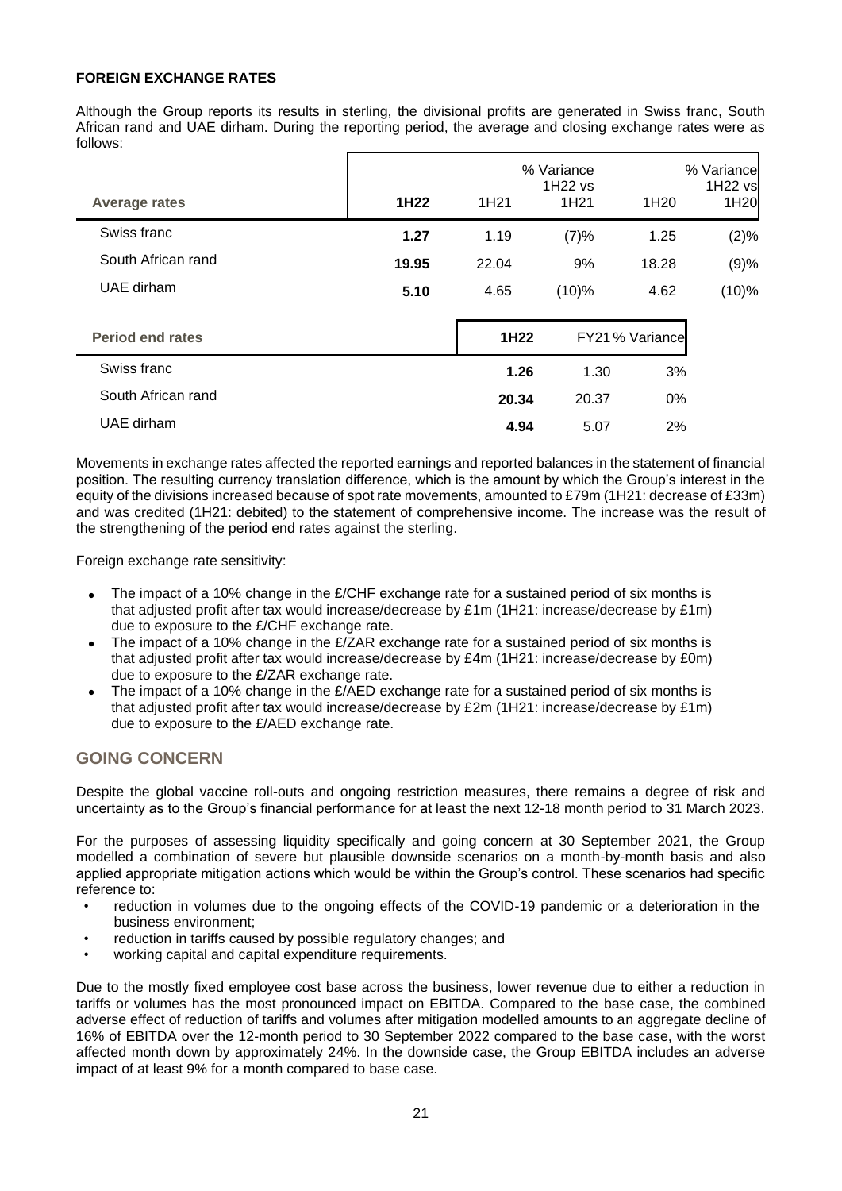## **FOREIGN EXCHANGE RATES**

Although the Group reports its results in sterling, the divisional profits are generated in Swiss franc, South African rand and UAE dirham. During the reporting period, the average and closing exchange rates were as follows:

| <b>Average rates</b>    | 1H <sub>22</sub> | 1H <sub>21</sub> | % Variance<br>1H22 vs<br>1H <sub>21</sub> | 1H <sub>20</sub> | % Variance<br>1H22 vs<br>1H20 |
|-------------------------|------------------|------------------|-------------------------------------------|------------------|-------------------------------|
| Swiss franc             | 1.27             | 1.19             | (7)%                                      | 1.25             | (2)%                          |
| South African rand      | 19.95            | 22.04            | 9%                                        | 18.28            | (9)%                          |
| UAE dirham              | 5.10             | 4.65             | $(10)\%$                                  | 4.62             | (10)%                         |
| <b>Period end rates</b> |                  | 1H22             |                                           | FY21 % Variance  |                               |
| Swiss franc             |                  | 1.26             | 1.30                                      | 3%               |                               |
| South African rand      |                  | 20.34            | 20.37                                     | $0\%$            |                               |
| UAE dirham              |                  | 4.94             | 5.07                                      | 2%               |                               |

Movements in exchange rates affected the reported earnings and reported balances in the statement of financial position. The resulting currency translation difference, which is the amount by which the Group's interest in the equity of the divisions increased because of spot rate movements, amounted to £79m (1H21: decrease of £33m) and was credited (1H21: debited) to the statement of comprehensive income. The increase was the result of the strengthening of the period end rates against the sterling.

Foreign exchange rate sensitivity:

- The impact of a 10% change in the  $E/CHF$  exchange rate for a sustained period of six months is that adjusted profit after tax would increase/decrease by £1m (1H21: increase/decrease by £1m) due to exposure to the £/CHF exchange rate.
- The impact of a 10% change in the  $E/ZAR$  exchange rate for a sustained period of six months is that adjusted profit after tax would increase/decrease by £4m (1H21: increase/decrease by £0m) due to exposure to the £/ZAR exchange rate.
- The impact of a 10% change in the  $E/RED$  exchange rate for a sustained period of six months is that adjusted profit after tax would increase/decrease by £2m (1H21: increase/decrease by £1m) due to exposure to the £/AED exchange rate.

# **GOING CONCERN**

Despite the global vaccine roll-outs and ongoing restriction measures, there remains a degree of risk and uncertainty as to the Group's financial performance for at least the next 12-18 month period to 31 March 2023.

For the purposes of assessing liquidity specifically and going concern at 30 September 2021, the Group modelled a combination of severe but plausible downside scenarios on a month-by-month basis and also applied appropriate mitigation actions which would be within the Group's control. These scenarios had specific reference to:

- reduction in volumes due to the ongoing effects of the COVID-19 pandemic or a deterioration in the business environment;
- reduction in tariffs caused by possible regulatory changes; and
- working capital and capital expenditure requirements.

Due to the mostly fixed employee cost base across the business, lower revenue due to either a reduction in tariffs or volumes has the most pronounced impact on EBITDA. Compared to the base case, the combined adverse effect of reduction of tariffs and volumes after mitigation modelled amounts to an aggregate decline of 16% of EBITDA over the 12-month period to 30 September 2022 compared to the base case, with the worst affected month down by approximately 24%. In the downside case, the Group EBITDA includes an adverse impact of at least 9% for a month compared to base case.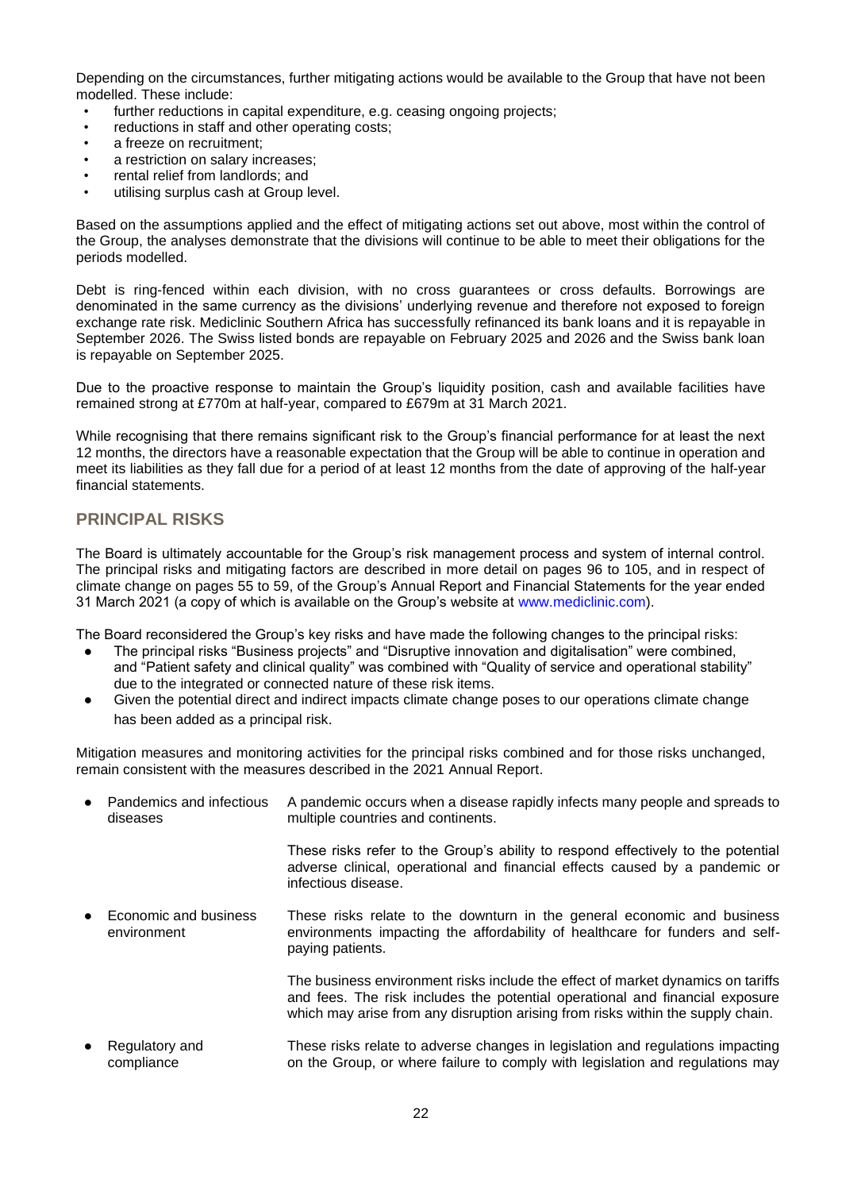Depending on the circumstances, further mitigating actions would be available to the Group that have not been modelled. These include:

- further reductions in capital expenditure, e.g. ceasing ongoing projects;
- reductions in staff and other operating costs;
- a freeze on recruitment:
- a restriction on salary increases;
- rental relief from landlords; and
- utilising surplus cash at Group level.

Based on the assumptions applied and the effect of mitigating actions set out above, most within the control of the Group, the analyses demonstrate that the divisions will continue to be able to meet their obligations for the periods modelled.

Debt is ring-fenced within each division, with no cross guarantees or cross defaults. Borrowings are denominated in the same currency as the divisions' underlying revenue and therefore not exposed to foreign exchange rate risk. Mediclinic Southern Africa has successfully refinanced its bank loans and it is repayable in September 2026. The Swiss listed bonds are repayable on February 2025 and 2026 and the Swiss bank loan is repayable on September 2025.

Due to the proactive response to maintain the Group's liquidity position, cash and available facilities have remained strong at £770m at half-year, compared to £679m at 31 March 2021.

While recognising that there remains significant risk to the Group's financial performance for at least the next 12 months, the directors have a reasonable expectation that the Group will be able to continue in operation and meet its liabilities as they fall due for a period of at least 12 months from the date of approving of the half-year financial statements.

# **PRINCIPAL RISKS**

The Board is ultimately accountable for the Group's risk management process and system of internal control. The principal risks and mitigating factors are described in more detail on pages 96 to 105, and in respect of climate change on pages 55 to 59, of the Group's Annual Report and Financial Statements for the year ended 31 March 2021 (a copy of which is available on the Group's website at www.mediclinic.com).

The Board reconsidered the Group's key risks and have made the following changes to the principal risks:

- The principal risks "Business projects" and "Disruptive innovation and digitalisation" were combined, and "Patient safety and clinical quality" was combined with "Quality of service and operational stability" due to the integrated or connected nature of these risk items.
- Given the potential direct and indirect impacts climate change poses to our operations climate change has been added as a principal risk.

Mitigation measures and monitoring activities for the principal risks combined and for those risks unchanged, remain consistent with the measures described in the 2021 Annual Report.

| $\bullet$ | Pandemics and infectious<br>diseases | A pandemic occurs when a disease rapidly infects many people and spreads to<br>multiple countries and continents.                                                                                                                                  |
|-----------|--------------------------------------|----------------------------------------------------------------------------------------------------------------------------------------------------------------------------------------------------------------------------------------------------|
|           |                                      | These risks refer to the Group's ability to respond effectively to the potential<br>adverse clinical, operational and financial effects caused by a pandemic or<br>infectious disease.                                                             |
| $\bullet$ | Economic and business<br>environment | These risks relate to the downturn in the general economic and business<br>environments impacting the affordability of healthcare for funders and self-<br>paying patients.                                                                        |
|           |                                      | The business environment risks include the effect of market dynamics on tariffs<br>and fees. The risk includes the potential operational and financial exposure<br>which may arise from any disruption arising from risks within the supply chain. |
| $\bullet$ | Regulatory and<br>compliance         | These risks relate to adverse changes in legislation and regulations impacting<br>on the Group, or where failure to comply with legislation and regulations may                                                                                    |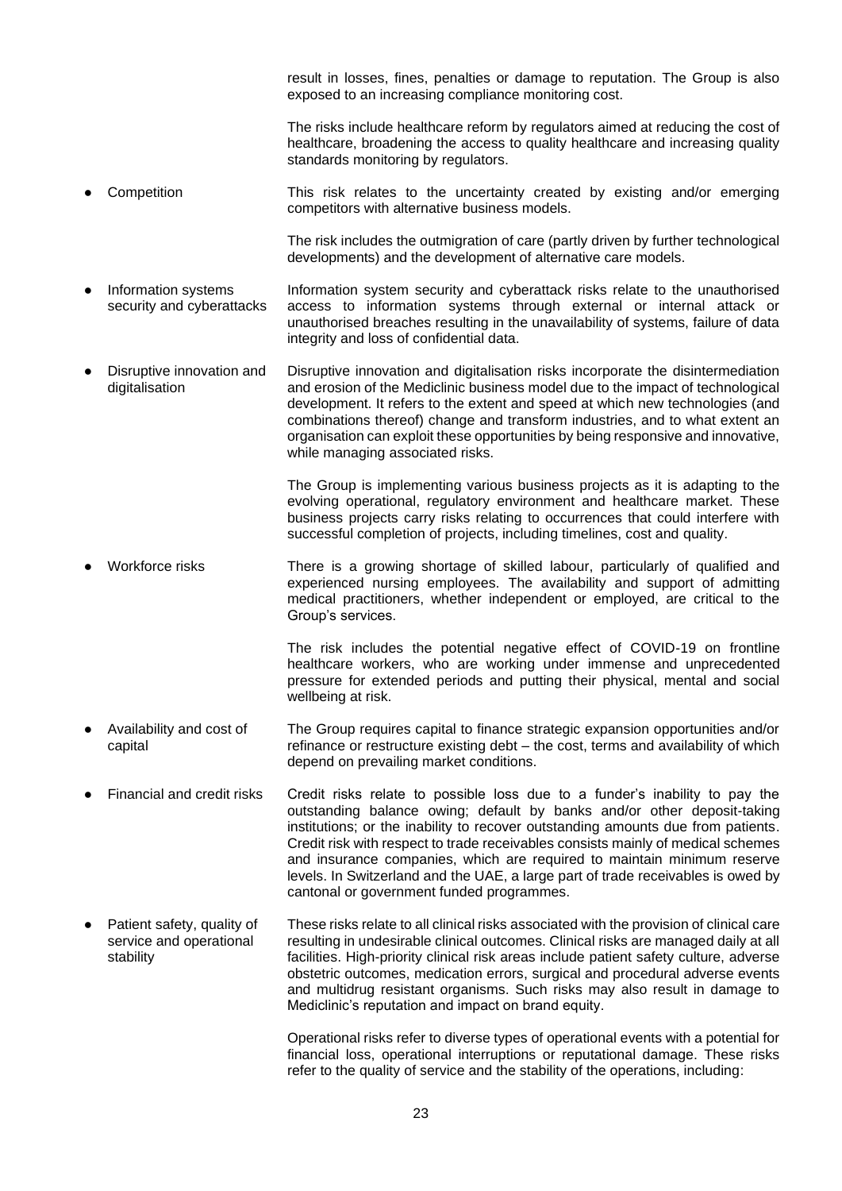result in losses, fines, penalties or damage to reputation. The Group is also exposed to an increasing compliance monitoring cost.

The risks include healthcare reform by regulators aimed at reducing the cost of healthcare, broadening the access to quality healthcare and increasing quality standards monitoring by regulators.

Competition This risk relates to the uncertainty created by existing and/or emerging competitors with alternative business models.

> The risk includes the outmigration of care (partly driven by further technological developments) and the development of alternative care models.

- Information systems security and cyberattacks Information system security and cyberattack risks relate to the unauthorised access to information systems through external or internal attack or unauthorised breaches resulting in the unavailability of systems, failure of data integrity and loss of confidential data.
- Disruptive innovation and digitalisation Disruptive innovation and digitalisation risks incorporate the disintermediation and erosion of the Mediclinic business model due to the impact of technological development. It refers to the extent and speed at which new technologies (and combinations thereof) change and transform industries, and to what extent an organisation can exploit these opportunities by being responsive and innovative, while managing associated risks.

The Group is implementing various business projects as it is adapting to the evolving operational, regulatory environment and healthcare market. These business projects carry risks relating to occurrences that could interfere with successful completion of projects, including timelines, cost and quality.

Workforce risks There is a growing shortage of skilled labour, particularly of qualified and experienced nursing employees. The availability and support of admitting medical practitioners, whether independent or employed, are critical to the Group's services.

> The risk includes the potential negative effect of COVID-19 on frontline healthcare workers, who are working under immense and unprecedented pressure for extended periods and putting their physical, mental and social wellbeing at risk.

- Availability and cost of capital The Group requires capital to finance strategic expansion opportunities and/or refinance or restructure existing debt – the cost, terms and availability of which depend on prevailing market conditions.
- Financial and credit risks Credit risks relate to possible loss due to a funder's inability to pay the outstanding balance owing; default by banks and/or other deposit-taking institutions; or the inability to recover outstanding amounts due from patients. Credit risk with respect to trade receivables consists mainly of medical schemes and insurance companies, which are required to maintain minimum reserve levels. In Switzerland and the UAE, a large part of trade receivables is owed by cantonal or government funded programmes.
- Patient safety, quality of service and operational stability These risks relate to all clinical risks associated with the provision of clinical care resulting in undesirable clinical outcomes. Clinical risks are managed daily at all facilities. High-priority clinical risk areas include patient safety culture, adverse obstetric outcomes, medication errors, surgical and procedural adverse events and multidrug resistant organisms. Such risks may also result in damage to Mediclinic's reputation and impact on brand equity.

Operational risks refer to diverse types of operational events with a potential for financial loss, operational interruptions or reputational damage. These risks refer to the quality of service and the stability of the operations, including: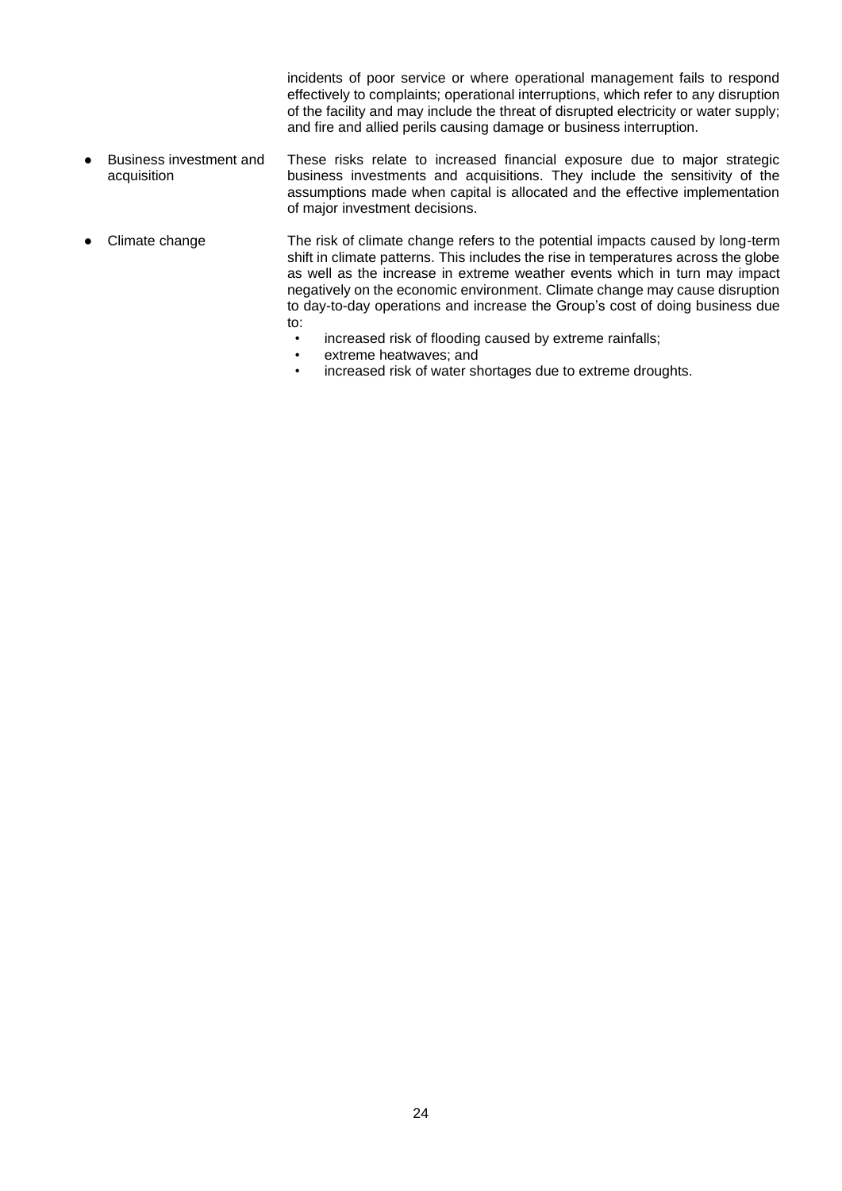incidents of poor service or where operational management fails to respond effectively to complaints; operational interruptions, which refer to any disruption of the facility and may include the threat of disrupted electricity or water supply; and fire and allied perils causing damage or business interruption.

- Business investment and acquisition These risks relate to increased financial exposure due to major strategic business investments and acquisitions. They include the sensitivity of the assumptions made when capital is allocated and the effective implementation of major investment decisions.
- Climate change The risk of climate change refers to the potential impacts caused by long-term shift in climate patterns. This includes the rise in temperatures across the globe as well as the increase in extreme weather events which in turn may impact negatively on the economic environment. Climate change may cause disruption to day-to-day operations and increase the Group's cost of doing business due to:
	- increased risk of flooding caused by extreme rainfalls;
	- extreme heatwaves; and
	- increased risk of water shortages due to extreme droughts.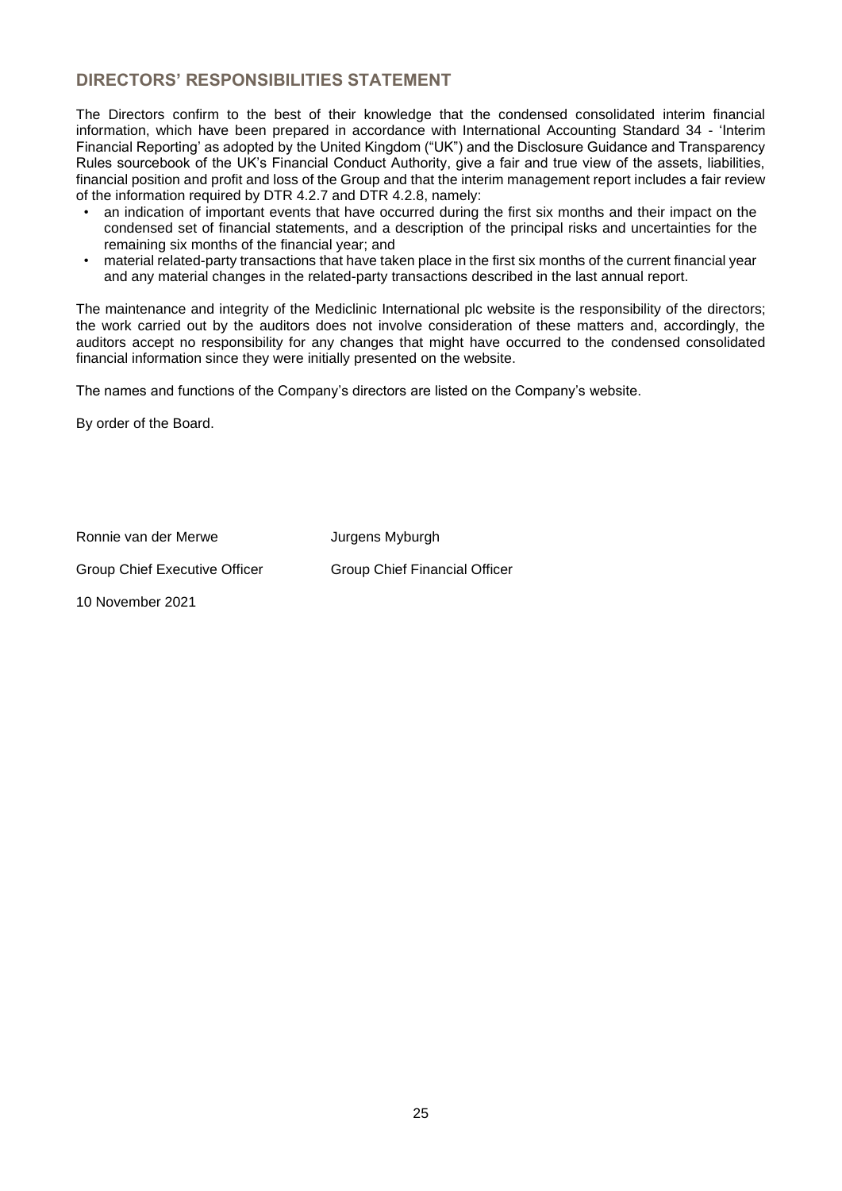# **DIRECTORS' RESPONSIBILITIES STATEMENT**

The Directors confirm to the best of their knowledge that the condensed consolidated interim financial information, which have been prepared in accordance with International Accounting Standard 34 - 'Interim Financial Reporting' as adopted by the United Kingdom ("UK") and the Disclosure Guidance and Transparency Rules sourcebook of the UK's Financial Conduct Authority, give a fair and true view of the assets, liabilities, financial position and profit and loss of the Group and that the interim management report includes a fair review of the information required by DTR 4.2.7 and DTR 4.2.8, namely:

- an indication of important events that have occurred during the first six months and their impact on the condensed set of financial statements, and a description of the principal risks and uncertainties for the remaining six months of the financial year; and
- material related-party transactions that have taken place in the first six months of the current financial year and any material changes in the related-party transactions described in the last annual report.

The maintenance and integrity of the Mediclinic International plc website is the responsibility of the directors; the work carried out by the auditors does not involve consideration of these matters and, accordingly, the auditors accept no responsibility for any changes that might have occurred to the condensed consolidated financial information since they were initially presented on the website.

The names and functions of the Company's directors are listed on the Company's website.

By order of the Board.

Ronnie van der Merwe **Jurgens Myburgh** 

Group Chief Executive Officer Group Chief Financial Officer

10 November 2021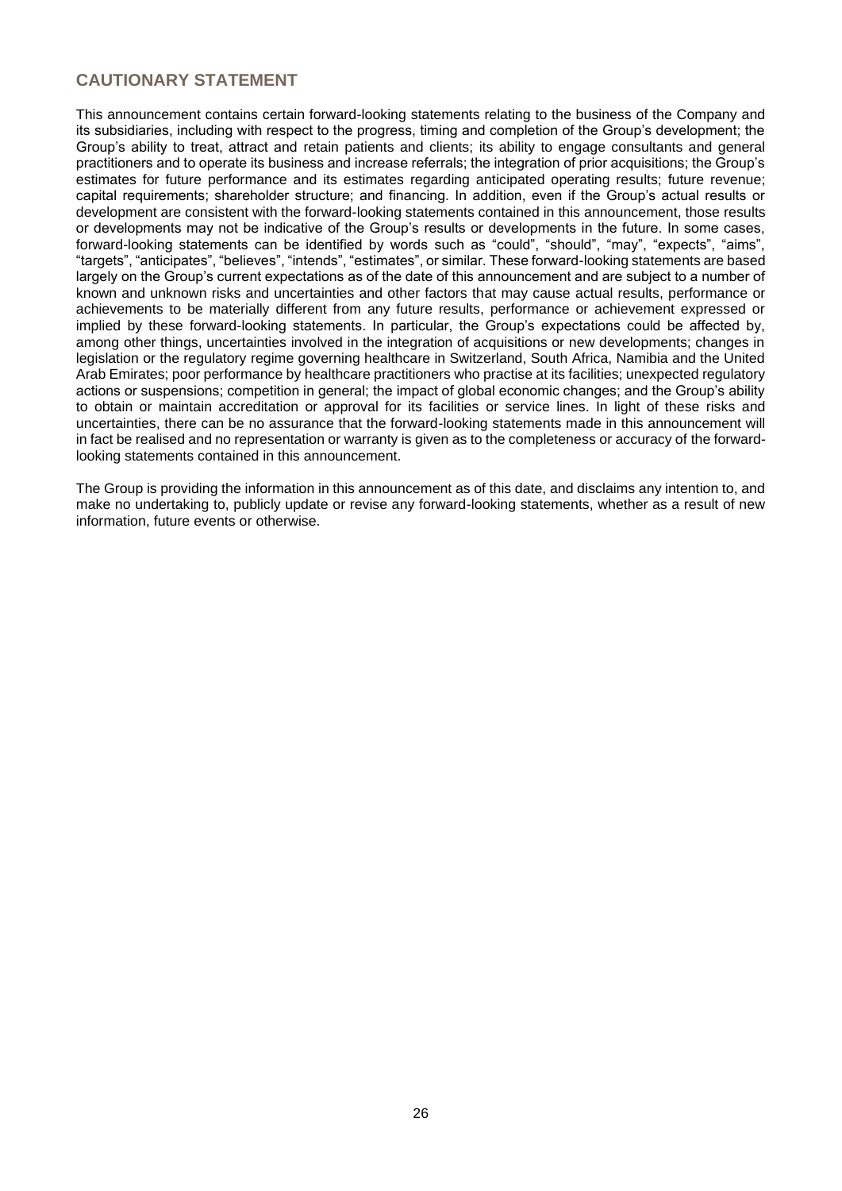# **CAUTIONARY STATEMENT**

This announcement contains certain forward-looking statements relating to the business of the Company and its subsidiaries, including with respect to the progress, timing and completion of the Group's development; the Group's ability to treat, attract and retain patients and clients; its ability to engage consultants and general practitioners and to operate its business and increase referrals; the integration of prior acquisitions; the Group's estimates for future performance and its estimates regarding anticipated operating results; future revenue; capital requirements; shareholder structure; and financing. In addition, even if the Group's actual results or development are consistent with the forward-looking statements contained in this announcement, those results or developments may not be indicative of the Group's results or developments in the future. In some cases, forward-looking statements can be identified by words such as "could", "should", "may", "expects", "aims", "targets", "anticipates", "believes", "intends", "estimates", or similar. These forward-looking statements are based largely on the Group's current expectations as of the date of this announcement and are subject to a number of known and unknown risks and uncertainties and other factors that may cause actual results, performance or achievements to be materially different from any future results, performance or achievement expressed or implied by these forward-looking statements. In particular, the Group's expectations could be affected by, among other things, uncertainties involved in the integration of acquisitions or new developments; changes in legislation or the regulatory regime governing healthcare in Switzerland, South Africa, Namibia and the United Arab Emirates; poor performance by healthcare practitioners who practise at its facilities; unexpected regulatory actions or suspensions; competition in general; the impact of global economic changes; and the Group's ability to obtain or maintain accreditation or approval for its facilities or service lines. In light of these risks and uncertainties, there can be no assurance that the forward-looking statements made in this announcement will in fact be realised and no representation or warranty is given as to the completeness or accuracy of the forwardlooking statements contained in this announcement.

The Group is providing the information in this announcement as of this date, and disclaims any intention to, and make no undertaking to, publicly update or revise any forward-looking statements, whether as a result of new information, future events or otherwise.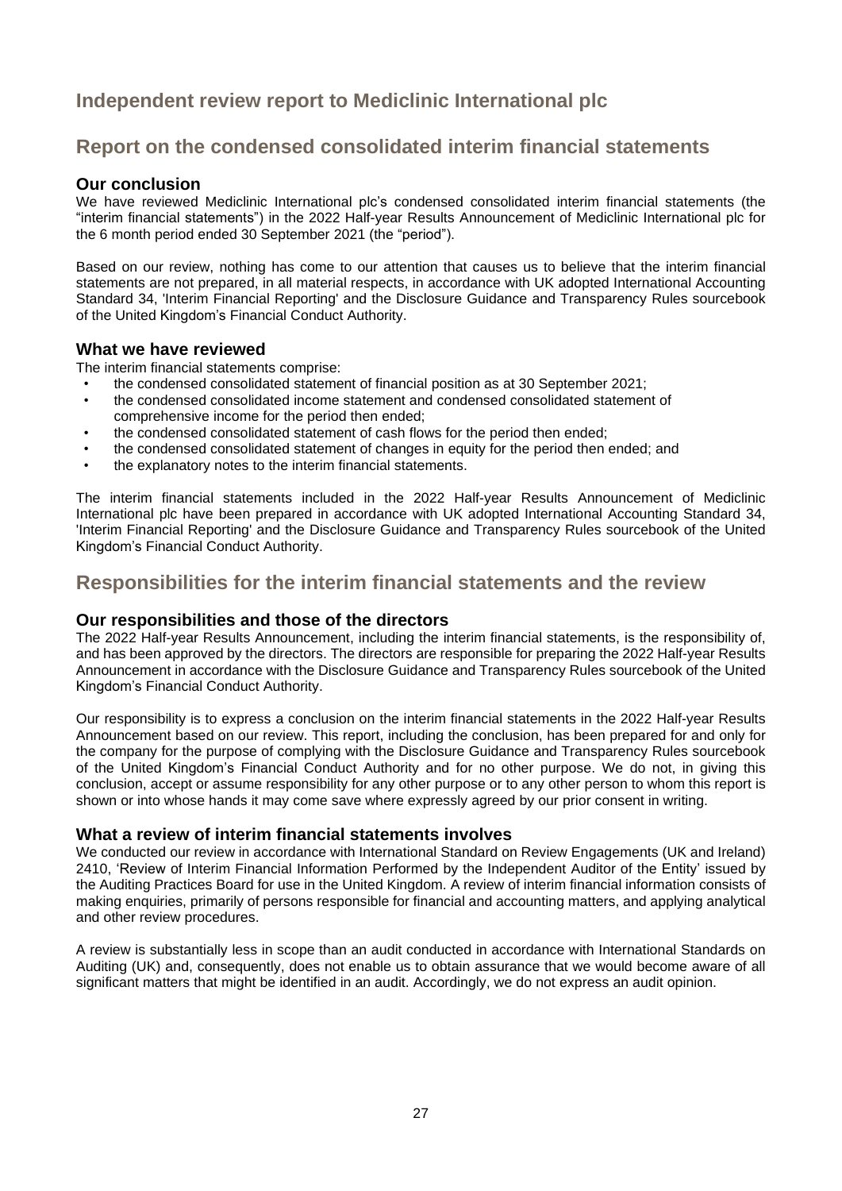# **Independent review report to Mediclinic International plc**

# **Report on the condensed consolidated interim financial statements**

# **Our conclusion**

We have reviewed Mediclinic International plc's condensed consolidated interim financial statements (the "interim financial statements") in the 2022 Half-year Results Announcement of Mediclinic International plc for the 6 month period ended 30 September 2021 (the "period").

Based on our review, nothing has come to our attention that causes us to believe that the interim financial statements are not prepared, in all material respects, in accordance with UK adopted International Accounting Standard 34, 'Interim Financial Reporting' and the Disclosure Guidance and Transparency Rules sourcebook of the United Kingdom's Financial Conduct Authority.

## **What we have reviewed**

The interim financial statements comprise:

- the condensed consolidated statement of financial position as at 30 September 2021;<br>• the condensed consolidated income statement and condensed consolidated statement
- the condensed consolidated income statement and condensed consolidated statement of comprehensive income for the period then ended;
- the condensed consolidated statement of cash flows for the period then ended;
- the condensed consolidated statement of changes in equity for the period then ended; and
- the explanatory notes to the interim financial statements.

The interim financial statements included in the 2022 Half-year Results Announcement of Mediclinic International plc have been prepared in accordance with UK adopted International Accounting Standard 34, 'Interim Financial Reporting' and the Disclosure Guidance and Transparency Rules sourcebook of the United Kingdom's Financial Conduct Authority.

# **Responsibilities for the interim financial statements and the review**

# **Our responsibilities and those of the directors**

The 2022 Half-year Results Announcement, including the interim financial statements, is the responsibility of, and has been approved by the directors. The directors are responsible for preparing the 2022 Half-year Results Announcement in accordance with the Disclosure Guidance and Transparency Rules sourcebook of the United Kingdom's Financial Conduct Authority.

Our responsibility is to express a conclusion on the interim financial statements in the 2022 Half-year Results Announcement based on our review. This report, including the conclusion, has been prepared for and only for the company for the purpose of complying with the Disclosure Guidance and Transparency Rules sourcebook of the United Kingdom's Financial Conduct Authority and for no other purpose. We do not, in giving this conclusion, accept or assume responsibility for any other purpose or to any other person to whom this report is shown or into whose hands it may come save where expressly agreed by our prior consent in writing.

### **What a review of interim financial statements involves**

We conducted our review in accordance with International Standard on Review Engagements (UK and Ireland) 2410, 'Review of Interim Financial Information Performed by the Independent Auditor of the Entity' issued by the Auditing Practices Board for use in the United Kingdom. A review of interim financial information consists of making enquiries, primarily of persons responsible for financial and accounting matters, and applying analytical and other review procedures.

A review is substantially less in scope than an audit conducted in accordance with International Standards on Auditing (UK) and, consequently, does not enable us to obtain assurance that we would become aware of all significant matters that might be identified in an audit. Accordingly, we do not express an audit opinion.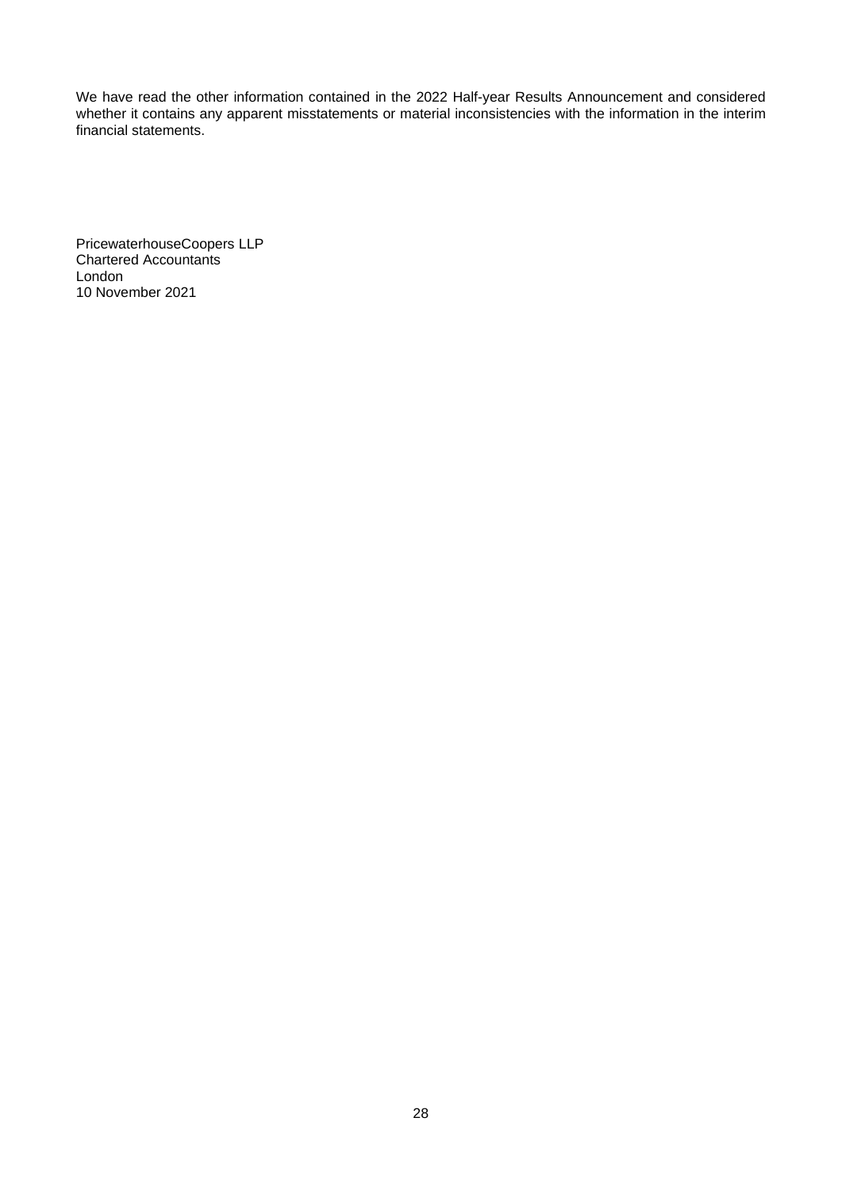We have read the other information contained in the 2022 Half-year Results Announcement and considered whether it contains any apparent misstatements or material inconsistencies with the information in the interim financial statements.

PricewaterhouseCoopers LLP Chartered Accountants London 10 November 2021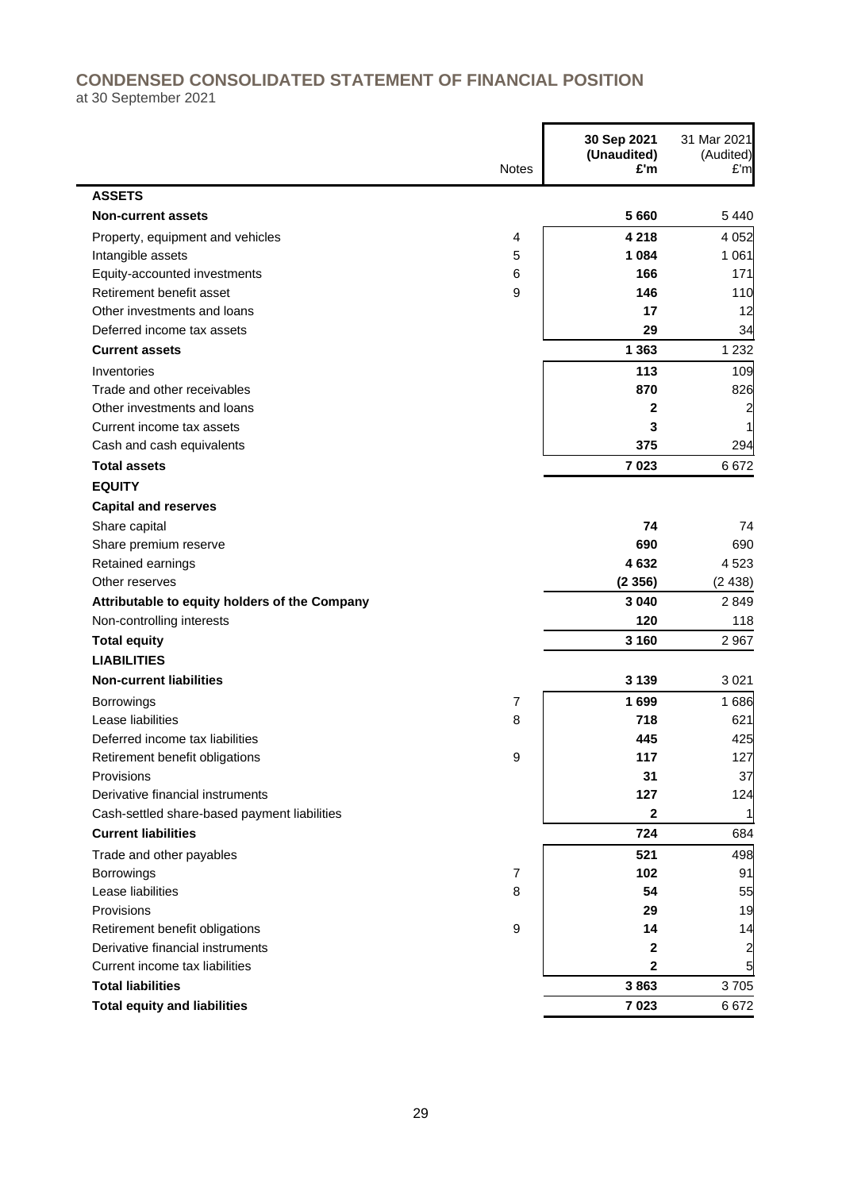# **CONDENSED CONSOLIDATED STATEMENT OF FINANCIAL POSITION**

 $\blacksquare$ 

at 30 September 2021

|                                               | <b>Notes</b>   | 30 Sep 2021<br>(Unaudited)<br>£'m | 31 Mar 2021<br>(Audited)<br>E'm |
|-----------------------------------------------|----------------|-----------------------------------|---------------------------------|
| <b>ASSETS</b>                                 |                |                                   |                                 |
| <b>Non-current assets</b>                     |                | 5660                              | 5 4 4 0                         |
| Property, equipment and vehicles              | 4              | 4 2 1 8                           | 4 0 5 2                         |
| Intangible assets                             | 5              | 1 0 8 4                           | 1 0 6 1                         |
| Equity-accounted investments                  | 6              | 166                               | 171                             |
| Retirement benefit asset                      | 9              | 146                               | 110                             |
| Other investments and loans                   |                | 17                                | 12                              |
| Deferred income tax assets                    |                | 29                                | 34                              |
| <b>Current assets</b>                         |                | 1 3 6 3                           | 1 2 3 2                         |
| Inventories                                   |                | 113                               | 109                             |
| Trade and other receivables                   |                | 870                               | 826                             |
| Other investments and loans                   |                | 2                                 | 2                               |
| Current income tax assets                     |                | 3                                 |                                 |
| Cash and cash equivalents                     |                | 375                               | 294                             |
| <b>Total assets</b>                           |                | 7023                              | 6672                            |
| <b>EQUITY</b>                                 |                |                                   |                                 |
| <b>Capital and reserves</b>                   |                |                                   |                                 |
| Share capital                                 |                | 74                                | 74                              |
| Share premium reserve                         |                | 690                               | 690                             |
| Retained earnings                             |                | 4632                              | 4 5 23                          |
| Other reserves                                |                | (2356)                            | (2438)                          |
| Attributable to equity holders of the Company |                | 3 0 4 0                           | 2849                            |
| Non-controlling interests                     |                | 120                               | 118                             |
| <b>Total equity</b>                           |                | 3 1 6 0                           | 2 9 6 7                         |
| <b>LIABILITIES</b>                            |                |                                   |                                 |
| <b>Non-current liabilities</b>                |                | 3 1 3 9                           | 3 0 21                          |
| <b>Borrowings</b>                             | 7              | 1699                              | 1686                            |
| Lease liabilities                             | 8              | 718                               | 621                             |
| Deferred income tax liabilities               |                | 445                               | 425                             |
| Retirement benefit obligations                | 9              | 117                               | 127                             |
| Provisions                                    |                | 31                                | 37                              |
| Derivative financial instruments              |                | 127                               | 124                             |
| Cash-settled share-based payment liabilities  |                | 2                                 |                                 |
| <b>Current liabilities</b>                    |                | 724                               | 684                             |
| Trade and other payables                      |                | 521                               | 498                             |
| Borrowings                                    | $\overline{7}$ | 102                               | 91                              |
| Lease liabilities                             | 8              | 54                                | 55                              |
| Provisions                                    |                | 29                                | 19                              |
| Retirement benefit obligations                | 9              | 14                                | 14                              |
| Derivative financial instruments              |                | $\mathbf{2}$                      | 2                               |
| Current income tax liabilities                |                | $\overline{2}$                    | 5                               |
| <b>Total liabilities</b>                      |                | 3863                              | 3705                            |
| <b>Total equity and liabilities</b>           |                | 7023                              | 6672                            |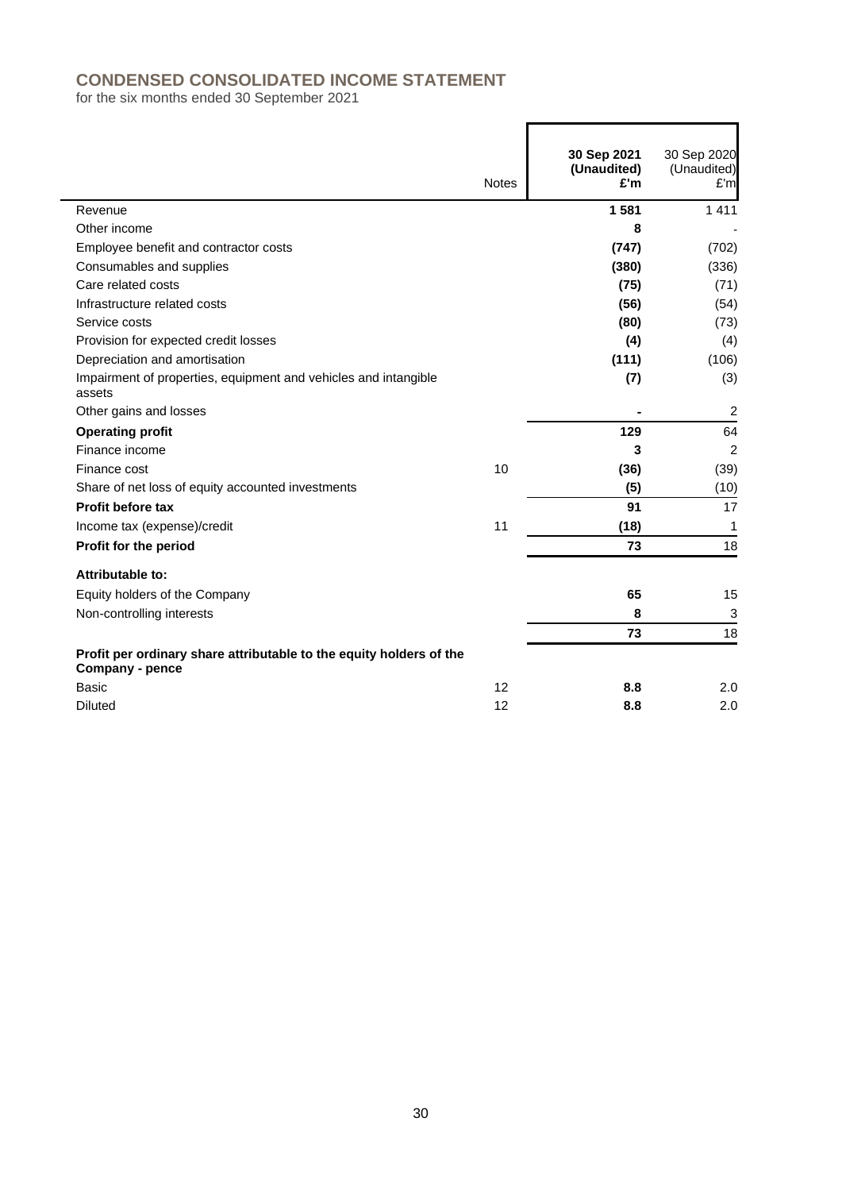# **CONDENSED CONSOLIDATED INCOME STATEMENT**

for the six months ended 30 September 2021

|                                                                                        | <b>Notes</b> | 30 Sep 2021<br>(Unaudited)<br>£'m | 30 Sep 2020<br>(Unaudited)<br>£'m |
|----------------------------------------------------------------------------------------|--------------|-----------------------------------|-----------------------------------|
| Revenue                                                                                |              | 1 5 8 1                           | 1 4 1 1                           |
| Other income                                                                           |              | 8                                 |                                   |
| Employee benefit and contractor costs                                                  |              | (747)                             | (702)                             |
| Consumables and supplies                                                               |              | (380)                             | (336)                             |
| Care related costs                                                                     |              | (75)                              | (71)                              |
| Infrastructure related costs                                                           |              | (56)                              | (54)                              |
| Service costs                                                                          |              | (80)                              | (73)                              |
| Provision for expected credit losses                                                   |              | (4)                               | (4)                               |
| Depreciation and amortisation                                                          |              | (111)                             | (106)                             |
| Impairment of properties, equipment and vehicles and intangible<br>assets              |              | (7)                               | (3)                               |
| Other gains and losses                                                                 |              |                                   | $\overline{2}$                    |
| <b>Operating profit</b>                                                                |              | 129                               | 64                                |
| Finance income                                                                         |              | 3                                 | $\overline{c}$                    |
| Finance cost                                                                           | 10           | (36)                              | (39)                              |
| Share of net loss of equity accounted investments                                      |              | (5)                               | (10)                              |
| Profit before tax                                                                      |              | 91                                | 17                                |
| Income tax (expense)/credit                                                            | 11           | (18)                              | 1                                 |
| Profit for the period                                                                  |              | 73                                | 18                                |
| Attributable to:                                                                       |              |                                   |                                   |
| Equity holders of the Company                                                          |              | 65                                | 15                                |
| Non-controlling interests                                                              |              | 8                                 | 3                                 |
|                                                                                        |              | 73                                | 18                                |
| Profit per ordinary share attributable to the equity holders of the<br>Company - pence |              |                                   |                                   |
| Basic                                                                                  | 12           | 8.8                               | 2.0                               |
| <b>Diluted</b>                                                                         | 12           | 8.8                               | 2.0                               |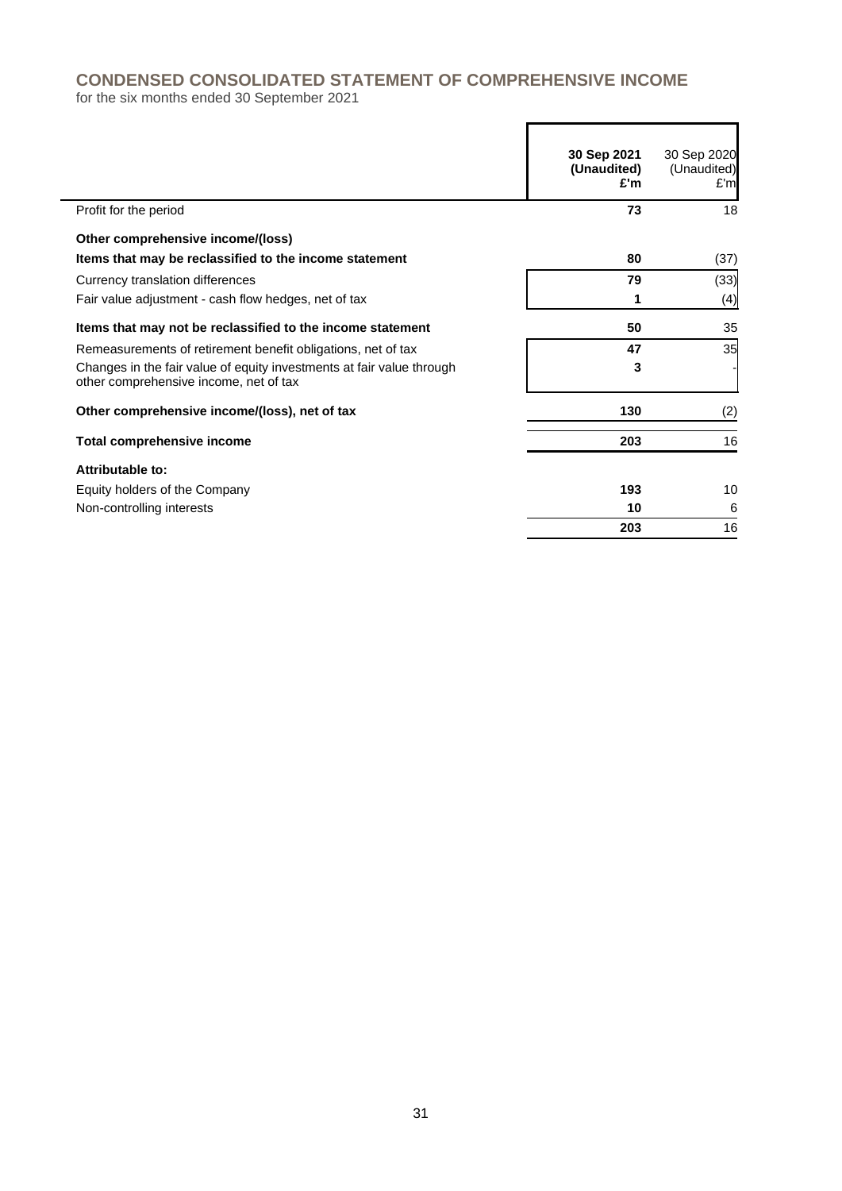# **CONDENSED CONSOLIDATED STATEMENT OF COMPREHENSIVE INCOME**

for the six months ended 30 September 2021

|                                                                                                                 | 30 Sep 2021<br>(Unaudited)<br>£'m | 30 Sep 2020<br>(Unaudited)<br>E'm |
|-----------------------------------------------------------------------------------------------------------------|-----------------------------------|-----------------------------------|
| Profit for the period                                                                                           | 73                                | 18                                |
| Other comprehensive income/(loss)                                                                               |                                   |                                   |
| Items that may be reclassified to the income statement                                                          | 80                                | (37)                              |
| Currency translation differences                                                                                | 79                                | (33)                              |
| Fair value adjustment - cash flow hedges, net of tax                                                            | 1                                 | (4)                               |
| Items that may not be reclassified to the income statement                                                      | 50                                | 35                                |
| Remeasurements of retirement benefit obligations, net of tax                                                    | 47                                | 35                                |
| Changes in the fair value of equity investments at fair value through<br>other comprehensive income, net of tax | 3                                 |                                   |
| Other comprehensive income/(loss), net of tax                                                                   | 130                               | (2)                               |
| Total comprehensive income                                                                                      | 203                               | 16                                |
| Attributable to:                                                                                                |                                   |                                   |
| Equity holders of the Company                                                                                   | 193                               | 10                                |
| Non-controlling interests                                                                                       | 10                                | 6                                 |
|                                                                                                                 | 203                               | 16                                |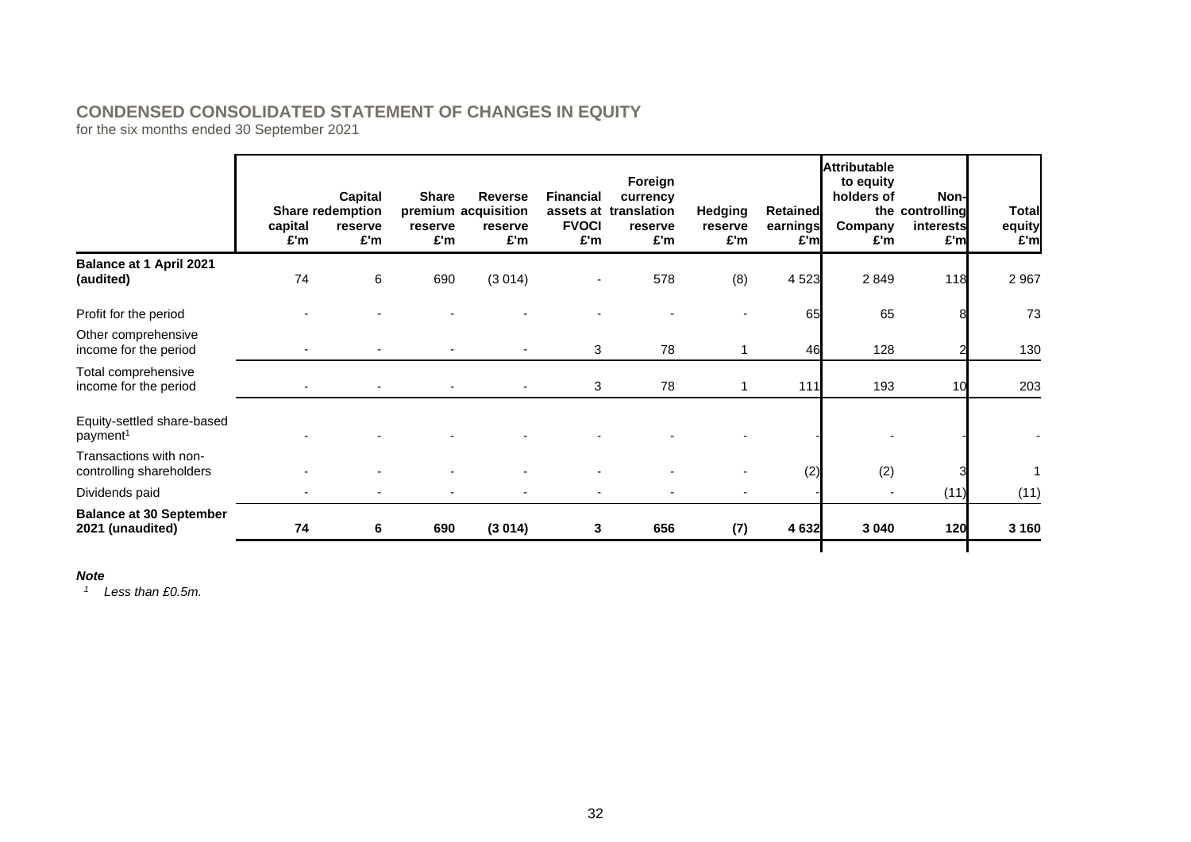# **CONDENSED CONSOLIDATED STATEMENT OF CHANGES IN EQUITY**

for the six months ended 30 September 2021

| capital<br>£'m | Capital<br>reserve<br>£'m | <b>Share</b><br>reserve<br>£'m | <b>Reverse</b><br>reserve<br>£'m | <b>Financial</b><br>£'m | Foreign<br>currency<br>reserve<br>£'m | <b>Hedging</b><br>reserve<br>£'m | Company |                                                                          | <b>Total</b><br>equity<br>£'m                                                                                                                        |
|----------------|---------------------------|--------------------------------|----------------------------------|-------------------------|---------------------------------------|----------------------------------|---------|--------------------------------------------------------------------------|------------------------------------------------------------------------------------------------------------------------------------------------------|
| 74             | 6                         | 690                            | (3014)                           |                         | 578                                   | (8)                              | 2 8 4 9 |                                                                          | 2967                                                                                                                                                 |
|                |                           |                                |                                  |                         |                                       |                                  | 65      |                                                                          | 73                                                                                                                                                   |
|                |                           |                                |                                  |                         | 78                                    |                                  |         |                                                                          | 130                                                                                                                                                  |
|                |                           |                                |                                  |                         | 78                                    | 1                                |         | 10                                                                       | 203                                                                                                                                                  |
|                |                           |                                |                                  |                         |                                       |                                  |         |                                                                          |                                                                                                                                                      |
|                |                           |                                |                                  |                         |                                       |                                  | (2)     |                                                                          |                                                                                                                                                      |
|                |                           |                                |                                  |                         |                                       |                                  |         |                                                                          | (11)                                                                                                                                                 |
| 74             | 6                         | 690                            | (3014)                           |                         | 656                                   | (7)                              |         |                                                                          | 3 1 6 0                                                                                                                                              |
|                |                           | <b>Share redemption</b>        |                                  | premium acquisition     | <b>FVOCI</b><br>3                     | assets at translation<br>3<br>3  |         | Retained<br>earnings<br>£'ml<br>4 5 23<br>65<br>46<br>111<br>(2)<br>4632 | <b>Attributable</b><br>to equity<br>holders of<br>Non-l<br>the controlling<br>interests<br>£'m<br>£'m<br>118<br>128<br>193<br>(11)<br>3 0 4 0<br>120 |

#### *Note*

*<sup>1</sup> Less than £0.5m.*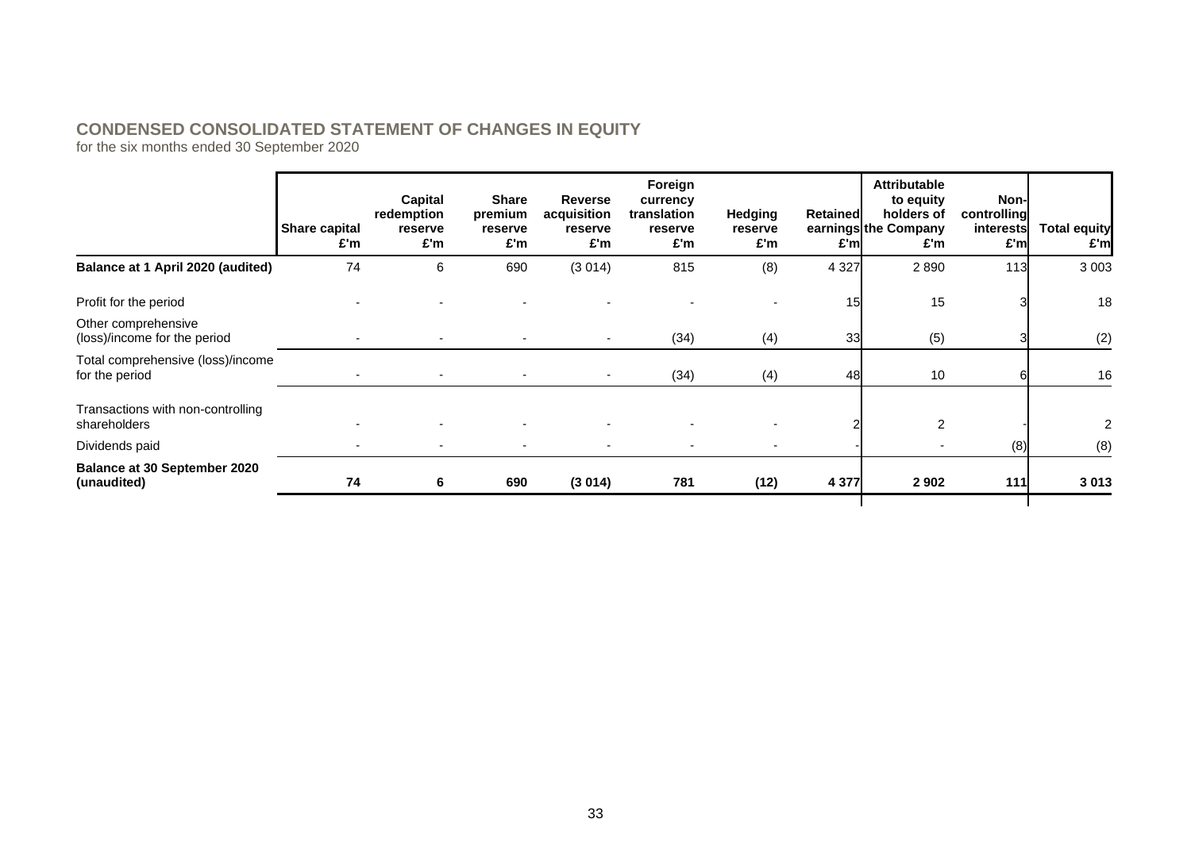# **CONDENSED CONSOLIDATED STATEMENT OF CHANGES IN EQUITY**

for the six months ended 30 September 2020

|                                                     | <b>Share capital</b><br>£'m | Capital<br>redemption<br>reserve<br>£'m | <b>Share</b><br>premium<br>reserve<br>£'m | <b>Reverse</b><br>acquisition<br>reserve<br>£'m | Foreign<br>currency<br>translation<br>reserve<br>£'m | <b>Hedging</b><br>reserve<br>£'m | Retained<br>£'ml | <b>Attributable</b><br>to equity<br>holders of<br>earnings the Company<br>£'m | Non-<br>controlling<br>interests<br>£'m | <b>Total equity</b><br>£'m |
|-----------------------------------------------------|-----------------------------|-----------------------------------------|-------------------------------------------|-------------------------------------------------|------------------------------------------------------|----------------------------------|------------------|-------------------------------------------------------------------------------|-----------------------------------------|----------------------------|
| Balance at 1 April 2020 (audited)                   | 74                          | 6                                       | 690                                       | (3014)                                          | 815                                                  | (8)                              | 4 3 2 7          | 2890                                                                          | 113                                     | 3 0 0 3                    |
| Profit for the period                               |                             |                                         |                                           |                                                 |                                                      |                                  | 15               | 15                                                                            |                                         | 18                         |
| Other comprehensive<br>(loss)/income for the period |                             |                                         |                                           |                                                 | (34)                                                 | (4)                              | 33               | (5)                                                                           |                                         | (2)                        |
| Total comprehensive (loss)/income<br>for the period |                             |                                         |                                           | $\overline{\phantom{a}}$                        | (34)                                                 | (4)                              | 48               | 10                                                                            |                                         | 16                         |
| Transactions with non-controlling<br>shareholders   |                             |                                         |                                           |                                                 |                                                      |                                  |                  | 2                                                                             |                                         | 2                          |
| Dividends paid                                      |                             | $\overline{\phantom{a}}$                |                                           |                                                 |                                                      |                                  |                  |                                                                               | (8)                                     | (8)                        |
| <b>Balance at 30 September 2020</b><br>(unaudited)  | 74                          | 6                                       | 690                                       | (3014)                                          | 781                                                  | (12)                             | 4 3 7 7          | 2 9 0 2                                                                       | $111$                                   | 3 0 1 3                    |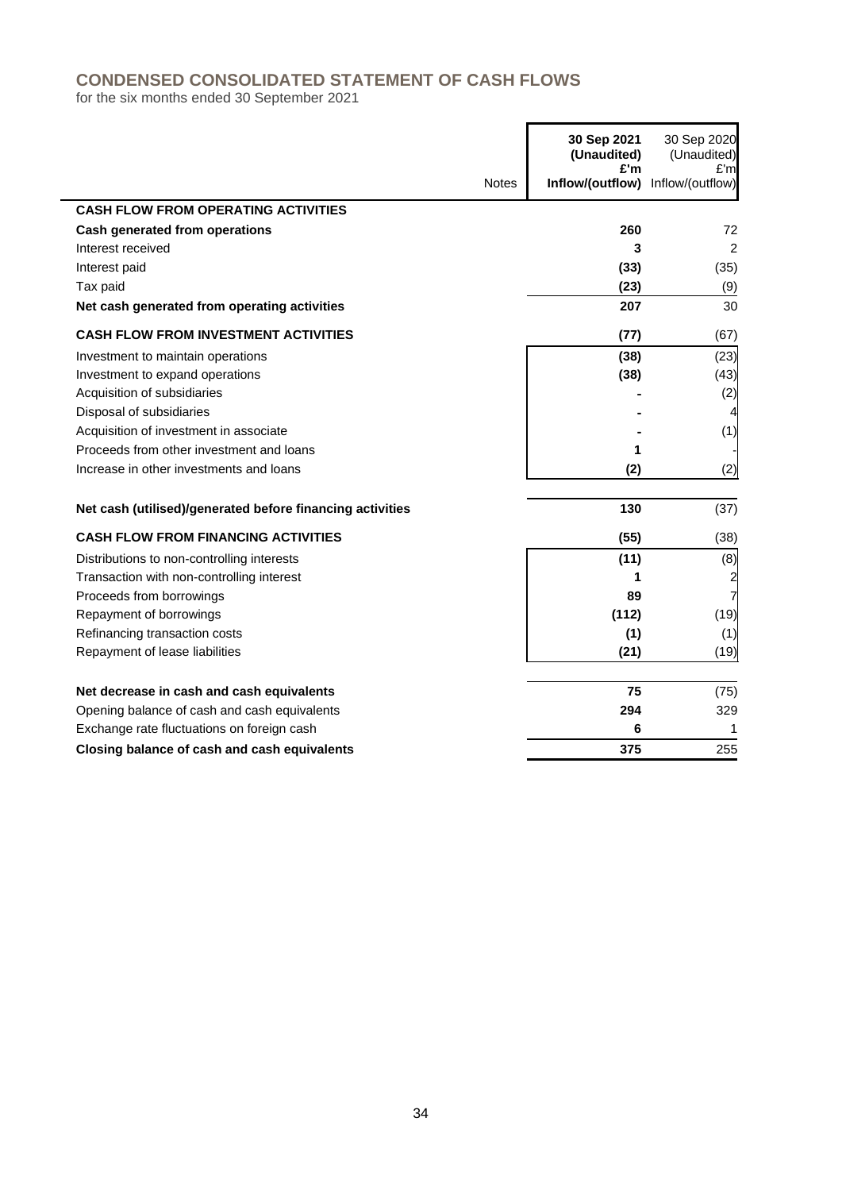# **CONDENSED CONSOLIDATED STATEMENT OF CASH FLOWS**

for the six months ended 30 September 2021

|                                                           |              | 30 Sep 2021<br>(Unaudited)<br>£'m | 30 Sep 2020<br>(Unaudited)<br>£'m |
|-----------------------------------------------------------|--------------|-----------------------------------|-----------------------------------|
|                                                           | <b>Notes</b> | Inflow/(outflow) Inflow/(outflow) |                                   |
| <b>CASH FLOW FROM OPERATING ACTIVITIES</b>                |              |                                   |                                   |
| Cash generated from operations                            |              | 260                               | 72                                |
| Interest received                                         |              | 3                                 | $\overline{2}$                    |
| Interest paid                                             |              | (33)                              | (35)                              |
| Tax paid                                                  |              | (23)                              | (9)                               |
| Net cash generated from operating activities              |              | 207                               | 30                                |
| <b>CASH FLOW FROM INVESTMENT ACTIVITIES</b>               |              | (77)                              | (67)                              |
| Investment to maintain operations                         |              | (38)                              | (23)                              |
| Investment to expand operations                           |              | (38)                              | (43)                              |
| Acquisition of subsidiaries                               |              |                                   | (2)                               |
| Disposal of subsidiaries                                  |              |                                   |                                   |
| Acquisition of investment in associate                    |              |                                   | (1)                               |
| Proceeds from other investment and loans                  |              | 1                                 |                                   |
| Increase in other investments and loans                   |              | (2)                               | (2)                               |
| Net cash (utilised)/generated before financing activities |              | 130                               | (37)                              |
| <b>CASH FLOW FROM FINANCING ACTIVITIES</b>                |              | (55)                              | (38)                              |
| Distributions to non-controlling interests                |              | (11)                              | (8)                               |
| Transaction with non-controlling interest                 |              | 1                                 | $\overline{\mathbf{c}}$           |
| Proceeds from borrowings                                  |              | 89                                | 7                                 |
| Repayment of borrowings                                   |              | (112)                             | (19)                              |
| Refinancing transaction costs                             |              | (1)                               | (1)                               |
| Repayment of lease liabilities                            |              | (21)                              | (19)                              |
| Net decrease in cash and cash equivalents                 |              | 75                                | (75)                              |
| Opening balance of cash and cash equivalents              |              | 294                               | 329                               |
| Exchange rate fluctuations on foreign cash                |              | 6                                 |                                   |
| Closing balance of cash and cash equivalents              |              | 375                               | 255                               |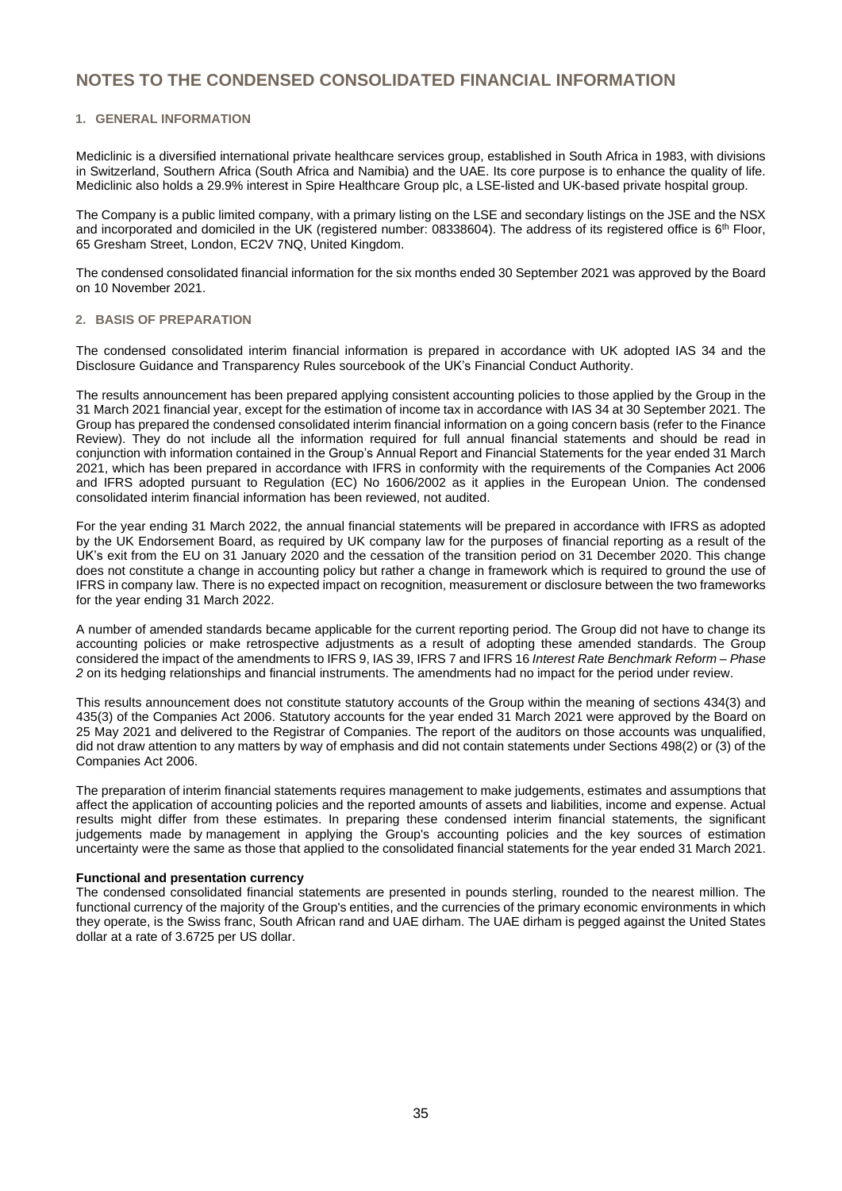#### **1. GENERAL INFORMATION**

Mediclinic is a diversified international private healthcare services group, established in South Africa in 1983, with divisions in Switzerland, Southern Africa (South Africa and Namibia) and the UAE. Its core purpose is to enhance the quality of life. Mediclinic also holds a 29.9% interest in Spire Healthcare Group plc, a LSE-listed and UK-based private hospital group.

The Company is a public limited company, with a primary listing on the LSE and secondary listings on the JSE and the NSX and incorporated and domiciled in the UK (registered number: 08338604). The address of its registered office is 6<sup>th</sup> Floor, 65 Gresham Street, London, EC2V 7NQ, United Kingdom.

The condensed consolidated financial information for the six months ended 30 September 2021 was approved by the Board on 10 November 2021.

#### **2. BASIS OF PREPARATION**

The condensed consolidated interim financial information is prepared in accordance with UK adopted IAS 34 and the Disclosure Guidance and Transparency Rules sourcebook of the UK's Financial Conduct Authority.

The results announcement has been prepared applying consistent accounting policies to those applied by the Group in the 31 March 2021 financial year, except for the estimation of income tax in accordance with IAS 34 at 30 September 2021. The Group has prepared the condensed consolidated interim financial information on a going concern basis (refer to the Finance Review). They do not include all the information required for full annual financial statements and should be read in conjunction with information contained in the Group's Annual Report and Financial Statements for the year ended 31 March 2021, which has been prepared in accordance with IFRS in conformity with the requirements of the Companies Act 2006 and IFRS adopted pursuant to Regulation (EC) No 1606/2002 as it applies in the European Union. The condensed consolidated interim financial information has been reviewed, not audited.

For the year ending 31 March 2022, the annual financial statements will be prepared in accordance with IFRS as adopted by the UK Endorsement Board, as required by UK company law for the purposes of financial reporting as a result of the UK's exit from the EU on 31 January 2020 and the cessation of the transition period on 31 December 2020. This change does not constitute a change in accounting policy but rather a change in framework which is required to ground the use of IFRS in company law. There is no expected impact on recognition, measurement or disclosure between the two frameworks for the year ending 31 March 2022.

A number of amended standards became applicable for the current reporting period. The Group did not have to change its accounting policies or make retrospective adjustments as a result of adopting these amended standards. The Group considered the impact of the amendments to IFRS 9, IAS 39, IFRS 7 and IFRS 16 *Interest Rate Benchmark Reform – Phase 2* on its hedging relationships and financial instruments. The amendments had no impact for the period under review.

This results announcement does not constitute statutory accounts of the Group within the meaning of sections 434(3) and 435(3) of the Companies Act 2006. Statutory accounts for the year ended 31 March 2021 were approved by the Board on 25 May 2021 and delivered to the Registrar of Companies. The report of the auditors on those accounts was unqualified, did not draw attention to any matters by way of emphasis and did not contain statements under Sections 498(2) or (3) of the Companies Act 2006.

The preparation of interim financial statements requires management to make judgements, estimates and assumptions that affect the application of accounting policies and the reported amounts of assets and liabilities, income and expense. Actual results might differ from these estimates. In preparing these condensed interim financial statements, the significant judgements made by management in applying the Group's accounting policies and the key sources of estimation uncertainty were the same as those that applied to the consolidated financial statements for the year ended 31 March 2021.

#### **Functional and presentation currency**

The condensed consolidated financial statements are presented in pounds sterling, rounded to the nearest million. The functional currency of the majority of the Group's entities, and the currencies of the primary economic environments in which they operate, is the Swiss franc, South African rand and UAE dirham. The UAE dirham is pegged against the United States dollar at a rate of 3.6725 per US dollar.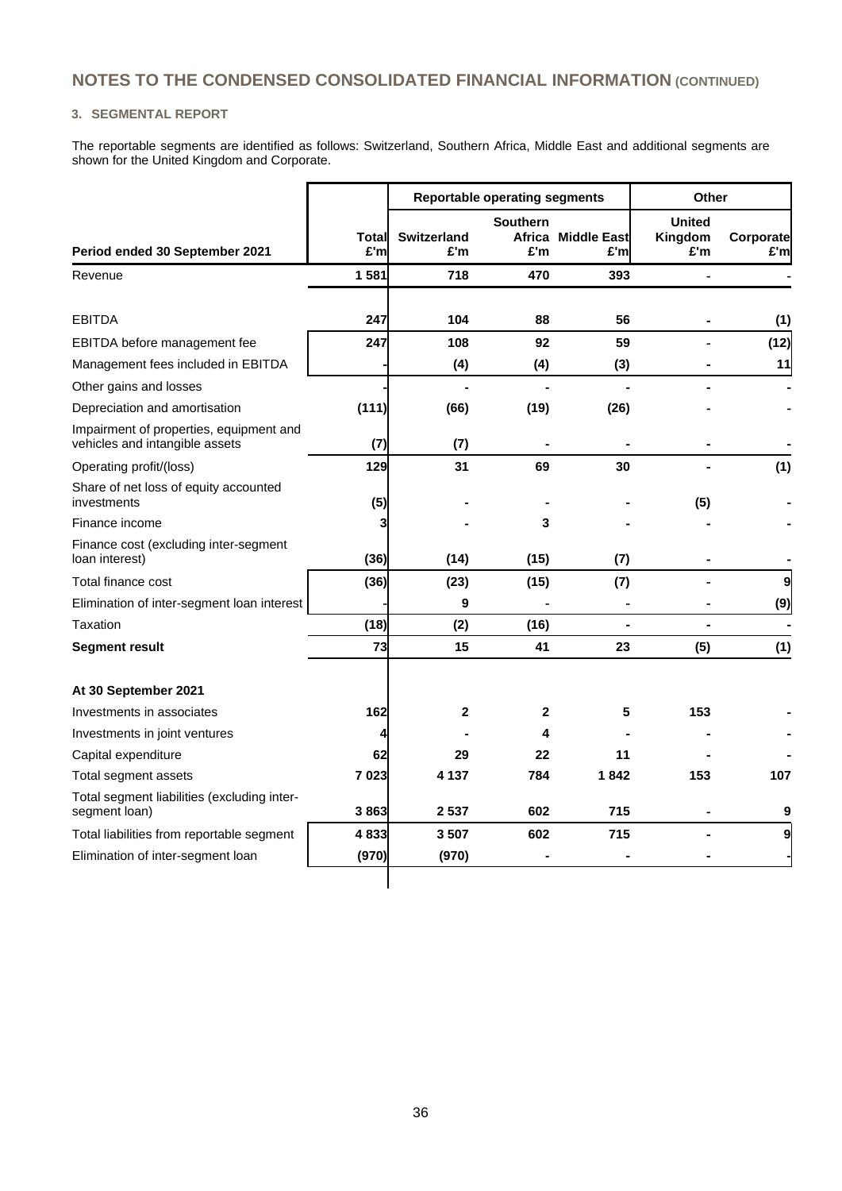#### **3. SEGMENTAL REPORT**

The reportable segments are identified as follows: Switzerland, Southern Africa, Middle East and additional segments are shown for the United Kingdom and Corporate.

|                                                                           |               | <b>Reportable operating segments</b> |                        |                           | Other                           |                  |  |
|---------------------------------------------------------------------------|---------------|--------------------------------------|------------------------|---------------------------|---------------------------------|------------------|--|
| Period ended 30 September 2021                                            | Totall<br>£'m | <b>Switzerland</b><br>£'m            | <b>Southern</b><br>£'m | Africa Middle East<br>£'m | <b>United</b><br>Kingdom<br>£'m | Corporate<br>£'m |  |
| Revenue                                                                   | 1581          | 718                                  | 470                    | 393                       | ۰                               |                  |  |
| <b>EBITDA</b>                                                             | 247           | 104                                  | 88                     | 56                        |                                 | (1)              |  |
| EBITDA before management fee                                              | 247           | 108                                  | 92                     | 59                        |                                 | (12)             |  |
| Management fees included in EBITDA                                        |               | (4)                                  | (4)                    | (3)                       |                                 | 11               |  |
| Other gains and losses                                                    |               |                                      |                        |                           |                                 |                  |  |
| Depreciation and amortisation                                             | (111)         | (66)                                 | (19)                   | (26)                      |                                 |                  |  |
| Impairment of properties, equipment and<br>vehicles and intangible assets | (7)           | (7)                                  |                        |                           |                                 |                  |  |
| Operating profit/(loss)                                                   | 129           | 31                                   | 69                     | 30                        |                                 | (1)              |  |
| Share of net loss of equity accounted<br>investments                      | (5)           |                                      |                        |                           | (5)                             |                  |  |
| Finance income                                                            | 3             |                                      | 3                      |                           |                                 |                  |  |
| Finance cost (excluding inter-segment<br>loan interest)                   | (36)          | (14)                                 | (15)                   | (7)                       |                                 |                  |  |
| Total finance cost                                                        | (36)          | (23)                                 | (15)                   | (7)                       |                                 | 9                |  |
| Elimination of inter-segment loan interest                                |               | 9                                    |                        |                           |                                 | (9)              |  |
| Taxation                                                                  | (18)          | (2)                                  | (16)                   |                           |                                 |                  |  |
| Segment result                                                            | 73            | 15                                   | 41                     | 23                        | (5)                             | (1)              |  |
| At 30 September 2021                                                      |               |                                      |                        |                           |                                 |                  |  |
| Investments in associates                                                 | 162           | $\mathbf{2}$                         | 2                      | 5                         | 153                             |                  |  |
| Investments in joint ventures                                             | 4             |                                      | 4                      |                           |                                 |                  |  |
| Capital expenditure                                                       | 62            | 29                                   | 22                     | 11                        |                                 |                  |  |
| Total segment assets                                                      | 7023          | 4 137                                | 784                    | 1842                      | 153                             | 107              |  |
| Total segment liabilities (excluding inter-<br>segment loan)              | 3863          | 2537                                 | 602                    | 715                       |                                 | 9                |  |
| Total liabilities from reportable segment                                 | 4833          | 3507                                 | 602                    | 715                       |                                 | 9                |  |
| Elimination of inter-segment loan                                         | (970)         | (970)                                |                        |                           |                                 |                  |  |
|                                                                           |               |                                      |                        |                           |                                 |                  |  |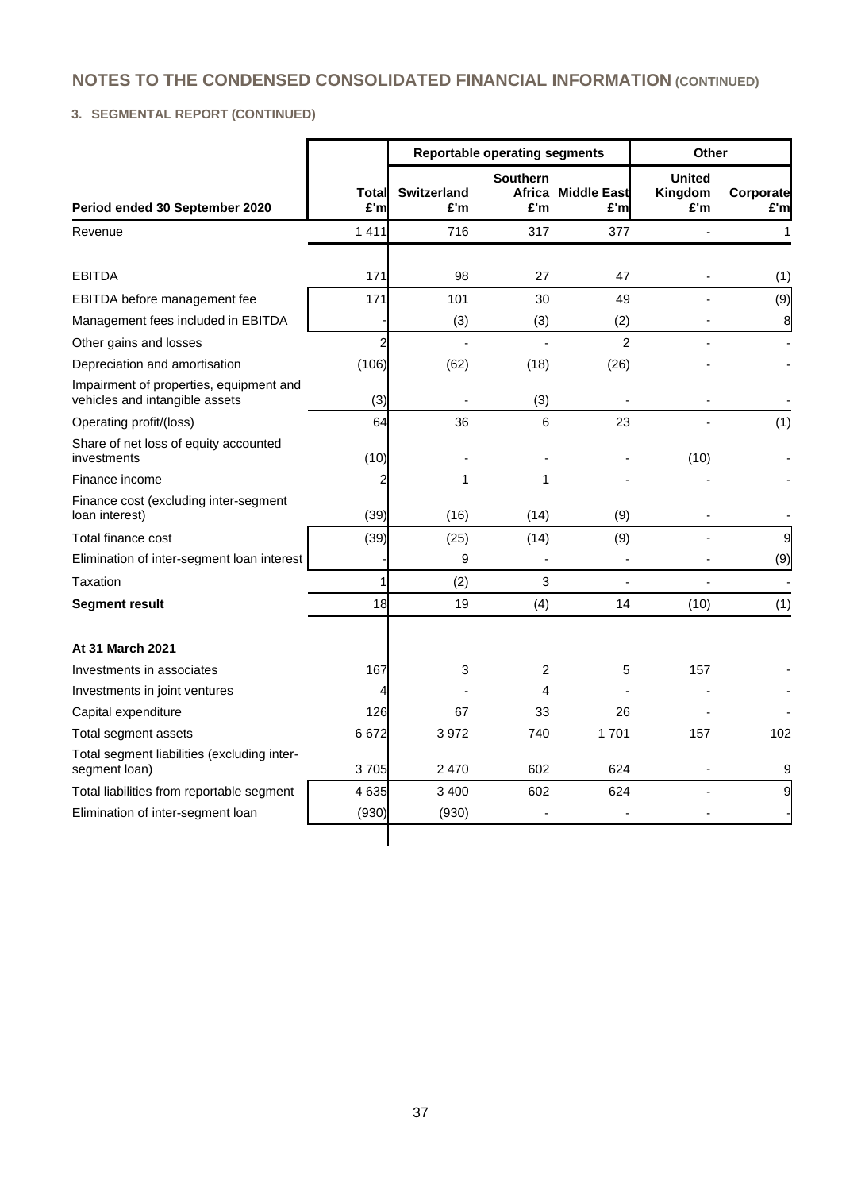## **3. SEGMENTAL REPORT (CONTINUED)**

|                                                                           |                |                           | <b>Reportable operating segments</b> |                            |                                 | Other             |  |  |
|---------------------------------------------------------------------------|----------------|---------------------------|--------------------------------------|----------------------------|---------------------------------|-------------------|--|--|
| Period ended 30 September 2020                                            | Total<br>£'m   | <b>Switzerland</b><br>£'m | <b>Southern</b><br>£'m               | Africa Middle East<br>£'ml | <b>United</b><br>Kingdom<br>£'m | Corporate<br>£'ml |  |  |
| Revenue                                                                   | 1411           | 716                       | 317                                  | 377                        |                                 | 1                 |  |  |
|                                                                           |                |                           |                                      |                            |                                 |                   |  |  |
| <b>EBITDA</b>                                                             | 171            | 98                        | 27                                   | 47                         |                                 | (1)               |  |  |
| EBITDA before management fee                                              | 171            | 101                       | 30                                   | 49                         |                                 | (9)               |  |  |
| Management fees included in EBITDA                                        |                | (3)                       | (3)                                  | (2)                        |                                 | 8                 |  |  |
| Other gains and losses                                                    | $\overline{c}$ |                           |                                      | $\mathfrak{p}$             |                                 |                   |  |  |
| Depreciation and amortisation                                             | (106)          | (62)                      | (18)                                 | (26)                       |                                 |                   |  |  |
| Impairment of properties, equipment and<br>vehicles and intangible assets | (3)            |                           | (3)                                  |                            |                                 |                   |  |  |
| Operating profit/(loss)                                                   | 64             | 36                        | 6                                    | 23                         |                                 | (1)               |  |  |
| Share of net loss of equity accounted<br>investments                      | (10)           |                           |                                      |                            | (10)                            |                   |  |  |
| Finance income                                                            | 2              | 1                         | 1                                    |                            |                                 |                   |  |  |
| Finance cost (excluding inter-segment<br>loan interest)                   | (39)           | (16)                      | (14)                                 | (9)                        |                                 |                   |  |  |
| Total finance cost                                                        | (39)           | (25)                      | (14)                                 | (9)                        |                                 | 9                 |  |  |
| Elimination of inter-segment loan interest                                |                | 9                         | $\overline{a}$                       | $\overline{a}$             |                                 | (9)               |  |  |
| Taxation                                                                  | 1              | (2)                       | 3                                    | $\overline{a}$             |                                 |                   |  |  |
| <b>Segment result</b>                                                     | 18             | 19                        | (4)                                  | 14                         | (10)                            | (1)               |  |  |
| At 31 March 2021                                                          |                |                           |                                      |                            |                                 |                   |  |  |
| Investments in associates                                                 | 167            | 3                         | 2                                    | 5                          | 157                             |                   |  |  |
| Investments in joint ventures                                             | 4              |                           | 4                                    |                            |                                 |                   |  |  |
| Capital expenditure                                                       | 126            | 67                        | 33                                   | 26                         |                                 |                   |  |  |
| Total segment assets                                                      | 6672           | 3972                      | 740                                  | 1701                       | 157                             | 102               |  |  |
| Total segment liabilities (excluding inter-<br>segment loan)              | 3705           | 2470                      | 602                                  | 624                        |                                 | 9                 |  |  |
| Total liabilities from reportable segment                                 | 4 6 3 5        | 3 4 0 0                   | 602                                  | 624                        |                                 | 9                 |  |  |
| Elimination of inter-segment loan                                         | (930)          | (930)                     |                                      |                            |                                 |                   |  |  |
|                                                                           |                |                           |                                      |                            |                                 |                   |  |  |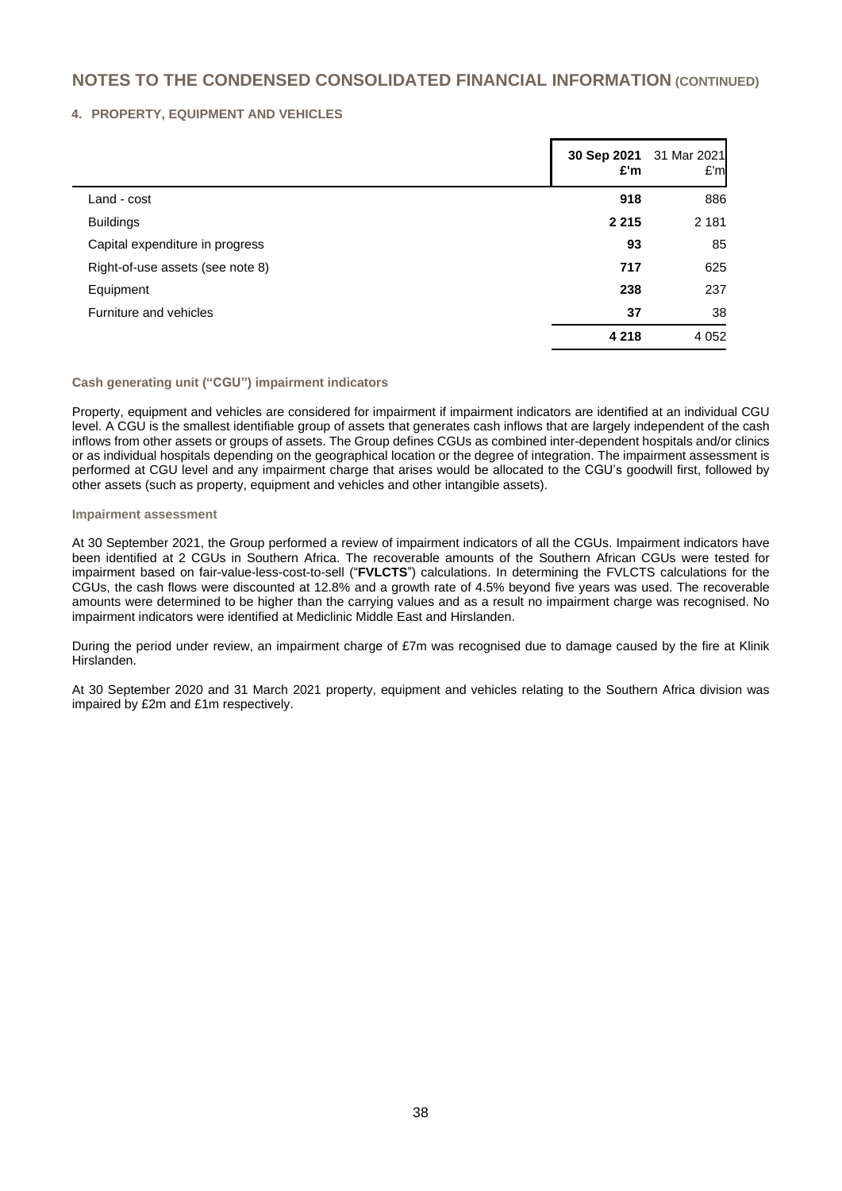#### **4. PROPERTY, EQUIPMENT AND VEHICLES**

|                                  | 30 Sep 2021<br>£'m | 31 Mar 2021<br>E'm |
|----------------------------------|--------------------|--------------------|
| Land - cost                      | 918                | 886                |
| <b>Buildings</b>                 | 2 2 1 5            | 2 1 8 1            |
| Capital expenditure in progress  | 93                 | 85                 |
| Right-of-use assets (see note 8) | 717                | 625                |
| Equipment                        | 238                | 237                |
| Furniture and vehicles           | 37                 | 38                 |
|                                  | 4 2 1 8            | 4 0 5 2            |

### **Cash generating unit ("CGU") impairment indicators**

Property, equipment and vehicles are considered for impairment if impairment indicators are identified at an individual CGU level. A CGU is the smallest identifiable group of assets that generates cash inflows that are largely independent of the cash inflows from other assets or groups of assets. The Group defines CGUs as combined inter-dependent hospitals and/or clinics or as individual hospitals depending on the geographical location or the degree of integration. The impairment assessment is performed at CGU level and any impairment charge that arises would be allocated to the CGU's goodwill first, followed by other assets (such as property, equipment and vehicles and other intangible assets).

#### **Impairment assessment**

At 30 September 2021, the Group performed a review of impairment indicators of all the CGUs. Impairment indicators have been identified at 2 CGUs in Southern Africa. The recoverable amounts of the Southern African CGUs were tested for impairment based on fair-value-less-cost-to-sell ("**FVLCTS**") calculations. In determining the FVLCTS calculations for the CGUs, the cash flows were discounted at 12.8% and a growth rate of 4.5% beyond five years was used. The recoverable amounts were determined to be higher than the carrying values and as a result no impairment charge was recognised. No impairment indicators were identified at Mediclinic Middle East and Hirslanden.

During the period under review, an impairment charge of £7m was recognised due to damage caused by the fire at Klinik Hirslanden.

At 30 September 2020 and 31 March 2021 property, equipment and vehicles relating to the Southern Africa division was impaired by £2m and £1m respectively.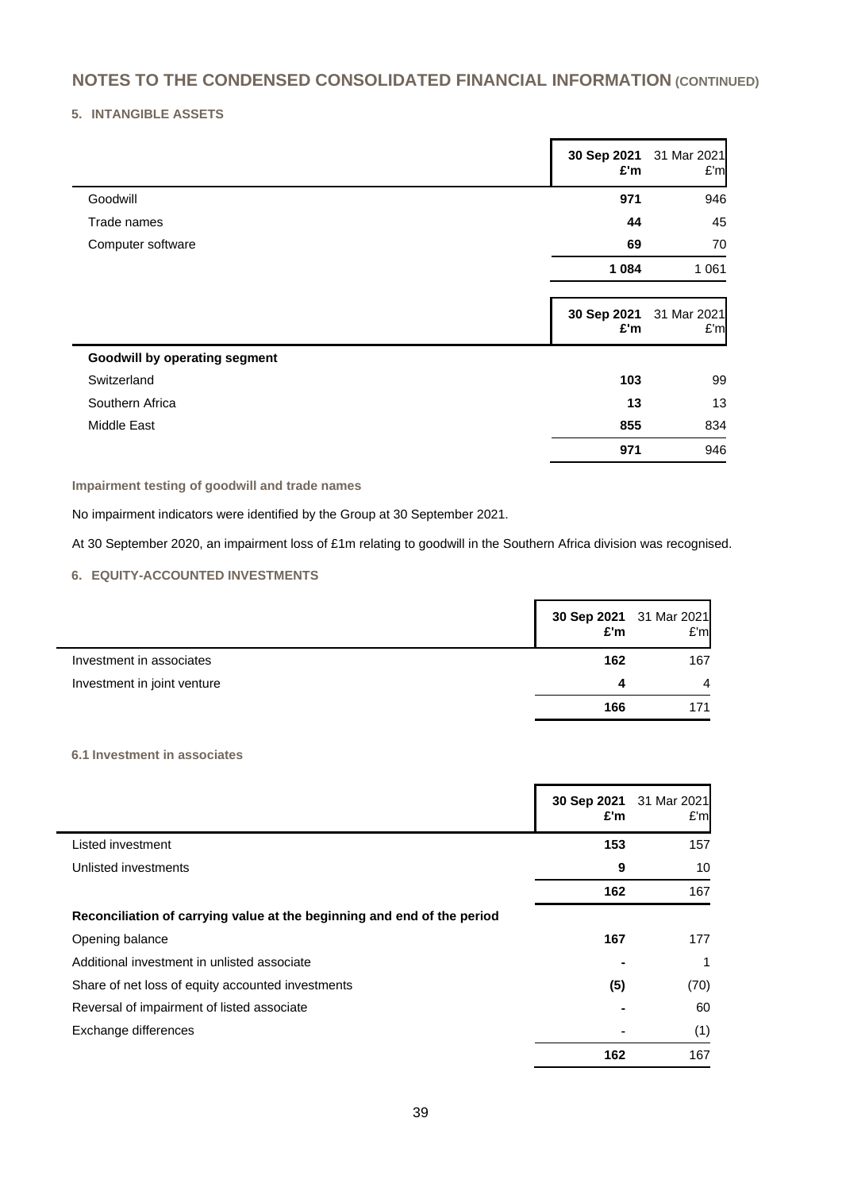### **5. INTANGIBLE ASSETS**

|                                      | £'m                | 30 Sep 2021 31 Mar 2021<br>E'm |
|--------------------------------------|--------------------|--------------------------------|
| Goodwill                             | 971                | 946                            |
| Trade names                          | 44                 | 45                             |
| Computer software                    | 69                 | 70                             |
|                                      | 1 0 8 4            | 1 0 6 1                        |
|                                      | 30 Sep 2021<br>£'m | 31 Mar 2021<br>E'm             |
| <b>Goodwill by operating segment</b> |                    |                                |
| Switzerland                          | 103                | 99                             |
| Southern Africa                      | 13                 | 13                             |
| Middle East                          | 855                | 834                            |
|                                      | 971                | 946                            |

**Impairment testing of goodwill and trade names**

No impairment indicators were identified by the Group at 30 September 2021.

At 30 September 2020, an impairment loss of £1m relating to goodwill in the Southern Africa division was recognised.

### **6. EQUITY-ACCOUNTED INVESTMENTS**

|                             | 30 Sep 2021 31 Mar 2021<br>£'m | E'm |
|-----------------------------|--------------------------------|-----|
| Investment in associates    | 162                            | 167 |
| Investment in joint venture | Δ                              |     |
|                             | 166                            | 171 |

#### **6.1 Investment in associates**

|                                                                         | 30 Sep 2021<br>£'m | 31 Mar 2021<br>E'm |
|-------------------------------------------------------------------------|--------------------|--------------------|
| Listed investment                                                       | 153                | 157                |
| Unlisted investments                                                    | 9                  | 10                 |
|                                                                         | 162                | 167                |
| Reconciliation of carrying value at the beginning and end of the period |                    |                    |
| Opening balance                                                         | 167                | 177                |
| Additional investment in unlisted associate                             |                    | 1                  |
| Share of net loss of equity accounted investments                       | (5)                | (70)               |
| Reversal of impairment of listed associate                              |                    | 60                 |
| Exchange differences                                                    |                    | (1)                |
|                                                                         | 162                | 167                |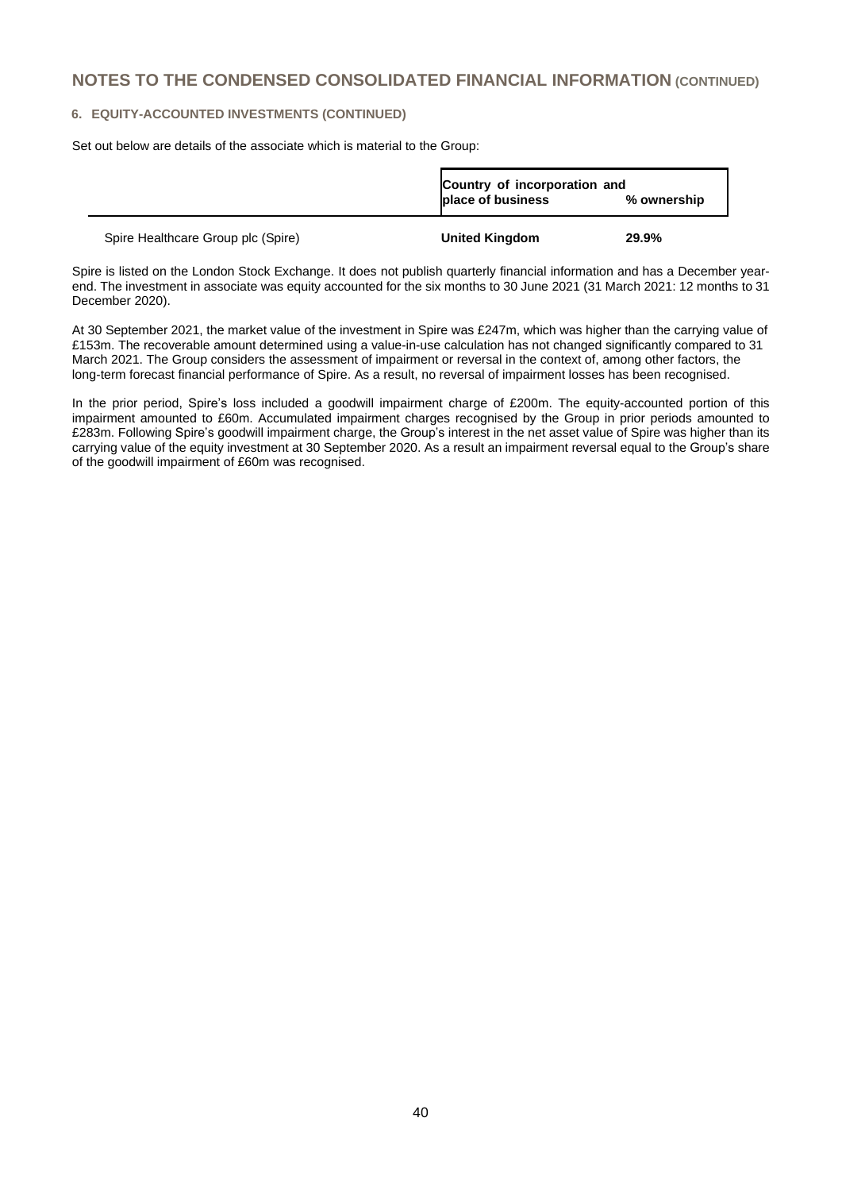#### **6. EQUITY-ACCOUNTED INVESTMENTS (CONTINUED)**

Set out below are details of the associate which is material to the Group:

|                                    | Country of incorporation and<br>place of business | % ownership |
|------------------------------------|---------------------------------------------------|-------------|
| Spire Healthcare Group plc (Spire) | <b>United Kingdom</b>                             | 29.9%       |

Spire is listed on the London Stock Exchange. It does not publish quarterly financial information and has a December yearend. The investment in associate was equity accounted for the six months to 30 June 2021 (31 March 2021: 12 months to 31 December 2020).

At 30 September 2021, the market value of the investment in Spire was £247m, which was higher than the carrying value of £153m. The recoverable amount determined using a value-in-use calculation has not changed significantly compared to 31 March 2021. The Group considers the assessment of impairment or reversal in the context of, among other factors, the long-term forecast financial performance of Spire. As a result, no reversal of impairment losses has been recognised.

In the prior period, Spire's loss included a goodwill impairment charge of £200m. The equity-accounted portion of this impairment amounted to £60m. Accumulated impairment charges recognised by the Group in prior periods amounted to £283m. Following Spire's goodwill impairment charge, the Group's interest in the net asset value of Spire was higher than its carrying value of the equity investment at 30 September 2020. As a result an impairment reversal equal to the Group's share of the goodwill impairment of £60m was recognised.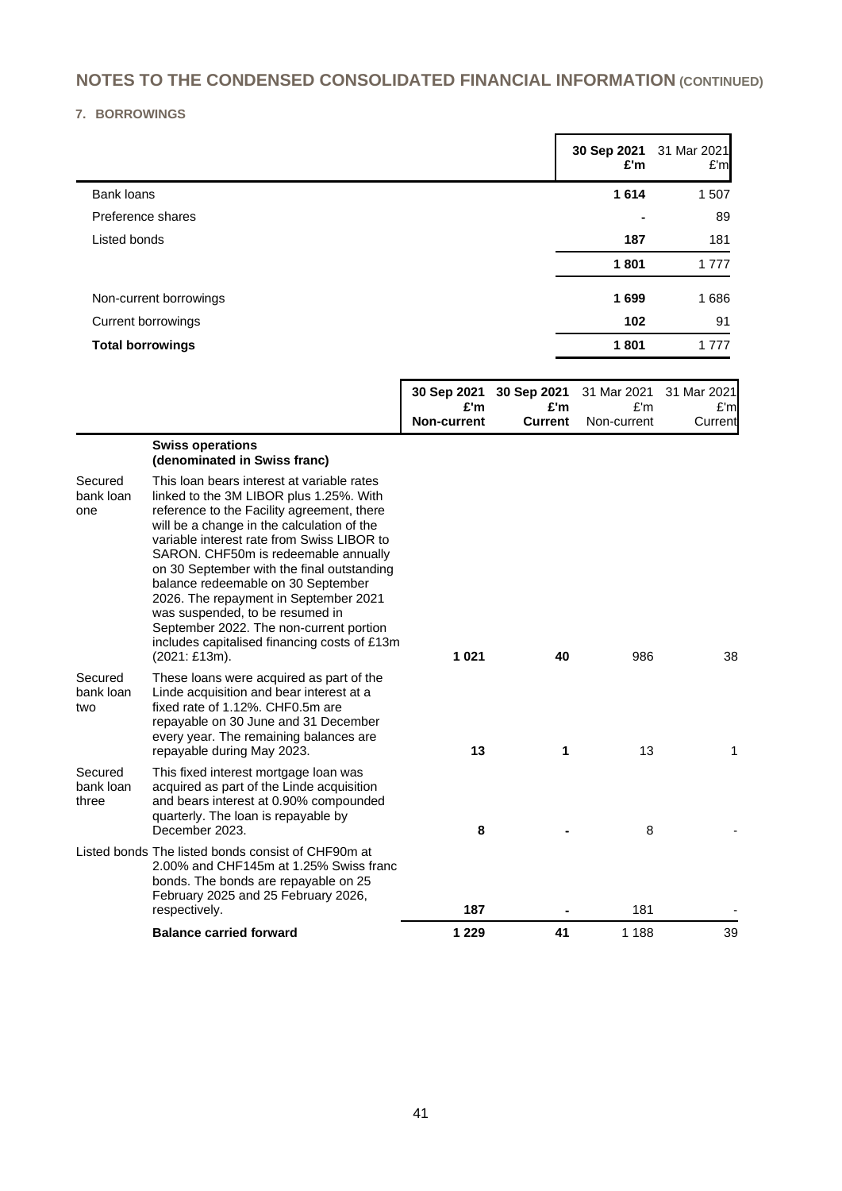## **7. BORROWINGS**

|                         | 30 Sep 2021<br>£'m | 31 Mar 2021<br>E'm |
|-------------------------|--------------------|--------------------|
| Bank loans              | 1614               | 1507               |
| Preference shares       | $\blacksquare$     | 89                 |
| Listed bonds            | 187                | 181                |
|                         | 1801               | 1 7 7 7            |
| Non-current borrowings  | 1699               | 1686               |
| Current borrowings      | 102                | 91                 |
| <b>Total borrowings</b> | 1801               | 1 7 7 7            |

|                               |                                                                                                                                                                                                                                                                                                                                                                                                                                                                                                                                                     | 30 Sep 2021<br>£'m | 30 Sep 2021<br>£'m | 31 Mar 2021<br>E'm | 31 Mar 2021<br>£'m |
|-------------------------------|-----------------------------------------------------------------------------------------------------------------------------------------------------------------------------------------------------------------------------------------------------------------------------------------------------------------------------------------------------------------------------------------------------------------------------------------------------------------------------------------------------------------------------------------------------|--------------------|--------------------|--------------------|--------------------|
|                               |                                                                                                                                                                                                                                                                                                                                                                                                                                                                                                                                                     | Non-current        | <b>Current</b>     | Non-current        | Current            |
|                               | <b>Swiss operations</b><br>(denominated in Swiss franc)                                                                                                                                                                                                                                                                                                                                                                                                                                                                                             |                    |                    |                    |                    |
| Secured<br>bank loan<br>one   | This loan bears interest at variable rates<br>linked to the 3M LIBOR plus 1.25%. With<br>reference to the Facility agreement, there<br>will be a change in the calculation of the<br>variable interest rate from Swiss LIBOR to<br>SARON. CHF50m is redeemable annually<br>on 30 September with the final outstanding<br>balance redeemable on 30 September<br>2026. The repayment in September 2021<br>was suspended, to be resumed in<br>September 2022. The non-current portion<br>includes capitalised financing costs of £13m<br>(2021: £13m). | 1 0 2 1            | 40                 | 986                | 38                 |
| Secured<br>bank loan<br>two   | These loans were acquired as part of the<br>Linde acquisition and bear interest at a<br>fixed rate of 1.12%. CHF0.5m are<br>repayable on 30 June and 31 December<br>every year. The remaining balances are<br>repayable during May 2023.                                                                                                                                                                                                                                                                                                            | 13                 | 1                  | 13                 | 1                  |
| Secured<br>bank loan<br>three | This fixed interest mortgage loan was<br>acquired as part of the Linde acquisition<br>and bears interest at 0.90% compounded<br>quarterly. The loan is repayable by<br>December 2023.                                                                                                                                                                                                                                                                                                                                                               | 8                  |                    | 8                  |                    |
|                               | Listed bonds The listed bonds consist of CHF90m at<br>2.00% and CHF145m at 1.25% Swiss franc<br>bonds. The bonds are repayable on 25<br>February 2025 and 25 February 2026,<br>respectively.                                                                                                                                                                                                                                                                                                                                                        | 187                |                    | 181                |                    |
|                               | <b>Balance carried forward</b>                                                                                                                                                                                                                                                                                                                                                                                                                                                                                                                      | 1 2 2 9            | 41                 | 1 1 8 8            | 39                 |
|                               |                                                                                                                                                                                                                                                                                                                                                                                                                                                                                                                                                     |                    |                    |                    |                    |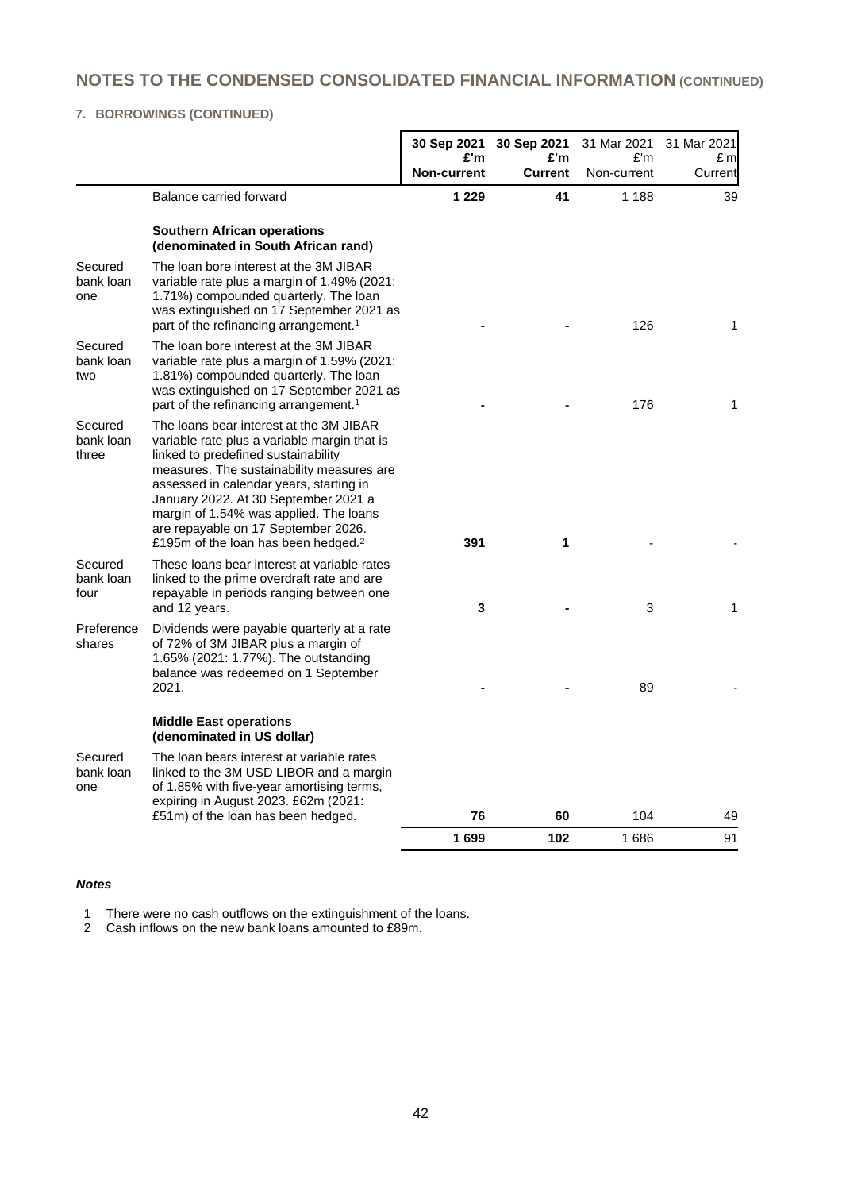## **7. BORROWINGS (CONTINUED)**

|                               |                                                                                                                                                                                                                                                                                                                                                                                                    | 30 Sep 2021               | 30 Sep 2021           | 31 Mar 2021        | 31 Mar 2021    |
|-------------------------------|----------------------------------------------------------------------------------------------------------------------------------------------------------------------------------------------------------------------------------------------------------------------------------------------------------------------------------------------------------------------------------------------------|---------------------------|-----------------------|--------------------|----------------|
|                               |                                                                                                                                                                                                                                                                                                                                                                                                    | £'m<br><b>Non-current</b> | £'m<br><b>Current</b> | E'm<br>Non-current | £'m<br>Current |
|                               | Balance carried forward                                                                                                                                                                                                                                                                                                                                                                            | 1 2 2 9                   | 41                    | 1 1 8 8            | 39             |
|                               | <b>Southern African operations</b><br>(denominated in South African rand)                                                                                                                                                                                                                                                                                                                          |                           |                       |                    |                |
| Secured<br>bank loan<br>one   | The loan bore interest at the 3M JIBAR<br>variable rate plus a margin of 1.49% (2021:<br>1.71%) compounded quarterly. The loan<br>was extinguished on 17 September 2021 as<br>part of the refinancing arrangement. <sup>1</sup>                                                                                                                                                                    |                           |                       | 126                | 1              |
| Secured<br>bank loan<br>two   | The loan bore interest at the 3M JIBAR<br>variable rate plus a margin of 1.59% (2021:<br>1.81%) compounded quarterly. The loan<br>was extinguished on 17 September 2021 as<br>part of the refinancing arrangement. <sup>1</sup>                                                                                                                                                                    |                           |                       | 176                | 1              |
| Secured<br>bank loan<br>three | The loans bear interest at the 3M JIBAR<br>variable rate plus a variable margin that is<br>linked to predefined sustainability<br>measures. The sustainability measures are<br>assessed in calendar years, starting in<br>January 2022. At 30 September 2021 a<br>margin of 1.54% was applied. The loans<br>are repayable on 17 September 2026.<br>£195m of the loan has been hedged. <sup>2</sup> | 391                       | 1                     |                    |                |
| Secured<br>bank loan<br>four  | These loans bear interest at variable rates<br>linked to the prime overdraft rate and are<br>repayable in periods ranging between one<br>and 12 years.                                                                                                                                                                                                                                             | 3                         |                       | 3                  | 1              |
| Preference<br>shares          | Dividends were payable quarterly at a rate<br>of 72% of 3M JIBAR plus a margin of<br>1.65% (2021: 1.77%). The outstanding<br>balance was redeemed on 1 September<br>2021.                                                                                                                                                                                                                          |                           |                       | 89                 |                |
|                               | <b>Middle East operations</b><br>(denominated in US dollar)                                                                                                                                                                                                                                                                                                                                        |                           |                       |                    |                |
| Secured<br>bank loan<br>one   | The loan bears interest at variable rates<br>linked to the 3M USD LIBOR and a margin<br>of 1.85% with five-year amortising terms,<br>expiring in August 2023. £62m (2021:                                                                                                                                                                                                                          |                           |                       |                    |                |
|                               | £51m) of the loan has been hedged.                                                                                                                                                                                                                                                                                                                                                                 | 76                        | 60                    | 104                | 49             |
|                               |                                                                                                                                                                                                                                                                                                                                                                                                    | 1699                      | 102                   | 1686               | 91             |

#### *Notes*

1 There were no cash outflows on the extinguishment of the loans.

2 Cash inflows on the new bank loans amounted to £89m.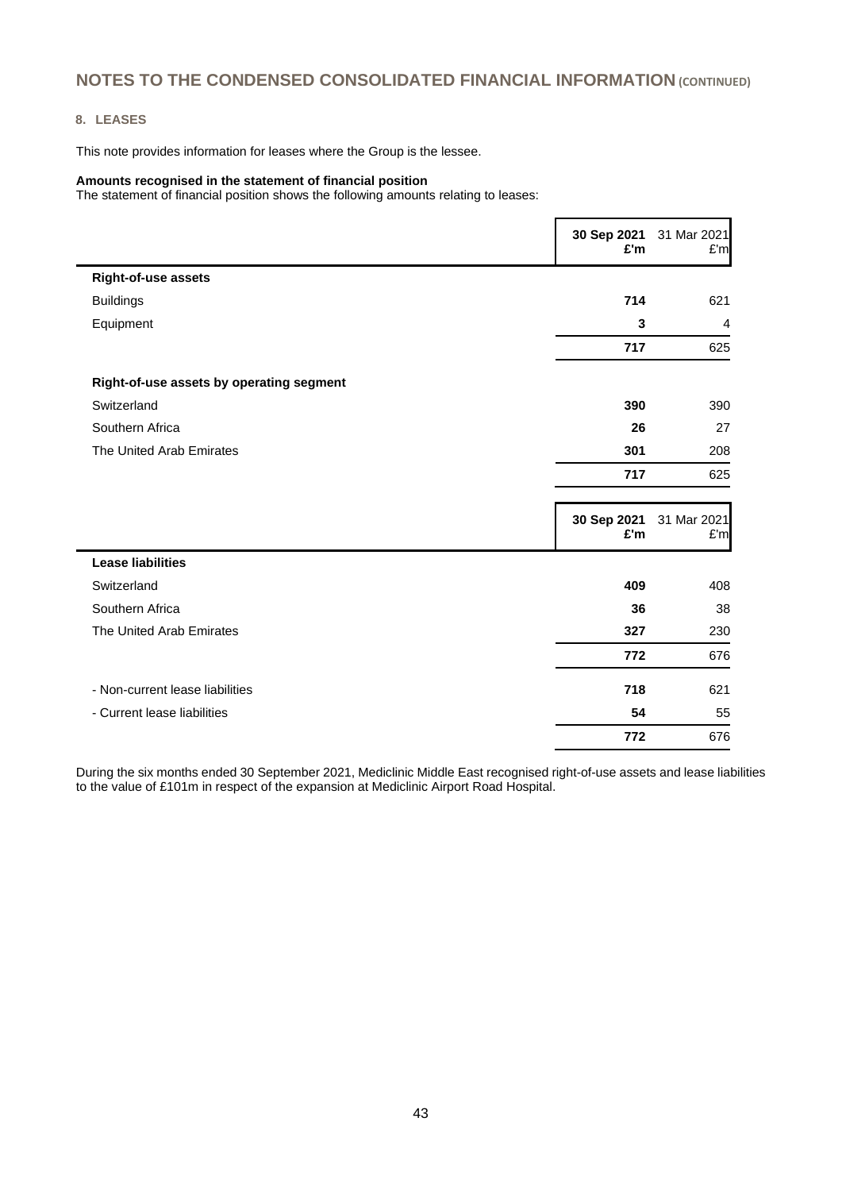#### **8. LEASES**

This note provides information for leases where the Group is the lessee.

#### **Amounts recognised in the statement of financial position**

The statement of financial position shows the following amounts relating to leases:

|                                          | 30 Sep 2021<br>£'m | 31 Mar 2021<br>£'m |
|------------------------------------------|--------------------|--------------------|
| <b>Right-of-use assets</b>               |                    |                    |
| <b>Buildings</b>                         | 714                | 621                |
| Equipment                                | 3                  | $\overline{4}$     |
|                                          | 717                | 625                |
| Right-of-use assets by operating segment |                    |                    |
| Switzerland                              | 390                | 390                |
| Southern Africa                          | 26                 | 27                 |
| The United Arab Emirates                 | 301                | 208                |
|                                          | 717                | 625                |
|                                          | 30 Sep 2021<br>£'m | 31 Mar 2021<br>£'m |
| <b>Lease liabilities</b>                 |                    |                    |
| Switzerland                              | 409                | 408                |
| Southern Africa                          | 36                 | 38                 |
| The United Arab Emirates                 | 327                | 230                |
|                                          | 772                | 676                |
| - Non-current lease liabilities          |                    | 621                |
|                                          | 718                |                    |
| - Current lease liabilities              | 54                 | 55                 |

During the six months ended 30 September 2021, Mediclinic Middle East recognised right-of-use assets and lease liabilities to the value of £101m in respect of the expansion at Mediclinic Airport Road Hospital.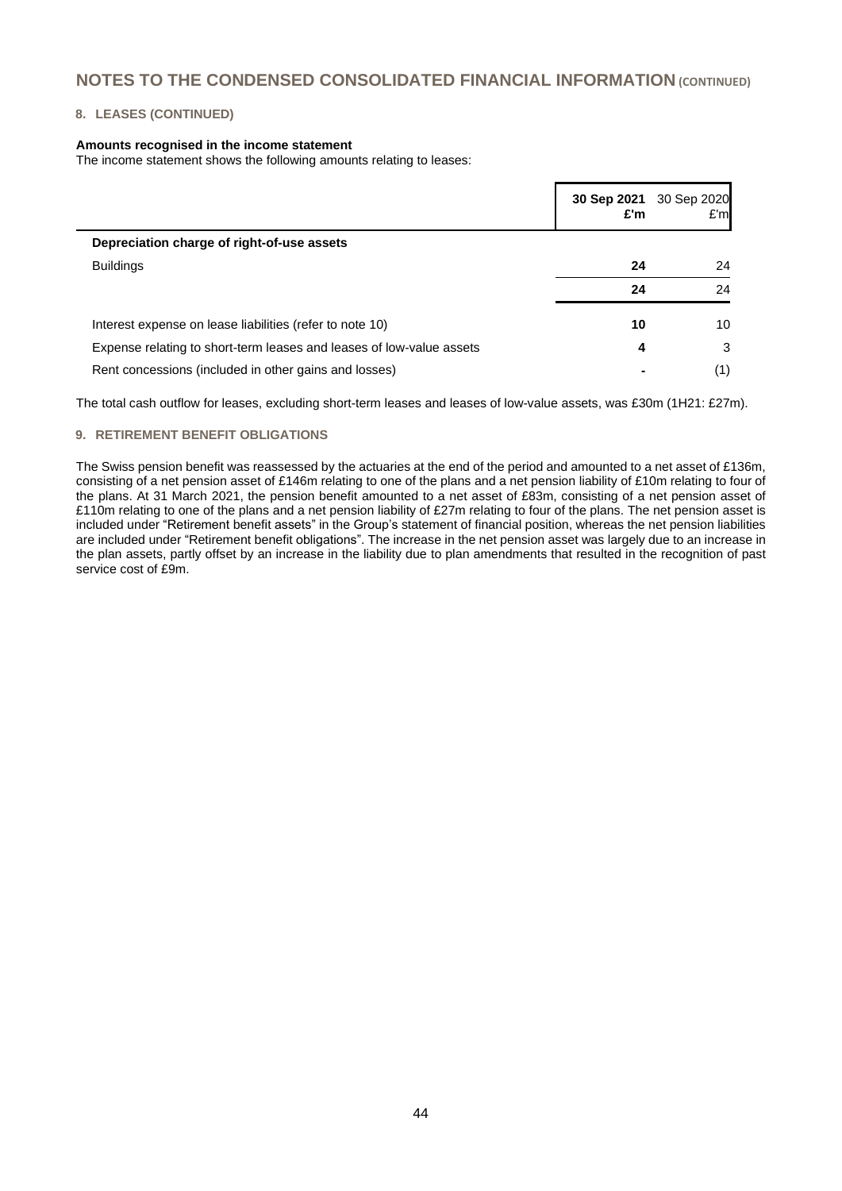#### **8. LEASES (CONTINUED)**

#### **Amounts recognised in the income statement**

The income statement shows the following amounts relating to leases:

|                                                                      | 30 Sep 2021<br>£'m | 30 Sep 2020<br>E'm |
|----------------------------------------------------------------------|--------------------|--------------------|
| Depreciation charge of right-of-use assets                           |                    |                    |
| <b>Buildings</b>                                                     | 24                 | 24                 |
|                                                                      | 24                 | 24                 |
| Interest expense on lease liabilities (refer to note 10)             | 10                 | 10                 |
| Expense relating to short-term leases and leases of low-value assets | 4                  | 3                  |
| Rent concessions (included in other gains and losses)                |                    | (1)                |

The total cash outflow for leases, excluding short-term leases and leases of low-value assets, was £30m (1H21: £27m).

#### **9. RETIREMENT BENEFIT OBLIGATIONS**

The Swiss pension benefit was reassessed by the actuaries at the end of the period and amounted to a net asset of £136m, consisting of a net pension asset of £146m relating to one of the plans and a net pension liability of £10m relating to four of the plans. At 31 March 2021, the pension benefit amounted to a net asset of £83m, consisting of a net pension asset of £110m relating to one of the plans and a net pension liability of £27m relating to four of the plans. The net pension asset is included under "Retirement benefit assets" in the Group's statement of financial position, whereas the net pension liabilities are included under "Retirement benefit obligations". The increase in the net pension asset was largely due to an increase in the plan assets, partly offset by an increase in the liability due to plan amendments that resulted in the recognition of past service cost of £9m.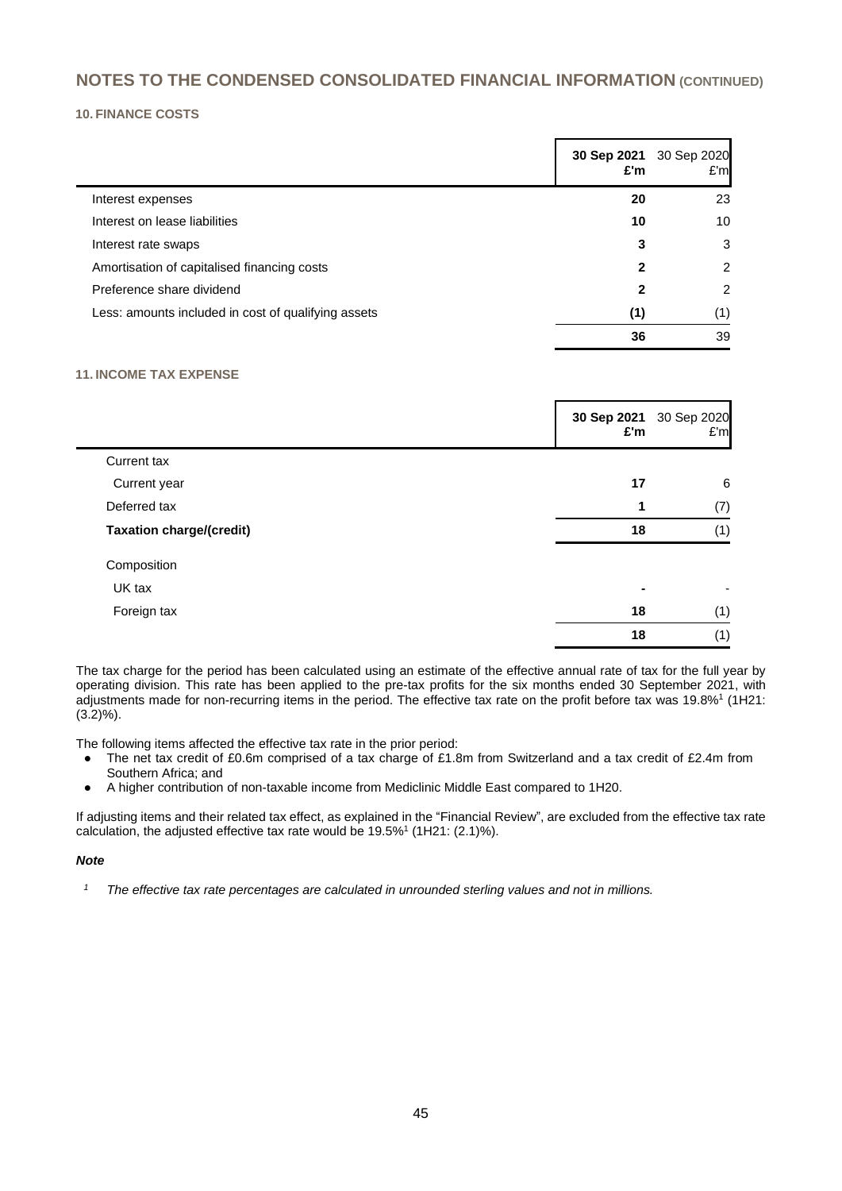#### **10. FINANCE COSTS**

|                                                     | 30 Sep 2021<br>£'m | 30 Sep 2020<br>E'm |
|-----------------------------------------------------|--------------------|--------------------|
| Interest expenses                                   | 20                 | 23                 |
| Interest on lease liabilities                       | 10                 | 10                 |
| Interest rate swaps                                 | 3                  | 3                  |
| Amortisation of capitalised financing costs         | 2                  | 2                  |
| Preference share dividend                           | 2                  | $\overline{2}$     |
| Less: amounts included in cost of qualifying assets | (1)                | (1)                |
|                                                     | 36                 | 39                 |

#### **11. INCOME TAX EXPENSE**

|                                 | 30 Sep 2021<br>£'m | 30 Sep 2020<br>E'm |
|---------------------------------|--------------------|--------------------|
| Current tax                     |                    |                    |
| Current year                    | 17                 | 6                  |
| Deferred tax                    | 1                  | (7)                |
| <b>Taxation charge/(credit)</b> | 18                 | (1)                |
| Composition                     |                    |                    |
| UK tax                          |                    |                    |
| Foreign tax                     | 18                 | (1)                |
|                                 | 18                 | (1)                |

The tax charge for the period has been calculated using an estimate of the effective annual rate of tax for the full year by operating division. This rate has been applied to the pre-tax profits for the six months ended 30 September 2021, with adjustments made for non-recurring items in the period. The effective tax rate on the profit before tax was 19.8%<sup>1</sup> (1H21:  $(3.2)$ %).

The following items affected the effective tax rate in the prior period:

- The net tax credit of £0.6m comprised of a tax charge of £1.8m from Switzerland and a tax credit of £2.4m from Southern Africa; and
- A higher contribution of non-taxable income from Mediclinic Middle East compared to 1H20.

If adjusting items and their related tax effect, as explained in the "Financial Review", are excluded from the effective tax rate calculation, the adjusted effective tax rate would be  $19.5\%$ <sup>1</sup> (1H21: (2.1)%).

#### *Note*

*<sup>1</sup> The effective tax rate percentages are calculated in unrounded sterling values and not in millions.*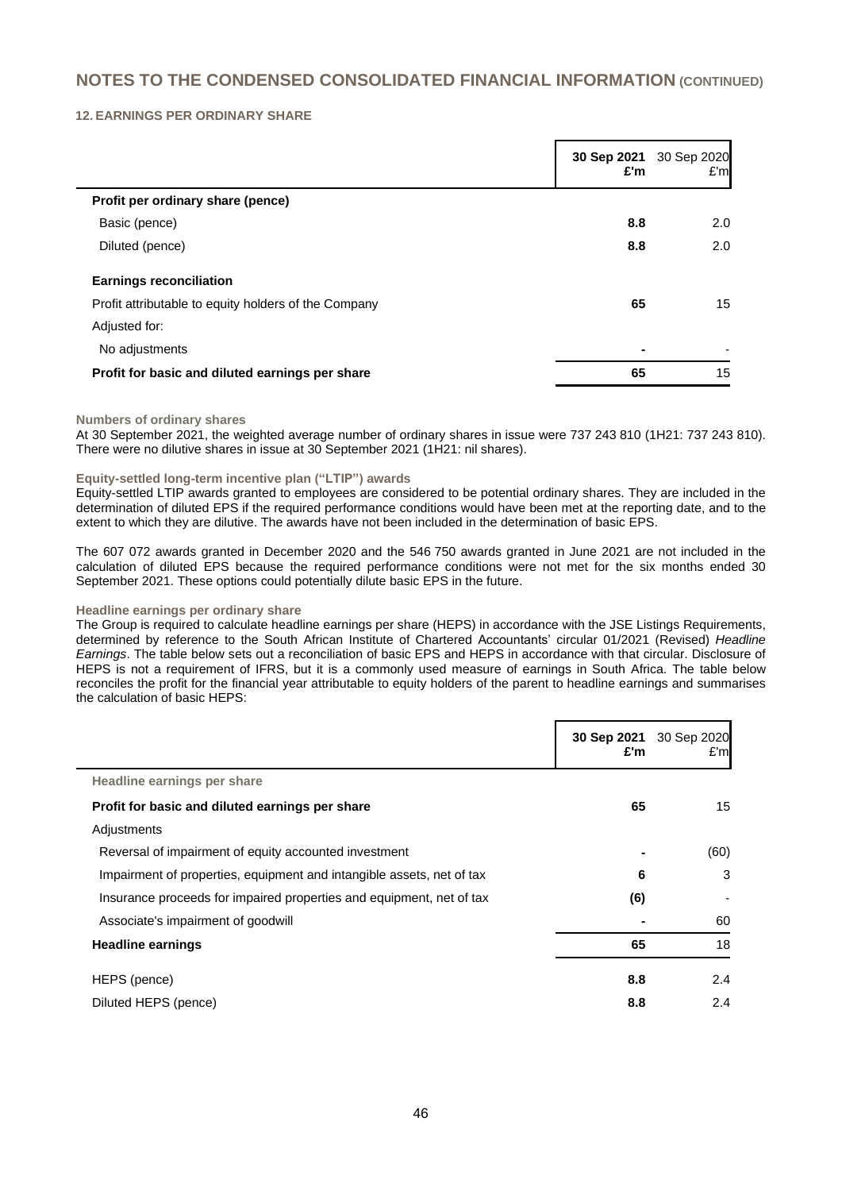#### **12. EARNINGS PER ORDINARY SHARE**

|                                                      | 30 Sep 2021<br>£'m | 30 Sep 2020<br>E'm |
|------------------------------------------------------|--------------------|--------------------|
| Profit per ordinary share (pence)                    |                    |                    |
| Basic (pence)                                        | 8.8                | 2.0                |
| Diluted (pence)                                      | 8.8                | 2.0                |
| <b>Earnings reconciliation</b>                       |                    |                    |
| Profit attributable to equity holders of the Company | 65                 | 15                 |
| Adjusted for:                                        |                    |                    |
| No adjustments                                       | ٠                  |                    |
| Profit for basic and diluted earnings per share      | 65                 | 15                 |

#### **Numbers of ordinary shares**

At 30 September 2021, the weighted average number of ordinary shares in issue were 737 243 810 (1H21: 737 243 810). There were no dilutive shares in issue at 30 September 2021 (1H21: nil shares).

#### **Equity-settled long-term incentive plan ("LTIP") awards**

Equity-settled LTIP awards granted to employees are considered to be potential ordinary shares. They are included in the determination of diluted EPS if the required performance conditions would have been met at the reporting date, and to the extent to which they are dilutive. The awards have not been included in the determination of basic EPS.

The 607 072 awards granted in December 2020 and the 546 750 awards granted in June 2021 are not included in the calculation of diluted EPS because the required performance conditions were not met for the six months ended 30 September 2021. These options could potentially dilute basic EPS in the future.

#### **Headline earnings per ordinary share**

The Group is required to calculate headline earnings per share (HEPS) in accordance with the JSE Listings Requirements, determined by reference to the South African Institute of Chartered Accountants' circular 01/2021 (Revised) *Headline Earnings*. The table below sets out a reconciliation of basic EPS and HEPS in accordance with that circular. Disclosure of HEPS is not a requirement of IFRS, but it is a commonly used measure of earnings in South Africa. The table below reconciles the profit for the financial year attributable to equity holders of the parent to headline earnings and summarises the calculation of basic HEPS:

|                                                                       | 30 Sep 2021<br>£'m | 30 Sep 2020<br>E'm |
|-----------------------------------------------------------------------|--------------------|--------------------|
| Headline earnings per share                                           |                    |                    |
| Profit for basic and diluted earnings per share                       | 65                 | 15                 |
| Adjustments                                                           |                    |                    |
| Reversal of impairment of equity accounted investment                 |                    | (60)               |
| Impairment of properties, equipment and intangible assets, net of tax | 6                  | 3                  |
| Insurance proceeds for impaired properties and equipment, net of tax  | (6)                |                    |
| Associate's impairment of goodwill                                    |                    | 60                 |
| <b>Headline earnings</b>                                              | 65                 | 18                 |
| HEPS (pence)                                                          | 8.8                | 2.4                |
| Diluted HEPS (pence)                                                  | 8.8                | 2.4                |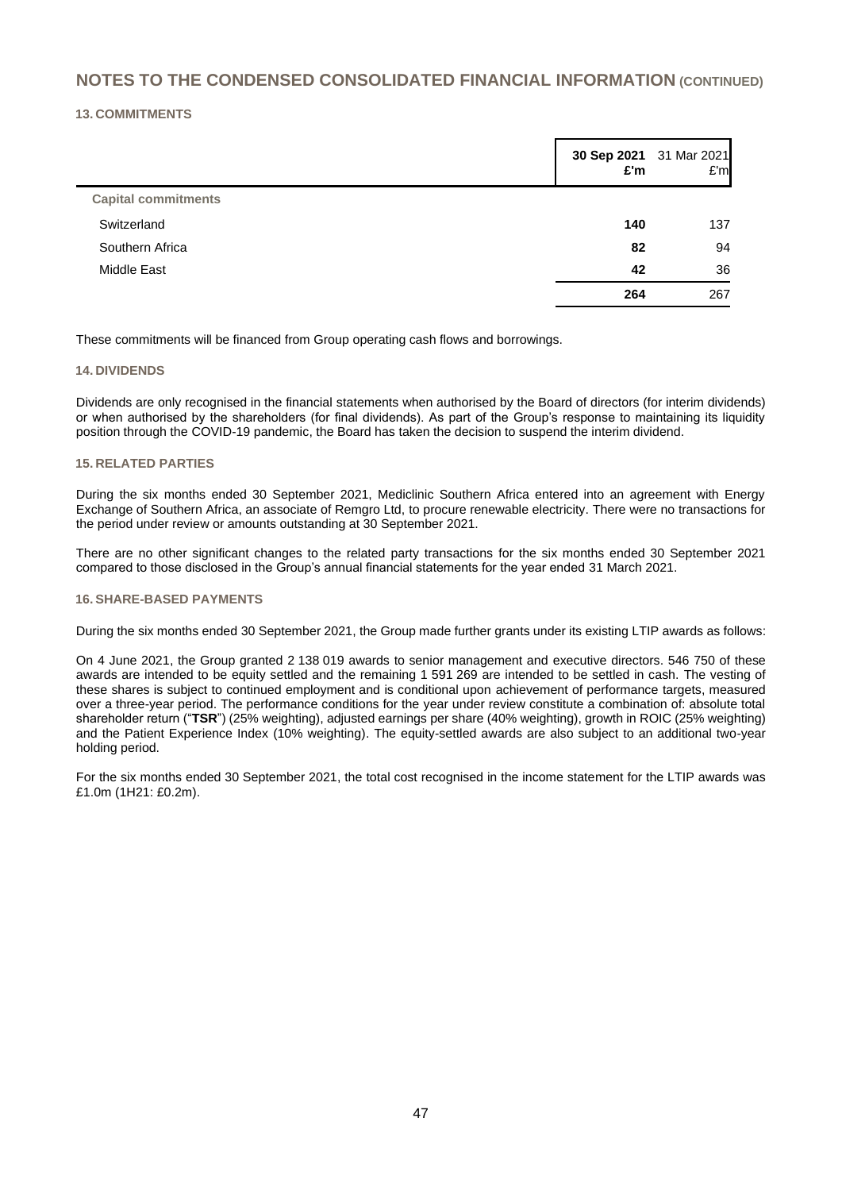#### **13. COMMITMENTS**

|                            | £'m | 30 Sep 2021 31 Mar 2021<br>E'm |
|----------------------------|-----|--------------------------------|
| <b>Capital commitments</b> |     |                                |
| Switzerland                | 140 | 137                            |
| Southern Africa            | 82  | 94                             |
| <b>Middle East</b>         | 42  | 36                             |
|                            | 264 | 267                            |

These commitments will be financed from Group operating cash flows and borrowings.

#### **14. DIVIDENDS**

Dividends are only recognised in the financial statements when authorised by the Board of directors (for interim dividends) or when authorised by the shareholders (for final dividends). As part of the Group's response to maintaining its liquidity position through the COVID-19 pandemic, the Board has taken the decision to suspend the interim dividend.

#### **15. RELATED PARTIES**

During the six months ended 30 September 2021, Mediclinic Southern Africa entered into an agreement with Energy Exchange of Southern Africa, an associate of Remgro Ltd, to procure renewable electricity. There were no transactions for the period under review or amounts outstanding at 30 September 2021.

There are no other significant changes to the related party transactions for the six months ended 30 September 2021 compared to those disclosed in the Group's annual financial statements for the year ended 31 March 2021.

#### **16. SHARE-BASED PAYMENTS**

During the six months ended 30 September 2021, the Group made further grants under its existing LTIP awards as follows:

On 4 June 2021, the Group granted 2 138 019 awards to senior management and executive directors. 546 750 of these awards are intended to be equity settled and the remaining 1 591 269 are intended to be settled in cash. The vesting of these shares is subject to continued employment and is conditional upon achievement of performance targets, measured over a three-year period. The performance conditions for the year under review constitute a combination of: absolute total shareholder return ("**TSR**") (25% weighting), adjusted earnings per share (40% weighting), growth in ROIC (25% weighting) and the Patient Experience Index (10% weighting). The equity-settled awards are also subject to an additional two-year holding period.

For the six months ended 30 September 2021, the total cost recognised in the income statement for the LTIP awards was £1.0m (1H21: £0.2m).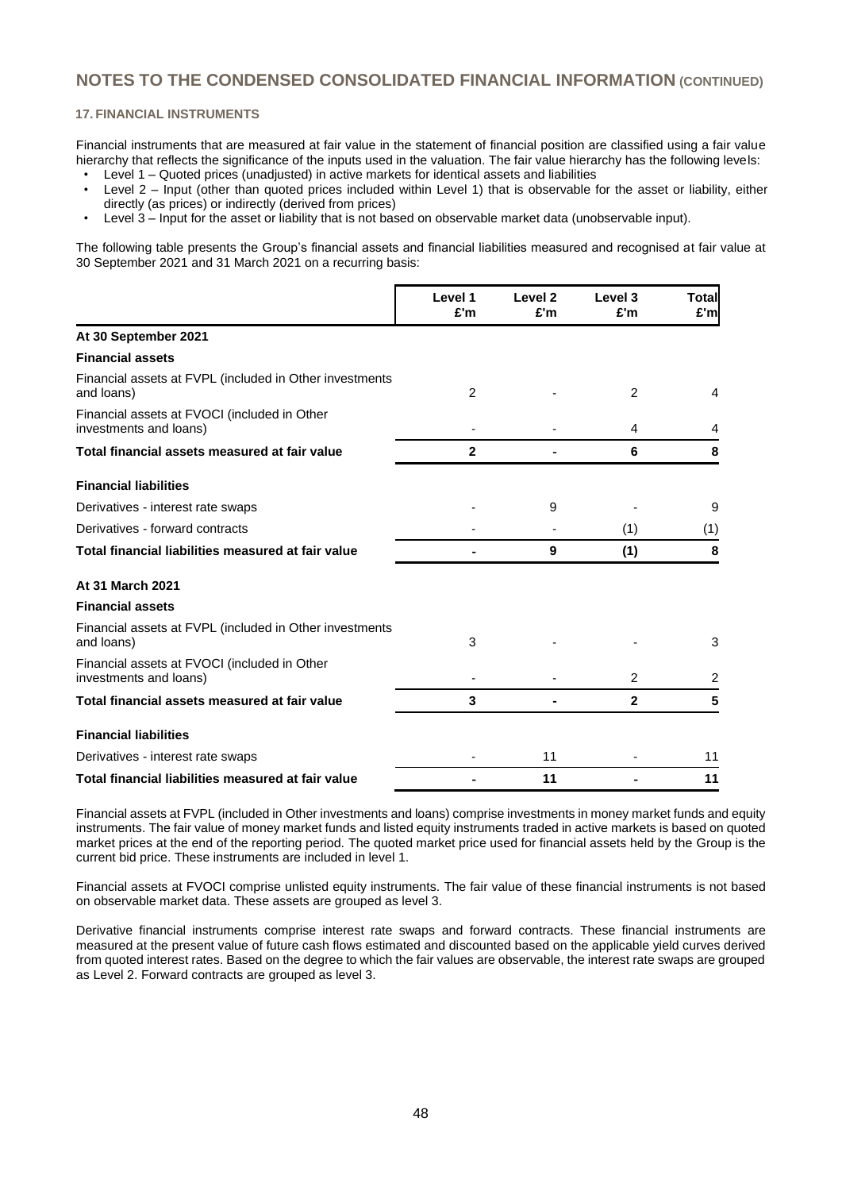#### **17. FINANCIAL INSTRUMENTS**

Financial instruments that are measured at fair value in the statement of financial position are classified using a fair value hierarchy that reflects the significance of the inputs used in the valuation. The fair value hierarchy has the following levels:

- Level 1 Quoted prices (unadjusted) in active markets for identical assets and liabilities
- Level 2 Input (other than quoted prices included within Level 1) that is observable for the asset or liability, either directly (as prices) or indirectly (derived from prices)
- Level 3 Input for the asset or liability that is not based on observable market data (unobservable input).

The following table presents the Group's financial assets and financial liabilities measured and recognised at fair value at 30 September 2021 and 31 March 2021 on a recurring basis:

|                                                                        | Level 1<br>£'m | Level 2<br>£'m | Level 3<br>£'m | Total<br>£'m |
|------------------------------------------------------------------------|----------------|----------------|----------------|--------------|
| At 30 September 2021                                                   |                |                |                |              |
| <b>Financial assets</b>                                                |                |                |                |              |
| Financial assets at FVPL (included in Other investments<br>and loans)  | $\overline{2}$ |                | 2              | 4            |
| Financial assets at FVOCI (included in Other<br>investments and loans) |                |                | 4              | 4            |
| Total financial assets measured at fair value                          | 2              |                | 6              | 8            |
| <b>Financial liabilities</b>                                           |                |                |                |              |
| Derivatives - interest rate swaps                                      |                | 9              |                | 9            |
| Derivatives - forward contracts                                        |                |                | (1)            | (1)          |
| Total financial liabilities measured at fair value                     |                | 9              | (1)            | 8            |
| At 31 March 2021                                                       |                |                |                |              |
| <b>Financial assets</b>                                                |                |                |                |              |
| Financial assets at FVPL (included in Other investments<br>and loans)  | 3              |                |                | 3            |
| Financial assets at FVOCI (included in Other<br>investments and loans) |                |                | $\overline{2}$ | 2            |
| Total financial assets measured at fair value                          | 3              |                | $\mathbf{2}$   | 5            |
| <b>Financial liabilities</b>                                           |                |                |                |              |
| Derivatives - interest rate swaps                                      |                | 11             |                | 11           |
| Total financial liabilities measured at fair value                     |                | 11             |                | 11           |

Financial assets at FVPL (included in Other investments and loans) comprise investments in money market funds and equity instruments. The fair value of money market funds and listed equity instruments traded in active markets is based on quoted market prices at the end of the reporting period. The quoted market price used for financial assets held by the Group is the current bid price. These instruments are included in level 1.

Financial assets at FVOCI comprise unlisted equity instruments. The fair value of these financial instruments is not based on observable market data. These assets are grouped as level 3.

Derivative financial instruments comprise interest rate swaps and forward contracts. These financial instruments are measured at the present value of future cash flows estimated and discounted based on the applicable yield curves derived from quoted interest rates. Based on the degree to which the fair values are observable, the interest rate swaps are grouped as Level 2. Forward contracts are grouped as level 3.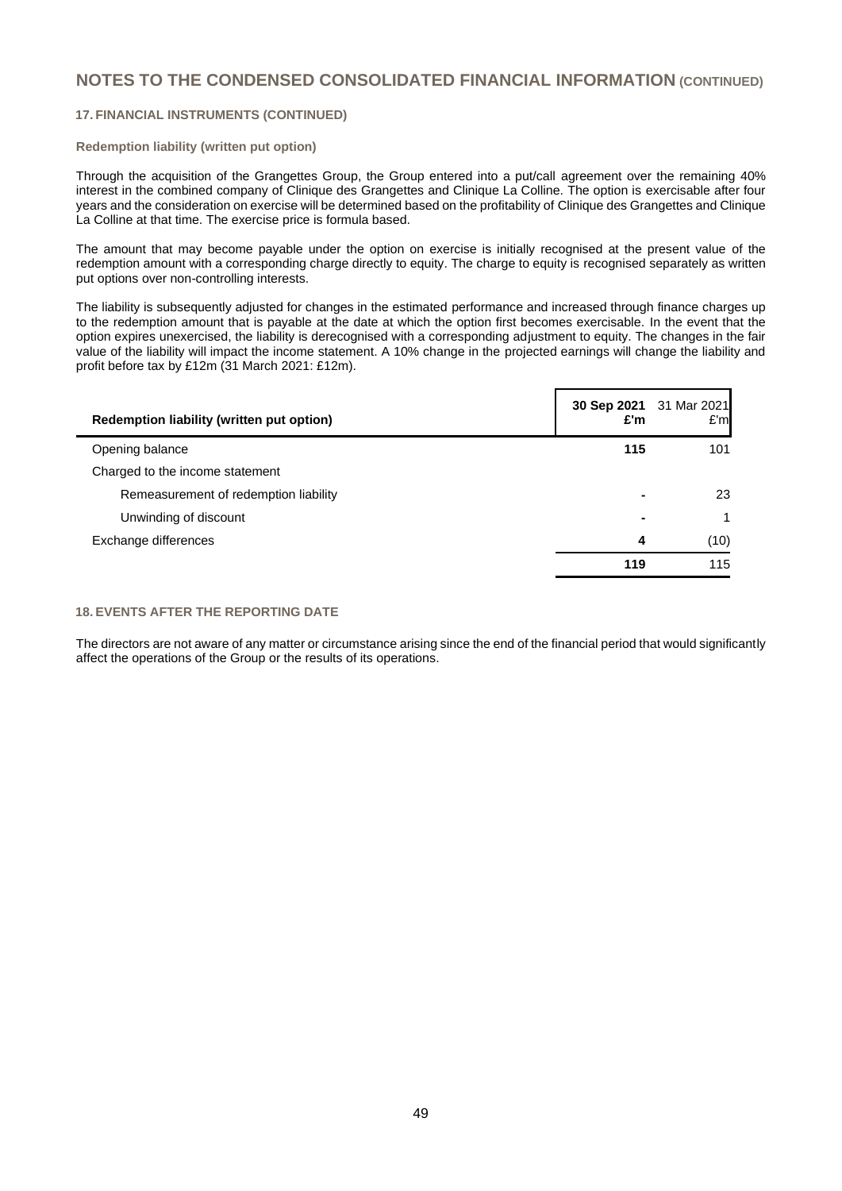#### **17. FINANCIAL INSTRUMENTS (CONTINUED)**

#### **Redemption liability (written put option)**

Through the acquisition of the Grangettes Group, the Group entered into a put/call agreement over the remaining 40% interest in the combined company of Clinique des Grangettes and Clinique La Colline. The option is exercisable after four years and the consideration on exercise will be determined based on the profitability of Clinique des Grangettes and Clinique La Colline at that time. The exercise price is formula based.

The amount that may become payable under the option on exercise is initially recognised at the present value of the redemption amount with a corresponding charge directly to equity. The charge to equity is recognised separately as written put options over non-controlling interests.

The liability is subsequently adjusted for changes in the estimated performance and increased through finance charges up to the redemption amount that is payable at the date at which the option first becomes exercisable. In the event that the option expires unexercised, the liability is derecognised with a corresponding adjustment to equity. The changes in the fair value of the liability will impact the income statement. A 10% change in the projected earnings will change the liability and profit before tax by £12m (31 March 2021: £12m).

| Redemption liability (written put option) | 30 Sep 2021 31 Mar 2021<br>£'m | E'm  |
|-------------------------------------------|--------------------------------|------|
| Opening balance                           | 115                            | 101  |
| Charged to the income statement           |                                |      |
| Remeasurement of redemption liability     | -                              | 23   |
| Unwinding of discount                     | $\blacksquare$                 | 1    |
| Exchange differences                      | 4                              | (10) |
|                                           | 119                            | 115  |
|                                           |                                |      |

#### **18. EVENTS AFTER THE REPORTING DATE**

The directors are not aware of any matter or circumstance arising since the end of the financial period that would significantly affect the operations of the Group or the results of its operations.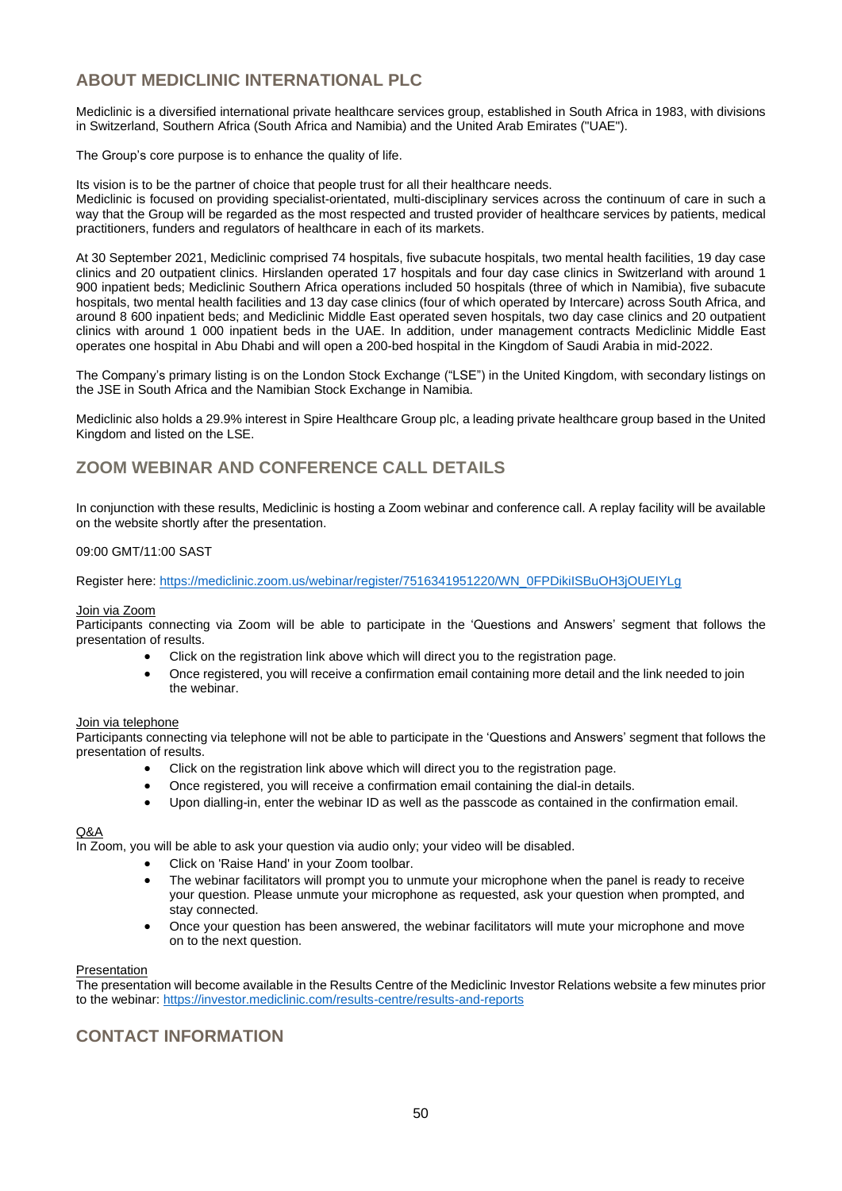# **ABOUT MEDICLINIC INTERNATIONAL PLC**

Mediclinic is a diversified international private healthcare services group, established in South Africa in 1983, with divisions in Switzerland, Southern Africa (South Africa and Namibia) and the United Arab Emirates ("UAE").

The Group's core purpose is to enhance the quality of life.

Its vision is to be the partner of choice that people trust for all their healthcare needs. Mediclinic is focused on providing specialist-orientated, multi-disciplinary services across the continuum of care in such a way that the Group will be regarded as the most respected and trusted provider of healthcare services by patients, medical practitioners, funders and regulators of healthcare in each of its markets.

At 30 September 2021, Mediclinic comprised 74 hospitals, five subacute hospitals, two mental health facilities, 19 day case clinics and 20 outpatient clinics. Hirslanden operated 17 hospitals and four day case clinics in Switzerland with around 1 900 inpatient beds; Mediclinic Southern Africa operations included 50 hospitals (three of which in Namibia), five subacute hospitals, two mental health facilities and 13 day case clinics (four of which operated by Intercare) across South Africa, and around 8 600 inpatient beds; and Mediclinic Middle East operated seven hospitals, two day case clinics and 20 outpatient clinics with around 1 000 inpatient beds in the UAE. In addition, under management contracts Mediclinic Middle East operates one hospital in Abu Dhabi and will open a 200-bed hospital in the Kingdom of Saudi Arabia in mid-2022.

The Company's primary listing is on the London Stock Exchange ("LSE") in the United Kingdom, with secondary listings on the JSE in South Africa and the Namibian Stock Exchange in Namibia.

Mediclinic also holds a 29.9% interest in Spire Healthcare Group plc, a leading private healthcare group based in the United Kingdom and listed on the LSE.

# **ZOOM WEBINAR AND CONFERENCE CALL DETAILS**

In conjunction with these results, Mediclinic is hosting a Zoom webinar and conference call. A replay facility will be available on the website shortly after the presentation.

#### 09:00 GMT/11:00 SAST

Register here: [https://mediclinic.zoom.us/webinar/register/7516341951220/WN\\_0FPDikiISBuOH3jOUEIYLg](https://mediclinic.zoom.us/webinar/register/7516341951220/WN_0FPDikiISBuOH3jOUEIYLg)

#### Join via Zoom

Participants connecting via Zoom will be able to participate in the 'Questions and Answers' segment that follows the presentation of results.

- Click on the registration link above which will direct you to the registration page.
- Once registered, you will receive a confirmation email containing more detail and the link needed to join the webinar.

#### Join via telephone

Participants connecting via telephone will not be able to participate in the 'Questions and Answers' segment that follows the presentation of results.

- Click on the registration link above which will direct you to the registration page.
- Once registered, you will receive a confirmation email containing the dial-in details.
- Upon dialling-in, enter the webinar ID as well as the passcode as contained in the confirmation email.

#### Q&A

In Zoom, you will be able to ask your question via audio only; your video will be disabled.

- Click on 'Raise Hand' in your Zoom toolbar.
- The webinar facilitators will prompt you to unmute your microphone when the panel is ready to receive your question. Please unmute your microphone as requested, ask your question when prompted, and stay connected.
- Once your question has been answered, the webinar facilitators will mute your microphone and move on to the next question.

#### Presentation

The presentation will become available in the Results Centre of the Mediclinic Investor Relations website a few minutes prior to the webinar: <https://investor.mediclinic.com/results-centre/results-and-reports>

# **CONTACT INFORMATION**